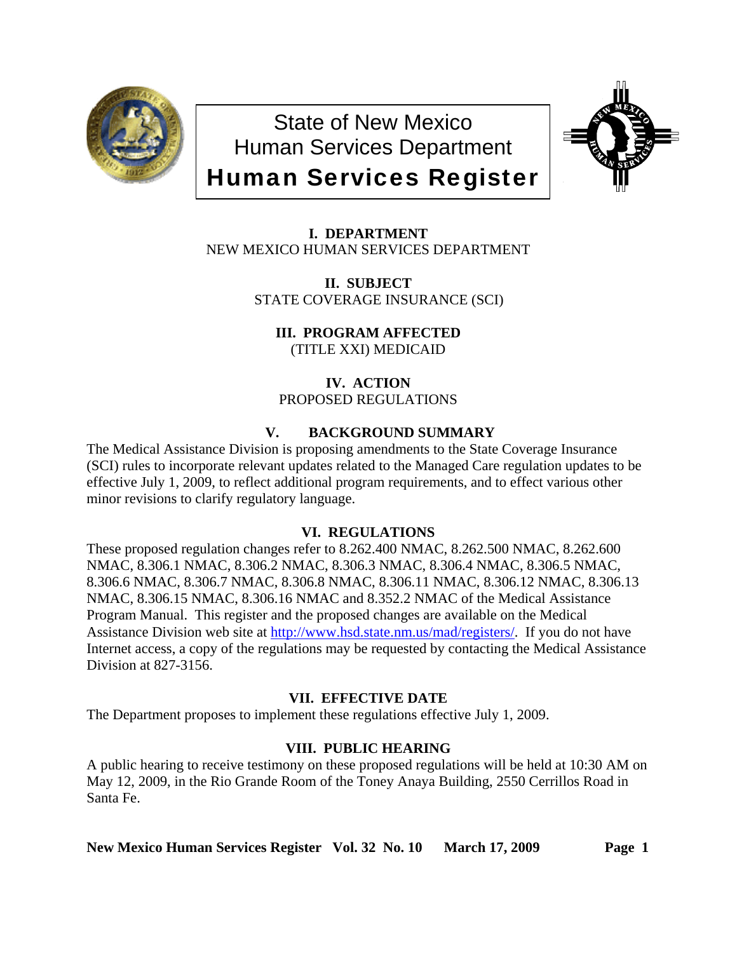

State of New Mexico Human Services Department Human Services Register



**I. DEPARTMENT** NEW MEXICO HUMAN SERVICES DEPARTMENT

> **II. SUBJECT** STATE COVERAGE INSURANCE (SCI)

**III. PROGRAM AFFECTED** (TITLE XXI) MEDICAID

**IV. ACTION** PROPOSED REGULATIONS

# **V. BACKGROUND SUMMARY**

The Medical Assistance Division is proposing amendments to the State Coverage Insurance (SCI) rules to incorporate relevant updates related to the Managed Care regulation updates to be effective July 1, 2009, to reflect additional program requirements, and to effect various other minor revisions to clarify regulatory language.

# **VI. REGULATIONS**

These proposed regulation changes refer to 8.262.400 NMAC, 8.262.500 NMAC, 8.262.600 NMAC, 8.306.1 NMAC, 8.306.2 NMAC, 8.306.3 NMAC, 8.306.4 NMAC, 8.306.5 NMAC, 8.306.6 NMAC, 8.306.7 NMAC, 8.306.8 NMAC, 8.306.11 NMAC, 8.306.12 NMAC, 8.306.13 NMAC, 8.306.15 NMAC, 8.306.16 NMAC and 8.352.2 NMAC of the Medical Assistance Program Manual. This register and the proposed changes are available on the Medical Assistance Division web site at [http://www.hsd.state.nm.us/mad/registers/.](http://www.hsd.state.nm.us/mad/registers/) If you do not have Internet access, a copy of the regulations may be requested by contacting the Medical Assistance Division at 827-3156.

# **VII. EFFECTIVE DATE**

The Department proposes to implement these regulations effective July 1, 2009.

# **VIII. PUBLIC HEARING**

A public hearing to receive testimony on these proposed regulations will be held at 10:30 AM on May 12, 2009, in the Rio Grande Room of the Toney Anaya Building, 2550 Cerrillos Road in Santa Fe.

**New Mexico Human Services Register Vol. 32 No. 10 March 17, 2009 Page 1**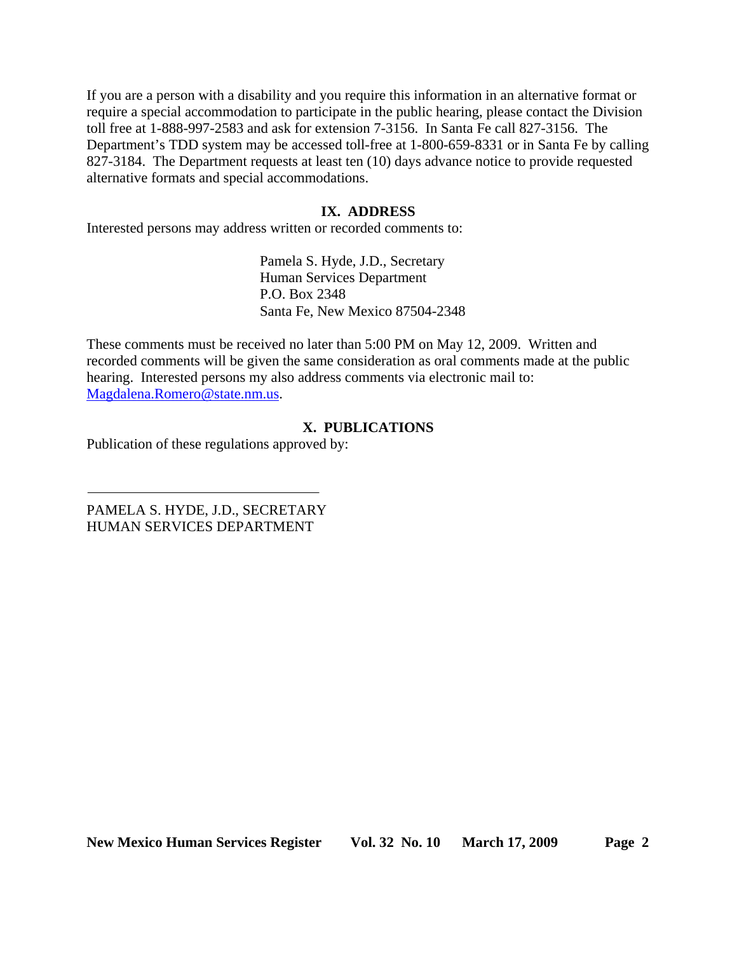If you are a person with a disability and you require this information in an alternative format or require a special accommodation to participate in the public hearing, please contact the Division toll free at 1-888-997-2583 and ask for extension 7-3156. In Santa Fe call 827-3156. The Department's TDD system may be accessed toll-free at 1-800-659-8331 or in Santa Fe by calling 827-3184. The Department requests at least ten (10) days advance notice to provide requested alternative formats and special accommodations.

# **IX. ADDRESS**

Interested persons may address written or recorded comments to:

Pamela S. Hyde, J.D., Secretary Human Services Department P.O. Box 2348 Santa Fe, New Mexico 87504-2348

These comments must be received no later than 5:00 PM on May 12, 2009. Written and recorded comments will be given the same consideration as oral comments made at the public hearing. Interested persons my also address comments via electronic mail to: [Magdalena.Romero@state.nm.us.](mailto:Magdalena.Romero@state.nm.us)

# **X. PUBLICATIONS**

Publication of these regulations approved by:

PAMELA S. HYDE, J.D., SECRETARY HUMAN SERVICES DEPARTMENT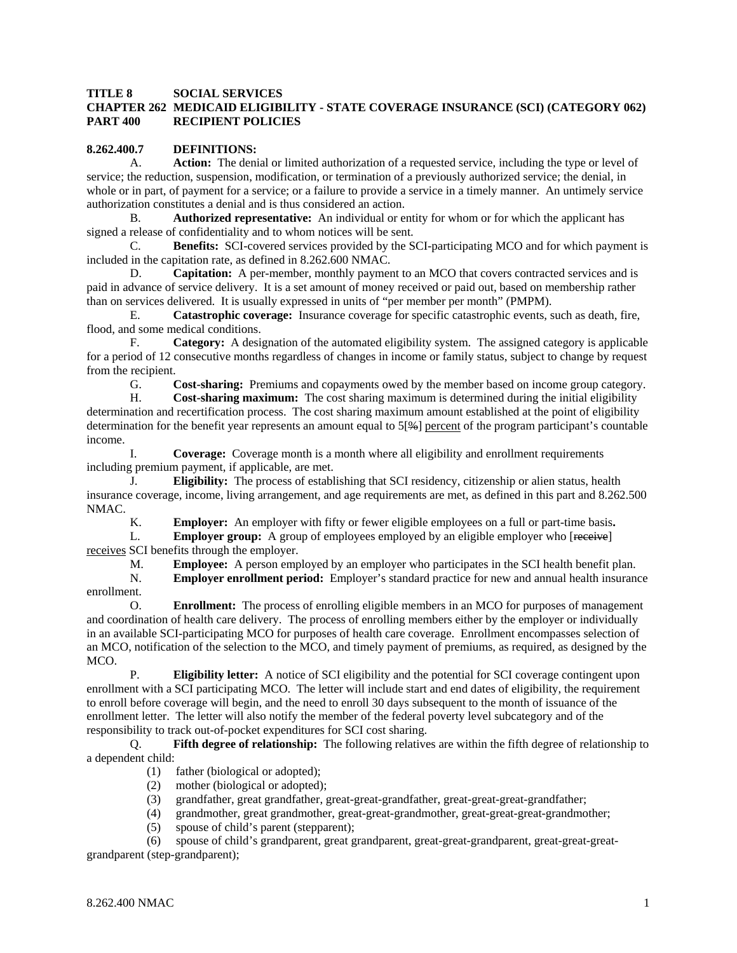#### **TITLE 8 SOCIAL SERVICES CHAPTER 262 MEDICAID ELIGIBILITY - STATE COVERAGE INSURANCE (SCI) (CATEGORY 062) PART 400 RECIPIENT POLICIES**

#### **8.262.400.7 DEFINITIONS:**

 A. **Action:** The denial or limited authorization of a requested service, including the type or level of service; the reduction, suspension, modification, or termination of a previously authorized service; the denial, in whole or in part, of payment for a service; or a failure to provide a service in a timely manner. An untimely service authorization constitutes a denial and is thus considered an action.

 B. **Authorized representative:** An individual or entity for whom or for which the applicant has signed a release of confidentiality and to whom notices will be sent.

 C. **Benefits:** SCI-covered services provided by the SCI-participating MCO and for which payment is included in the capitation rate, as defined in 8.262.600 NMAC.

 D. **Capitation:** A per-member, monthly payment to an MCO that covers contracted services and is paid in advance of service delivery. It is a set amount of money received or paid out, based on membership rather than on services delivered. It is usually expressed in units of "per member per month" (PMPM).

 E. **Catastrophic coverage:** Insurance coverage for specific catastrophic events, such as death, fire, flood, and some medical conditions.

 F. **Category:** A designation of the automated eligibility system. The assigned category is applicable for a period of 12 consecutive months regardless of changes in income or family status, subject to change by request from the recipient.

G. **Cost-sharing:** Premiums and copayments owed by the member based on income group category.

 H. **Cost-sharing maximum:** The cost sharing maximum is determined during the initial eligibility determination and recertification process. The cost sharing maximum amount established at the point of eligibility determination for the benefit year represents an amount equal to 5[%] percent of the program participant's countable income.

 I. **Coverage:** Coverage month is a month where all eligibility and enrollment requirements including premium payment, if applicable, are met.

 J. **Eligibility:** The process of establishing that SCI residency, citizenship or alien status, health insurance coverage, income, living arrangement, and age requirements are met, as defined in this part and 8.262.500 NMAC.

K. **Employer:** An employer with fifty or fewer eligible employees on a full or part-time basis**.**

L. **Employer group:** A group of employees employed by an eligible employer who [receive] receives SCI benefits through the employer.

M. **Employee:** A person employed by an employer who participates in the SCI health benefit plan.

 N. **Employer enrollment period:** Employer's standard practice for new and annual health insurance enrollment.

 O. **Enrollment:** The process of enrolling eligible members in an MCO for purposes of management and coordination of health care delivery. The process of enrolling members either by the employer or individually in an available SCI-participating MCO for purposes of health care coverage. Enrollment encompasses selection of an MCO, notification of the selection to the MCO, and timely payment of premiums, as required, as designed by the MCO.

 P. **Eligibility letter:** A notice of SCI eligibility and the potential for SCI coverage contingent upon enrollment with a SCI participating MCO. The letter will include start and end dates of eligibility, the requirement to enroll before coverage will begin, and the need to enroll 30 days subsequent to the month of issuance of the enrollment letter. The letter will also notify the member of the federal poverty level subcategory and of the responsibility to track out-of-pocket expenditures for SCI cost sharing.

 Q. **Fifth degree of relationship:** The following relatives are within the fifth degree of relationship to a dependent child:

- (1) father (biological or adopted);
- (2) mother (biological or adopted);
- (3) grandfather, great grandfather, great-great-grandfather, great-great-great-grandfather;
- (4) grandmother, great grandmother, great-great-grandmother, great-great-great-grandmother;
- (5) spouse of child's parent (stepparent);

 (6) spouse of child's grandparent, great grandparent, great-great-grandparent, great-great-greatgrandparent (step-grandparent);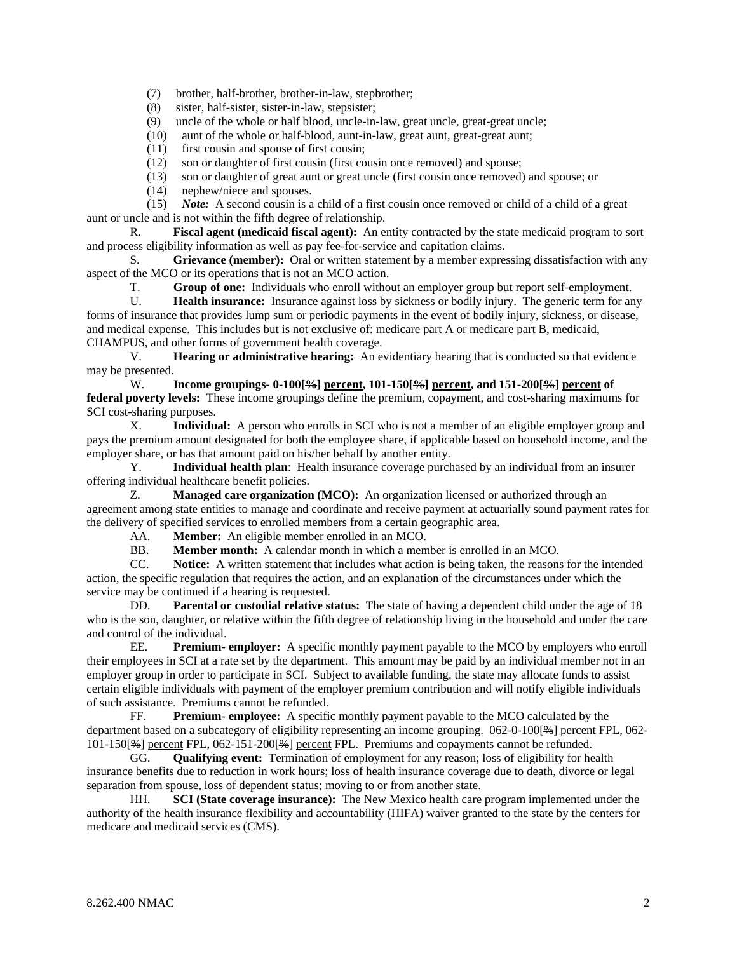(7) brother, half-brother, brother-in-law, stepbrother;

(8) sister, half-sister, sister-in-law, stepsister;

(9) uncle of the whole or half blood, uncle-in-law, great uncle, great-great uncle;

(10) aunt of the whole or half-blood, aunt-in-law, great aunt, great-great aunt;

(11) first cousin and spouse of first cousin;

(12) son or daughter of first cousin (first cousin once removed) and spouse;

(13) son or daughter of great aunt or great uncle (first cousin once removed) and spouse; or

(14) nephew/niece and spouses.

 (15) *Note:* A second cousin is a child of a first cousin once removed or child of a child of a great aunt or uncle and is not within the fifth degree of relationship.

 R. **Fiscal agent (medicaid fiscal agent):** An entity contracted by the state medicaid program to sort and process eligibility information as well as pay fee-for-service and capitation claims.

 S. **Grievance (member):** Oral or written statement by a member expressing dissatisfaction with any aspect of the MCO or its operations that is not an MCO action.

T. **Group of one:** Individuals who enroll without an employer group but report self-employment.

 U. **Health insurance:** Insurance against loss by sickness or bodily injury. The generic term for any forms of insurance that provides lump sum or periodic payments in the event of bodily injury, sickness, or disease, and medical expense. This includes but is not exclusive of: medicare part A or medicare part B, medicaid, CHAMPUS, and other forms of government health coverage.

 V. **Hearing or administrative hearing:** An evidentiary hearing that is conducted so that evidence may be presented.

W. **Income groupings- 0-100[%] percent, 101-150[%] percent, and 151-200[%] percent of federal poverty levels:** These income groupings define the premium, copayment, and cost-sharing maximums for SCI cost-sharing purposes.

 X. **Individual:** A person who enrolls in SCI who is not a member of an eligible employer group and pays the premium amount designated for both the employee share, if applicable based on household income, and the employer share, or has that amount paid on his/her behalf by another entity.

 Y. **Individual health plan**: Health insurance coverage purchased by an individual from an insurer offering individual healthcare benefit policies.

 Z. **Managed care organization (MCO):** An organization licensed or authorized through an agreement among state entities to manage and coordinate and receive payment at actuarially sound payment rates for the delivery of specified services to enrolled members from a certain geographic area.

AA. **Member:** An eligible member enrolled in an MCO.

BB. **Member month:** A calendar month in which a member is enrolled in an MCO.

 CC. **Notice:** A written statement that includes what action is being taken, the reasons for the intended action, the specific regulation that requires the action, and an explanation of the circumstances under which the service may be continued if a hearing is requested.

 DD. **Parental or custodial relative status:** The state of having a dependent child under the age of 18 who is the son, daughter, or relative within the fifth degree of relationship living in the household and under the care and control of the individual.

 EE. **Premium- employer:** A specific monthly payment payable to the MCO by employers who enroll their employees in SCI at a rate set by the department. This amount may be paid by an individual member not in an employer group in order to participate in SCI. Subject to available funding, the state may allocate funds to assist certain eligible individuals with payment of the employer premium contribution and will notify eligible individuals of such assistance. Premiums cannot be refunded.

 FF. **Premium- employee:** A specific monthly payment payable to the MCO calculated by the department based on a subcategory of eligibility representing an income grouping. 062-0-100[%] percent FPL, 062- 101-150[%] percent FPL, 062-151-200[%] percent FPL. Premiums and copayments cannot be refunded.

 GG. **Qualifying event:** Termination of employment for any reason; loss of eligibility for health insurance benefits due to reduction in work hours; loss of health insurance coverage due to death, divorce or legal separation from spouse, loss of dependent status; moving to or from another state.

 HH. **SCI (State coverage insurance):** The New Mexico health care program implemented under the authority of the health insurance flexibility and accountability (HIFA) waiver granted to the state by the centers for medicare and medicaid services (CMS).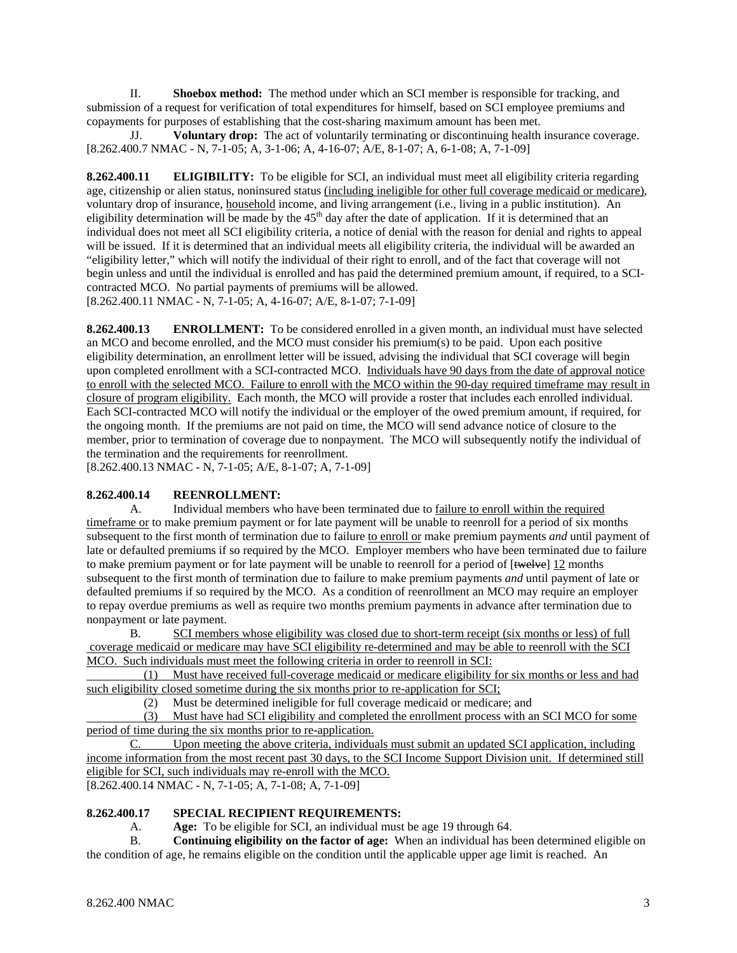II. **Shoebox method:** The method under which an SCI member is responsible for tracking, and submission of a request for verification of total expenditures for himself, based on SCI employee premiums and copayments for purposes of establishing that the cost-sharing maximum amount has been met.

 JJ. **Voluntary drop:** The act of voluntarily terminating or discontinuing health insurance coverage. [8.262.400.7 NMAC - N, 7-1-05; A, 3-1-06; A, 4-16-07; A/E, 8-1-07; A, 6-1-08; A, 7-1-09]

**8.262.400.11** ELIGIBILITY: To be eligible for SCI, an individual must meet all eligibility criteria regarding age, citizenship or alien status, noninsured status (including ineligible for other full coverage medicaid or medicare), voluntary drop of insurance, household income, and living arrangement (i.e., living in a public institution). An eligibility determination will be made by the 45<sup>th</sup> day after the date of application. If it is determined that an individual does not meet all SCI eligibility criteria, a notice of denial with the reason for denial and rights to appeal will be issued. If it is determined that an individual meets all eligibility criteria, the individual will be awarded an "eligibility letter," which will notify the individual of their right to enroll, and of the fact that coverage will not begin unless and until the individual is enrolled and has paid the determined premium amount, if required, to a SCIcontracted MCO. No partial payments of premiums will be allowed. [8.262.400.11 NMAC - N, 7-1-05; A, 4-16-07; A/E, 8-1-07; 7-1-09]

**8.262.400.13 ENROLLMENT:** To be considered enrolled in a given month, an individual must have selected an MCO and become enrolled, and the MCO must consider his premium(s) to be paid. Upon each positive eligibility determination, an enrollment letter will be issued, advising the individual that SCI coverage will begin upon completed enrollment with a SCI-contracted MCO. Individuals have 90 days from the date of approval notice to enroll with the selected MCO. Failure to enroll with the MCO within the 90-day required timeframe may result in closure of program eligibility. Each month, the MCO will provide a roster that includes each enrolled individual. Each SCI-contracted MCO will notify the individual or the employer of the owed premium amount, if required, for the ongoing month. If the premiums are not paid on time, the MCO will send advance notice of closure to the member, prior to termination of coverage due to nonpayment. The MCO will subsequently notify the individual of the termination and the requirements for reenrollment.

[8.262.400.13 NMAC - N, 7-1-05; A/E, 8-1-07; A, 7-1-09]

### **8.262.400.14 REENROLLMENT:**

A. Individual members who have been terminated due to failure to enroll within the required timeframe or to make premium payment or for late payment will be unable to reenroll for a period of six months subsequent to the first month of termination due to failure to enroll or make premium payments *and* until payment of late or defaulted premiums if so required by the MCO. Employer members who have been terminated due to failure to make premium payment or for late payment will be unable to reenroll for a period of [twelve] 12 months subsequent to the first month of termination due to failure to make premium payments *and* until payment of late or defaulted premiums if so required by the MCO. As a condition of reenrollment an MCO may require an employer to repay overdue premiums as well as require two months premium payments in advance after termination due to nonpayment or late payment.

B. SCI members whose eligibility was closed due to short-term receipt (six months or less) of full coverage medicaid or medicare may have SCI eligibility re-determined and may be able to reenroll with the SCI MCO. Such individuals must meet the following criteria in order to reenroll in SCI:

 (1) Must have received full-coverage medicaid or medicare eligibility for six months or less and had such eligibility closed sometime during the six months prior to re-application for SCI;

(2) Must be determined ineligible for full coverage medicaid or medicare; and

 (3) Must have had SCI eligibility and completed the enrollment process with an SCI MCO for some period of time during the six months prior to re-application.

C. Upon meeting the above criteria, individuals must submit an updated SCI application, including income information from the most recent past 30 days, to the SCI Income Support Division unit. If determined still eligible for SCI, such individuals may re-enroll with the MCO. [8.262.400.14 NMAC - N, 7-1-05; A, 7-1-08; A, 7-1-09]

### **8.262.400.17 SPECIAL RECIPIENT REQUIREMENTS:**

A. **Age:** To be eligible for SCI, an individual must be age 19 through 64.

 B. **Continuing eligibility on the factor of age:** When an individual has been determined eligible on the condition of age, he remains eligible on the condition until the applicable upper age limit is reached. An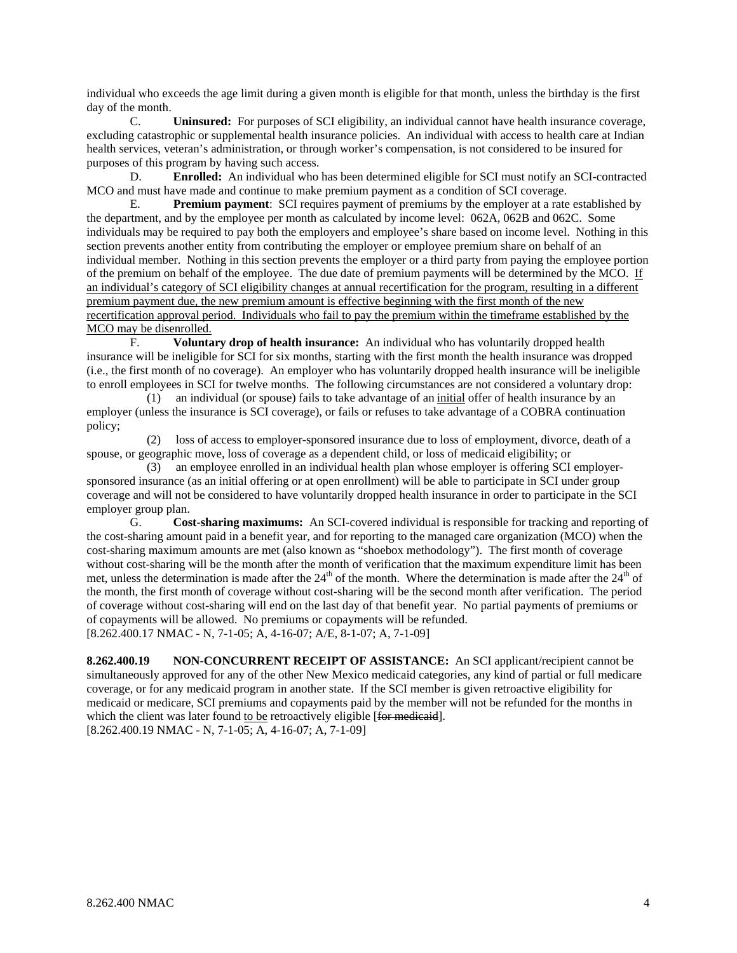individual who exceeds the age limit during a given month is eligible for that month, unless the birthday is the first day of the month.

 C. **Uninsured:** For purposes of SCI eligibility, an individual cannot have health insurance coverage, excluding catastrophic or supplemental health insurance policies. An individual with access to health care at Indian health services, veteran's administration, or through worker's compensation, is not considered to be insured for purposes of this program by having such access.

 D. **Enrolled:** An individual who has been determined eligible for SCI must notify an SCI-contracted MCO and must have made and continue to make premium payment as a condition of SCI coverage.

 E. **Premium payment**: SCI requires payment of premiums by the employer at a rate established by the department, and by the employee per month as calculated by income level: 062A, 062B and 062C. Some individuals may be required to pay both the employers and employee's share based on income level. Nothing in this section prevents another entity from contributing the employer or employee premium share on behalf of an individual member. Nothing in this section prevents the employer or a third party from paying the employee portion of the premium on behalf of the employee. The due date of premium payments will be determined by the MCO. If an individual's category of SCI eligibility changes at annual recertification for the program, resulting in a different premium payment due, the new premium amount is effective beginning with the first month of the new recertification approval period. Individuals who fail to pay the premium within the timeframe established by the MCO may be disenrolled.

 F. **Voluntary drop of health insurance:** An individual who has voluntarily dropped health insurance will be ineligible for SCI for six months, starting with the first month the health insurance was dropped (i.e., the first month of no coverage). An employer who has voluntarily dropped health insurance will be ineligible to enroll employees in SCI for twelve months. The following circumstances are not considered a voluntary drop:

 (1) an individual (or spouse) fails to take advantage of an initial offer of health insurance by an employer (unless the insurance is SCI coverage), or fails or refuses to take advantage of a COBRA continuation policy;

 (2) loss of access to employer-sponsored insurance due to loss of employment, divorce, death of a spouse, or geographic move, loss of coverage as a dependent child, or loss of medicaid eligibility; or

 (3) an employee enrolled in an individual health plan whose employer is offering SCI employersponsored insurance (as an initial offering or at open enrollment) will be able to participate in SCI under group coverage and will not be considered to have voluntarily dropped health insurance in order to participate in the SCI employer group plan.

 G. **Cost-sharing maximums:** An SCI-covered individual is responsible for tracking and reporting of the cost-sharing amount paid in a benefit year, and for reporting to the managed care organization (MCO) when the cost-sharing maximum amounts are met (also known as "shoebox methodology"). The first month of coverage without cost-sharing will be the month after the month of verification that the maximum expenditure limit has been met, unless the determination is made after the  $24<sup>th</sup>$  of the month. Where the determination is made after the  $24<sup>th</sup>$  of the month, the first month of coverage without cost-sharing will be the second month after verification. The period of coverage without cost-sharing will end on the last day of that benefit year. No partial payments of premiums or of copayments will be allowed. No premiums or copayments will be refunded. [8.262.400.17 NMAC - N, 7-1-05; A, 4-16-07; A/E, 8-1-07; A, 7-1-09]

**8.262.400.19 NON-CONCURRENT RECEIPT OF ASSISTANCE:** An SCI applicant/recipient cannot be simultaneously approved for any of the other New Mexico medicaid categories, any kind of partial or full medicare coverage, or for any medicaid program in another state. If the SCI member is given retroactive eligibility for medicaid or medicare, SCI premiums and copayments paid by the member will not be refunded for the months in which the client was later found to be retroactively eligible [for medicaid]. [8.262.400.19 NMAC - N, 7-1-05; A, 4-16-07; A, 7-1-09]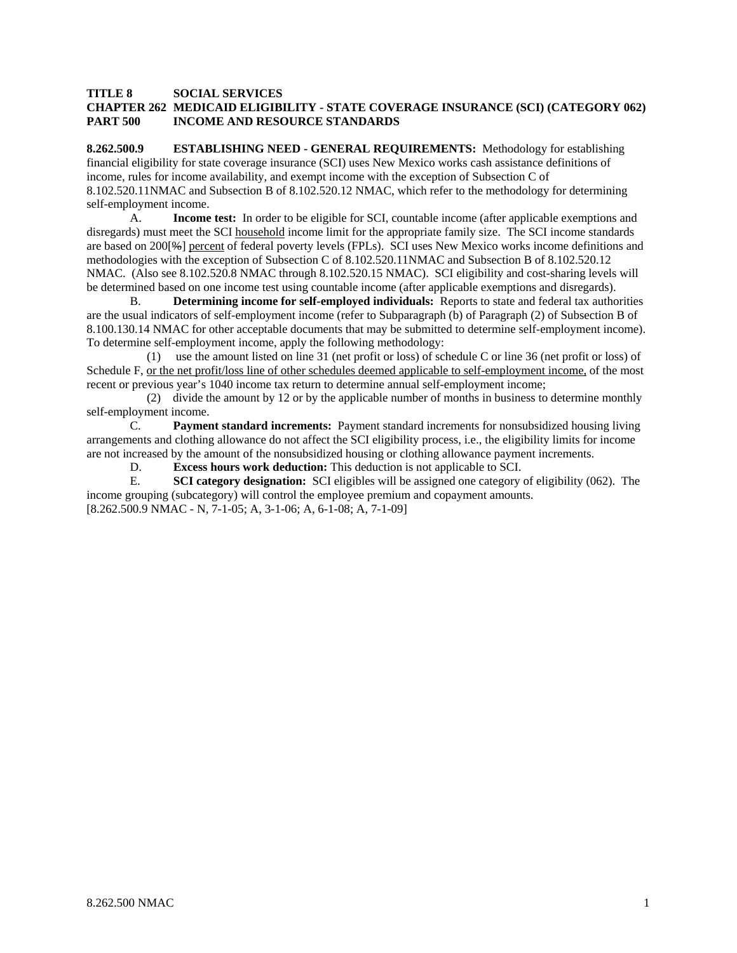#### **TITLE 8 SOCIAL SERVICES**

#### **CHAPTER 262 MEDICAID ELIGIBILITY - STATE COVERAGE INSURANCE (SCI) (CATEGORY 062) PART 500 INCOME AND RESOURCE STANDARDS**

**8.262.500.9 ESTABLISHING NEED - GENERAL REQUIREMENTS:** Methodology for establishing financial eligibility for state coverage insurance (SCI) uses New Mexico works cash assistance definitions of income, rules for income availability, and exempt income with the exception of Subsection C of 8.102.520.11NMAC and Subsection B of 8.102.520.12 NMAC, which refer to the methodology for determining self-employment income.

 A. **Income test:** In order to be eligible for SCI, countable income (after applicable exemptions and disregards) must meet the SCI household income limit for the appropriate family size. The SCI income standards are based on 200[%] percent of federal poverty levels (FPLs). SCI uses New Mexico works income definitions and methodologies with the exception of Subsection C of 8.102.520.11NMAC and Subsection B of 8.102.520.12 NMAC. (Also see 8.102.520.8 NMAC through 8.102.520.15 NMAC). SCI eligibility and cost-sharing levels will be determined based on one income test using countable income (after applicable exemptions and disregards).

 B. **Determining income for self-employed individuals:** Reports to state and federal tax authorities are the usual indicators of self-employment income (refer to Subparagraph (b) of Paragraph (2) of Subsection B of 8.100.130.14 NMAC for other acceptable documents that may be submitted to determine self-employment income). To determine self-employment income, apply the following methodology:

 (1) use the amount listed on line 31 (net profit or loss) of schedule C or line 36 (net profit or loss) of Schedule F, <u>or the net profit/loss line of other schedules deemed applicable to self-employment income</u>, of the most recent or previous year's 1040 income tax return to determine annual self-employment income;

 (2) divide the amount by 12 or by the applicable number of months in business to determine monthly self-employment income.

C. **Payment standard increments:** Payment standard increments for nonsubsidized housing living arrangements and clothing allowance do not affect the SCI eligibility process, i.e., the eligibility limits for income are not increased by the amount of the nonsubsidized housing or clothing allowance payment increments.

D. **Excess hours work deduction:** This deduction is not applicable to SCI.

E. **SCI category designation:** SCI eligibles will be assigned one category of eligibility (062). The income grouping (subcategory) will control the employee premium and copayment amounts. [8.262.500.9 NMAC - N, 7-1-05; A, 3-1-06; A, 6-1-08; A, 7-1-09]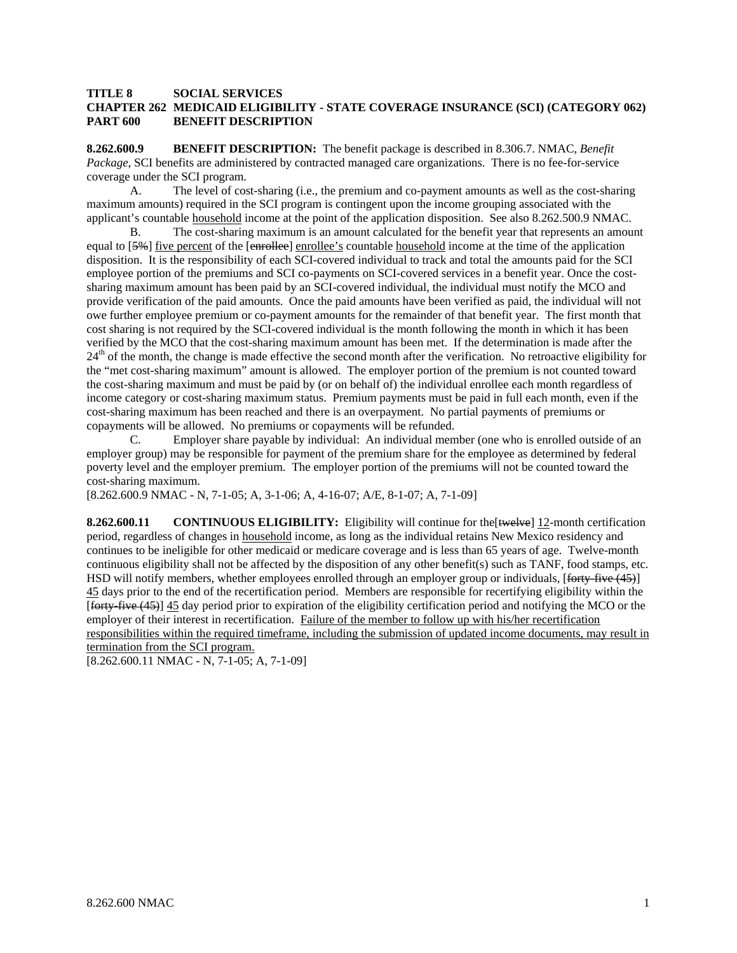#### **TITLE 8 SOCIAL SERVICES CHAPTER 262 MEDICAID ELIGIBILITY - STATE COVERAGE INSURANCE (SCI) (CATEGORY 062) PART 600 BENEFIT DESCRIPTION**

**8.262.600.9 BENEFIT DESCRIPTION:** The benefit package is described in 8.306.7. NMAC, *Benefit Package*, SCI benefits are administered by contracted managed care organizations. There is no fee-for-service coverage under the SCI program.

 A. The level of cost-sharing (i.e., the premium and co-payment amounts as well as the cost-sharing maximum amounts) required in the SCI program is contingent upon the income grouping associated with the applicant's countable household income at the point of the application disposition. See also 8.262.500.9 NMAC.

 B. The cost-sharing maximum is an amount calculated for the benefit year that represents an amount equal to [5%] five percent of the [enrollee] enrollee's countable household income at the time of the application disposition. It is the responsibility of each SCI-covered individual to track and total the amounts paid for the SCI employee portion of the premiums and SCI co-payments on SCI-covered services in a benefit year. Once the costsharing maximum amount has been paid by an SCI-covered individual, the individual must notify the MCO and provide verification of the paid amounts. Once the paid amounts have been verified as paid, the individual will not owe further employee premium or co-payment amounts for the remainder of that benefit year. The first month that cost sharing is not required by the SCI-covered individual is the month following the month in which it has been verified by the MCO that the cost-sharing maximum amount has been met. If the determination is made after the  $24<sup>th</sup>$  of the month, the change is made effective the second month after the verification. No retroactive eligibility for the "met cost-sharing maximum" amount is allowed. The employer portion of the premium is not counted toward the cost-sharing maximum and must be paid by (or on behalf of) the individual enrollee each month regardless of income category or cost-sharing maximum status. Premium payments must be paid in full each month, even if the cost-sharing maximum has been reached and there is an overpayment. No partial payments of premiums or copayments will be allowed. No premiums or copayments will be refunded.

 C. Employer share payable by individual: An individual member (one who is enrolled outside of an employer group) may be responsible for payment of the premium share for the employee as determined by federal poverty level and the employer premium. The employer portion of the premiums will not be counted toward the cost-sharing maximum.

[8.262.600.9 NMAC - N, 7-1-05; A, 3-1-06; A, 4-16-07; A/E, 8-1-07; A, 7-1-09]

**8.262.600.11 CONTINUOUS ELIGIBILITY:** Eligibility will continue for the[twelve] 12-month certification period, regardless of changes in household income, as long as the individual retains New Mexico residency and continues to be ineligible for other medicaid or medicare coverage and is less than 65 years of age. Twelve-month continuous eligibility shall not be affected by the disposition of any other benefit(s) such as TANF, food stamps, etc. HSD will notify members, whether employees enrolled through an employer group or individuals, [forty-five (45)] 45 days prior to the end of the recertification period. Members are responsible for recertifying eligibility within the [forty-five (45)] 45 day period prior to expiration of the eligibility certification period and notifying the MCO or the employer of their interest in recertification. Failure of the member to follow up with his/her recertification responsibilities within the required timeframe, including the submission of updated income documents, may result in termination from the SCI program.

[8.262.600.11 NMAC - N, 7-1-05; A, 7-1-09]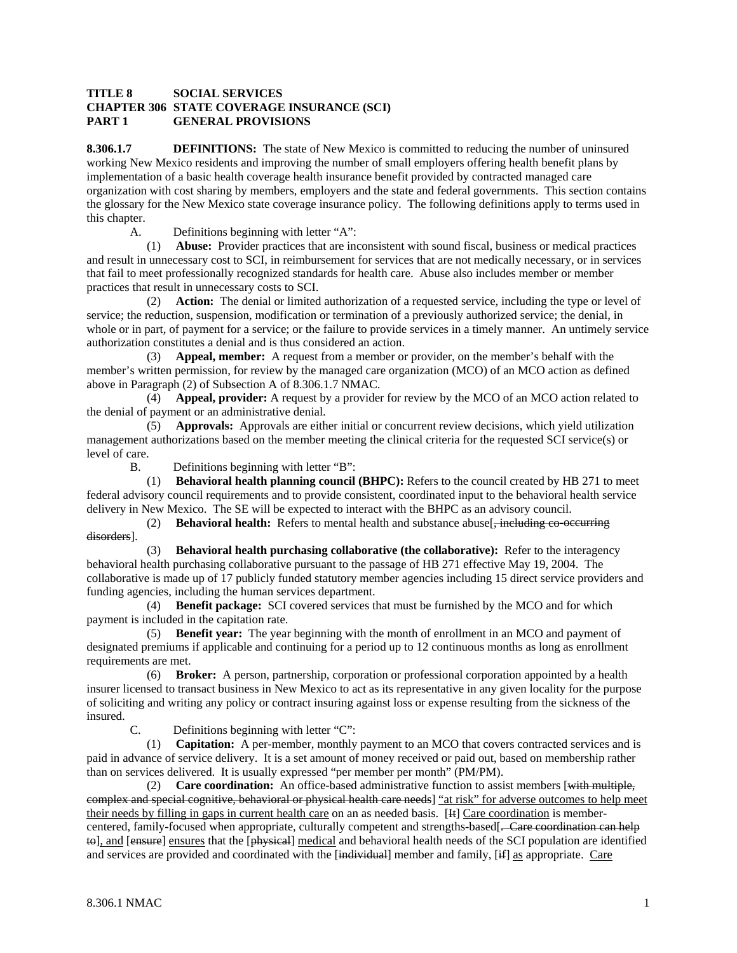#### **TITLE 8 SOCIAL SERVICES CHAPTER 306 STATE COVERAGE INSURANCE (SCI) PART 1 GENERAL PROVISIONS**

**8.306.1.7 DEFINITIONS:** The state of New Mexico is committed to reducing the number of uninsured working New Mexico residents and improving the number of small employers offering health benefit plans by implementation of a basic health coverage health insurance benefit provided by contracted managed care organization with cost sharing by members, employers and the state and federal governments. This section contains the glossary for the New Mexico state coverage insurance policy. The following definitions apply to terms used in this chapter.

A. Definitions beginning with letter "A":

 (1) **Abuse:** Provider practices that are inconsistent with sound fiscal, business or medical practices and result in unnecessary cost to SCI, in reimbursement for services that are not medically necessary, or in services that fail to meet professionally recognized standards for health care. Abuse also includes member or member practices that result in unnecessary costs to SCI.

 (2) **Action:** The denial or limited authorization of a requested service, including the type or level of service; the reduction, suspension, modification or termination of a previously authorized service; the denial, in whole or in part, of payment for a service; or the failure to provide services in a timely manner. An untimely service authorization constitutes a denial and is thus considered an action.

 (3) **Appeal, member:** A request from a member or provider, on the member's behalf with the member's written permission, for review by the managed care organization (MCO) of an MCO action as defined above in Paragraph (2) of Subsection A of 8.306.1.7 NMAC.

 (4) **Appeal, provider:** A request by a provider for review by the MCO of an MCO action related to the denial of payment or an administrative denial.

 (5) **Approvals:** Approvals are either initial or concurrent review decisions, which yield utilization management authorizations based on the member meeting the clinical criteria for the requested SCI service(s) or level of care.

B. Definitions beginning with letter "B":

 (1) **Behavioral health planning council (BHPC):** Refers to the council created by HB 271 to meet federal advisory council requirements and to provide consistent, coordinated input to the behavioral health service delivery in New Mexico. The SE will be expected to interact with the BHPC as an advisory council.

(2) **Behavioral health:** Refers to mental health and substance abuse  $\frac{1}{2}$  including co-occurring disorders].

 (3) **Behavioral health purchasing collaborative (the collaborative):** Refer to the interagency behavioral health purchasing collaborative pursuant to the passage of HB 271 effective May 19, 2004. The collaborative is made up of 17 publicly funded statutory member agencies including 15 direct service providers and funding agencies, including the human services department.

 (4) **Benefit package:** SCI covered services that must be furnished by the MCO and for which payment is included in the capitation rate.

 (5) **Benefit year:** The year beginning with the month of enrollment in an MCO and payment of designated premiums if applicable and continuing for a period up to 12 continuous months as long as enrollment requirements are met.

 (6) **Broker:** A person, partnership, corporation or professional corporation appointed by a health insurer licensed to transact business in New Mexico to act as its representative in any given locality for the purpose of soliciting and writing any policy or contract insuring against loss or expense resulting from the sickness of the insured.

C. Definitions beginning with letter "C":

 (1) **Capitation:** A per-member, monthly payment to an MCO that covers contracted services and is paid in advance of service delivery. It is a set amount of money received or paid out, based on membership rather than on services delivered. It is usually expressed "per member per month" (PM/PM).

 (2) **Care coordination:** An office-based administrative function to assist members [with multiple, complex and special cognitive, behavioral or physical health care needs] "at risk" for adverse outcomes to help meet their needs by filling in gaps in current health care on an as needed basis. [It] Care coordination is membercentered, family-focused when appropriate, culturally competent and strengths-based[- Care coordination can help to], and [ensure] ensures that the [physical] medical and behavioral health needs of the SCI population are identified and services are provided and coordinated with the [individual] member and family, [if] as appropriate. Care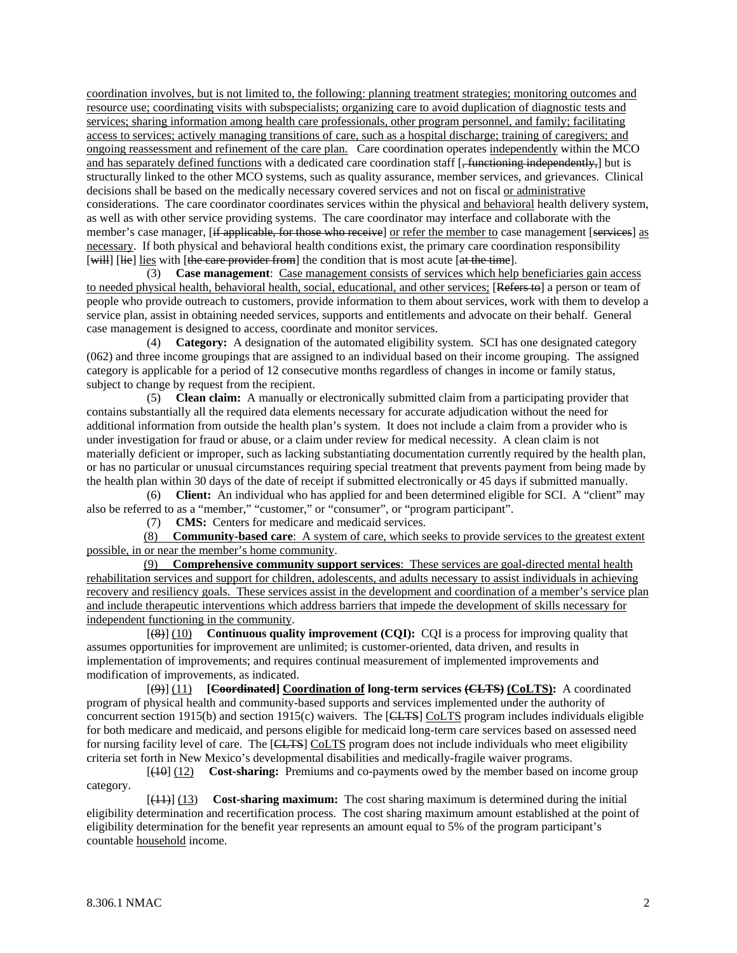coordination involves, but is not limited to, the following: planning treatment strategies; monitoring outcomes and resource use; coordinating visits with subspecialists; organizing care to avoid duplication of diagnostic tests and services; sharing information among health care professionals, other program personnel, and family; facilitating access to services; actively managing transitions of care, such as a hospital discharge; training of caregivers; and ongoing reassessment and refinement of the care plan. Care coordination operates independently within the MCO and has separately defined functions with a dedicated care coordination staff [<del>, functioning independently,</del>] but is structurally linked to the other MCO systems, such as quality assurance, member services, and grievances. Clinical decisions shall be based on the medically necessary covered services and not on fiscal or administrative considerations. The care coordinator coordinates services within the physical and behavioral health delivery system, as well as with other service providing systems. The care coordinator may interface and collaborate with the member's case manager, [if applicable, for those who receive] or refer the member to case management [services] as necessary. If both physical and behavioral health conditions exist, the primary care coordination responsibility [will] [lie] lies with [the care provider from] the condition that is most acute [at the time].

 (3) **Case management**: Case management consists of services which help beneficiaries gain access to needed physical health, behavioral health, social, educational, and other services; [Refers to] a person or team of people who provide outreach to customers, provide information to them about services, work with them to develop a service plan, assist in obtaining needed services, supports and entitlements and advocate on their behalf. General case management is designed to access, coordinate and monitor services.

 (4) **Category:** A designation of the automated eligibility system. SCI has one designated category (062) and three income groupings that are assigned to an individual based on their income grouping. The assigned category is applicable for a period of 12 consecutive months regardless of changes in income or family status, subject to change by request from the recipient.

 (5) **Clean claim:** A manually or electronically submitted claim from a participating provider that contains substantially all the required data elements necessary for accurate adjudication without the need for additional information from outside the health plan's system. It does not include a claim from a provider who is under investigation for fraud or abuse, or a claim under review for medical necessity. A clean claim is not materially deficient or improper, such as lacking substantiating documentation currently required by the health plan, or has no particular or unusual circumstances requiring special treatment that prevents payment from being made by the health plan within 30 days of the date of receipt if submitted electronically or 45 days if submitted manually.

 (6) **Client:** An individual who has applied for and been determined eligible for SCI. A "client" may also be referred to as a "member," "customer," or "consumer", or "program participant".

(7) **CMS:** Centers for medicare and medicaid services.

 (8) **Community-based care**: A system of care, which seeks to provide services to the greatest extent possible, in or near the member's home community.

 (9) **Comprehensive community support services**: These services are goal-directed mental health rehabilitation services and support for children, adolescents, and adults necessary to assist individuals in achieving recovery and resiliency goals. These services assist in the development and coordination of a member's service plan and include therapeutic interventions which address barriers that impede the development of skills necessary for independent functioning in the community.

 [(8)] (10) **Continuous quality improvement (CQI):** CQI is a process for improving quality that assumes opportunities for improvement are unlimited; is customer-oriented, data driven, and results in implementation of improvements; and requires continual measurement of implemented improvements and modification of improvements, as indicated.

 [(9)] (11) **[Coordinated] Coordination of long-term services (CLTS) (CoLTS):** A coordinated program of physical health and community-based supports and services implemented under the authority of concurrent section 1915(b) and section 1915(c) waivers. The [CLTS] CoLTS program includes individuals eligible for both medicare and medicaid, and persons eligible for medicaid long-term care services based on assessed need for nursing facility level of care. The [CLTS] CoLTS program does not include individuals who meet eligibility criteria set forth in New Mexico's developmental disabilities and medically-fragile waiver programs.

 [(10] (12) **Cost-sharing:** Premiums and co-payments owed by the member based on income group category.

 [(11)] (13) **Cost-sharing maximum:** The cost sharing maximum is determined during the initial eligibility determination and recertification process. The cost sharing maximum amount established at the point of eligibility determination for the benefit year represents an amount equal to 5% of the program participant's countable household income.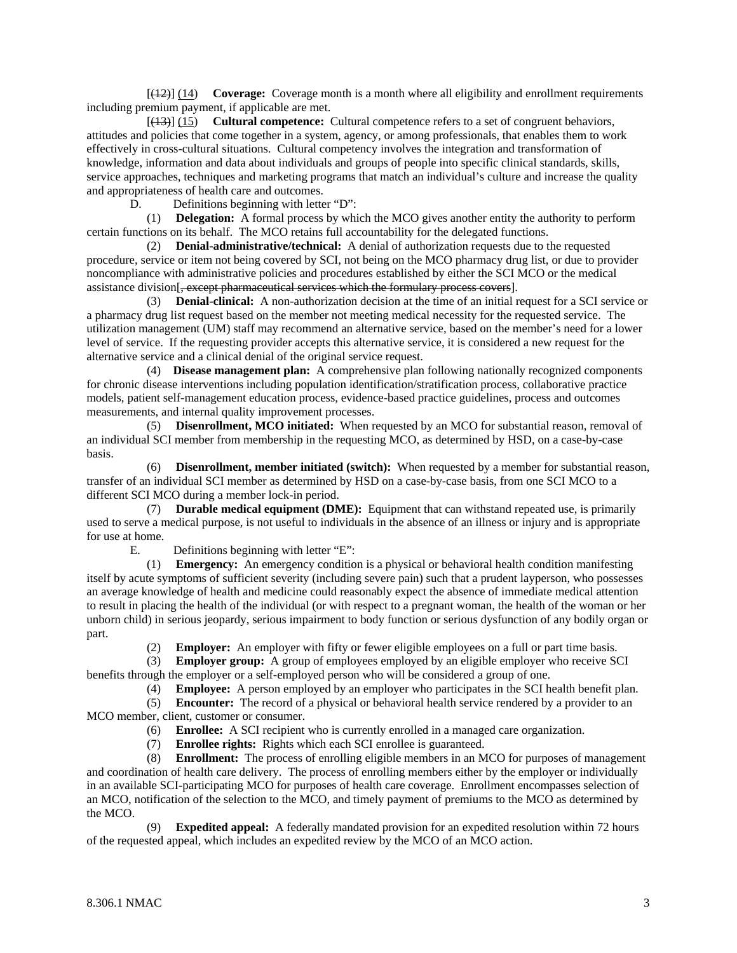[(12)] (14) **Coverage:** Coverage month is a month where all eligibility and enrollment requirements including premium payment, if applicable are met.

 [(13)] (15) **Cultural competence:** Cultural competence refers to a set of congruent behaviors, attitudes and policies that come together in a system, agency, or among professionals, that enables them to work effectively in cross-cultural situations. Cultural competency involves the integration and transformation of knowledge, information and data about individuals and groups of people into specific clinical standards, skills, service approaches, techniques and marketing programs that match an individual's culture and increase the quality and appropriateness of health care and outcomes.

D. Definitions beginning with letter "D":

 (1) **Delegation:** A formal process by which the MCO gives another entity the authority to perform certain functions on its behalf. The MCO retains full accountability for the delegated functions.

 (2) **Denial-administrative/technical:** A denial of authorization requests due to the requested procedure, service or item not being covered by SCI, not being on the MCO pharmacy drug list, or due to provider noncompliance with administrative policies and procedures established by either the SCI MCO or the medical assistance division[, except pharmaceutical services which the formulary process covers].

 (3) **Denial-clinical:** A non-authorization decision at the time of an initial request for a SCI service or a pharmacy drug list request based on the member not meeting medical necessity for the requested service. The utilization management (UM) staff may recommend an alternative service, based on the member's need for a lower level of service. If the requesting provider accepts this alternative service, it is considered a new request for the alternative service and a clinical denial of the original service request.

 (4) **Disease management plan:** A comprehensive plan following nationally recognized components for chronic disease interventions including population identification/stratification process, collaborative practice models, patient self-management education process, evidence-based practice guidelines, process and outcomes measurements, and internal quality improvement processes.

 (5) **Disenrollment, MCO initiated:** When requested by an MCO for substantial reason, removal of an individual SCI member from membership in the requesting MCO, as determined by HSD, on a case-by-case basis.

 (6) **Disenrollment, member initiated (switch):** When requested by a member for substantial reason, transfer of an individual SCI member as determined by HSD on a case-by-case basis, from one SCI MCO to a different SCI MCO during a member lock-in period.

 (7) **Durable medical equipment (DME):** Equipment that can withstand repeated use, is primarily used to serve a medical purpose, is not useful to individuals in the absence of an illness or injury and is appropriate for use at home.

E. Definitions beginning with letter "E":

 (1) **Emergency:** An emergency condition is a physical or behavioral health condition manifesting itself by acute symptoms of sufficient severity (including severe pain) such that a prudent layperson, who possesses an average knowledge of health and medicine could reasonably expect the absence of immediate medical attention to result in placing the health of the individual (or with respect to a pregnant woman, the health of the woman or her unborn child) in serious jeopardy, serious impairment to body function or serious dysfunction of any bodily organ or part.

(2) **Employer:** An employer with fifty or fewer eligible employees on a full or part time basis.

 (3) **Employer group:** A group of employees employed by an eligible employer who receive SCI benefits through the employer or a self-employed person who will be considered a group of one.

(4) **Employee:** A person employed by an employer who participates in the SCI health benefit plan.

 (5) **Encounter:** The record of a physical or behavioral health service rendered by a provider to an MCO member, client, customer or consumer.

(6) **Enrollee:** A SCI recipient who is currently enrolled in a managed care organization.

(7) **Enrollee rights:** Rights which each SCI enrollee is guaranteed.

 (8) **Enrollment:** The process of enrolling eligible members in an MCO for purposes of management and coordination of health care delivery. The process of enrolling members either by the employer or individually in an available SCI-participating MCO for purposes of health care coverage. Enrollment encompasses selection of an MCO, notification of the selection to the MCO, and timely payment of premiums to the MCO as determined by the MCO.

 (9) **Expedited appeal:** A federally mandated provision for an expedited resolution within 72 hours of the requested appeal, which includes an expedited review by the MCO of an MCO action.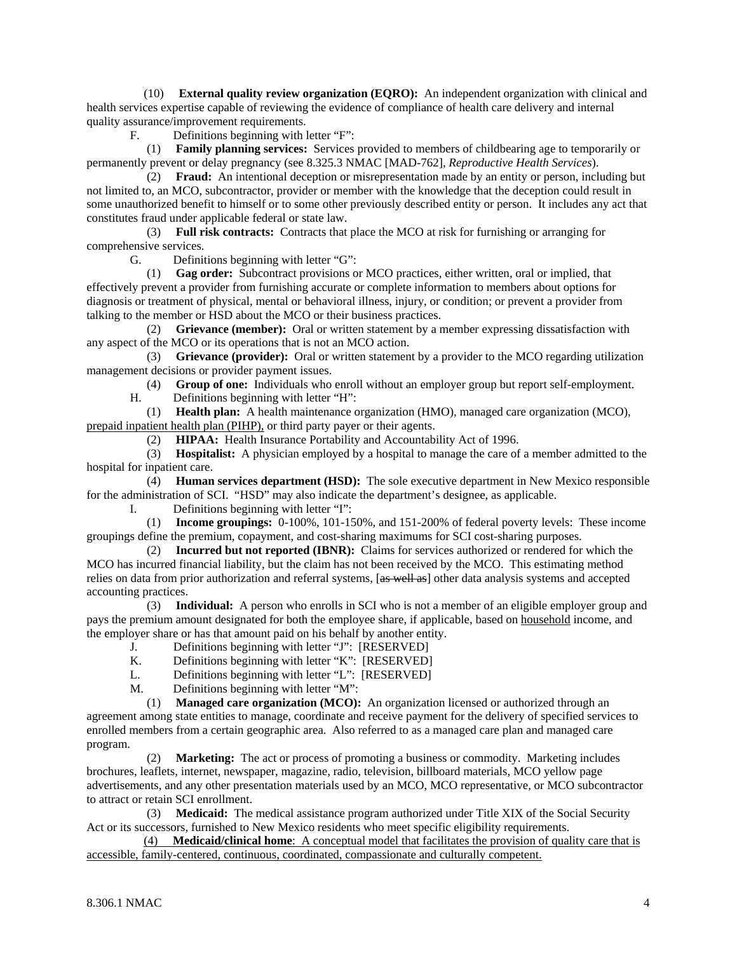(10) **External quality review organization (EQRO):** An independent organization with clinical and health services expertise capable of reviewing the evidence of compliance of health care delivery and internal quality assurance/improvement requirements.

F. Definitions beginning with letter "F":

 (1) **Family planning services:** Services provided to members of childbearing age to temporarily or permanently prevent or delay pregnancy (see 8.325.3 NMAC [MAD-762], *Reproductive Health Services*).

 (2) **Fraud:** An intentional deception or misrepresentation made by an entity or person, including but not limited to, an MCO, subcontractor, provider or member with the knowledge that the deception could result in some unauthorized benefit to himself or to some other previously described entity or person. It includes any act that constitutes fraud under applicable federal or state law.

 (3) **Full risk contracts:** Contracts that place the MCO at risk for furnishing or arranging for comprehensive services.

G. Definitions beginning with letter "G":

 (1) **Gag order:** Subcontract provisions or MCO practices, either written, oral or implied, that effectively prevent a provider from furnishing accurate or complete information to members about options for diagnosis or treatment of physical, mental or behavioral illness, injury, or condition; or prevent a provider from talking to the member or HSD about the MCO or their business practices.

 (2) **Grievance (member):** Oral or written statement by a member expressing dissatisfaction with any aspect of the MCO or its operations that is not an MCO action.

 (3) **Grievance (provider):** Oral or written statement by a provider to the MCO regarding utilization management decisions or provider payment issues.

(4) **Group of one:** Individuals who enroll without an employer group but report self-employment.

H. Definitions beginning with letter "H":

 (1) **Health plan:** A health maintenance organization (HMO), managed care organization (MCO), prepaid inpatient health plan (PIHP), or third party payer or their agents.

(2) **HIPAA:** Health Insurance Portability and Accountability Act of 1996.

 (3) **Hospitalist:** A physician employed by a hospital to manage the care of a member admitted to the hospital for inpatient care.

 (4) **Human services department (HSD):** The sole executive department in New Mexico responsible for the administration of SCI. "HSD" may also indicate the department's designee, as applicable.

I. Definitions beginning with letter "I":

 (1) **Income groupings:** 0-100%, 101-150%, and 151-200% of federal poverty levels: These income groupings define the premium, copayment, and cost-sharing maximums for SCI cost-sharing purposes.

 (2) **Incurred but not reported (IBNR):** Claims for services authorized or rendered for which the MCO has incurred financial liability, but the claim has not been received by the MCO. This estimating method relies on data from prior authorization and referral systems, [as well as] other data analysis systems and accepted accounting practices.

 (3) **Individual:** A person who enrolls in SCI who is not a member of an eligible employer group and pays the premium amount designated for both the employee share, if applicable, based on household income, and the employer share or has that amount paid on his behalf by another entity.

J. Definitions beginning with letter "J": [RESERVED]

K. Definitions beginning with letter "K": [RESERVED]

L. Definitions beginning with letter "L": [RESERVED]

M. Definitions beginning with letter "M":

 (1) **Managed care organization (MCO):** An organization licensed or authorized through an agreement among state entities to manage, coordinate and receive payment for the delivery of specified services to enrolled members from a certain geographic area. Also referred to as a managed care plan and managed care program.

 (2) **Marketing:** The act or process of promoting a business or commodity. Marketing includes brochures, leaflets, internet, newspaper, magazine, radio, television, billboard materials, MCO yellow page advertisements, and any other presentation materials used by an MCO, MCO representative, or MCO subcontractor to attract or retain SCI enrollment.

 (3) **Medicaid:** The medical assistance program authorized under Title XIX of the Social Security Act or its successors, furnished to New Mexico residents who meet specific eligibility requirements.

 (4) **Medicaid/clinical home**: A conceptual model that facilitates the provision of quality care that is accessible, family-centered, continuous, coordinated, compassionate and culturally competent.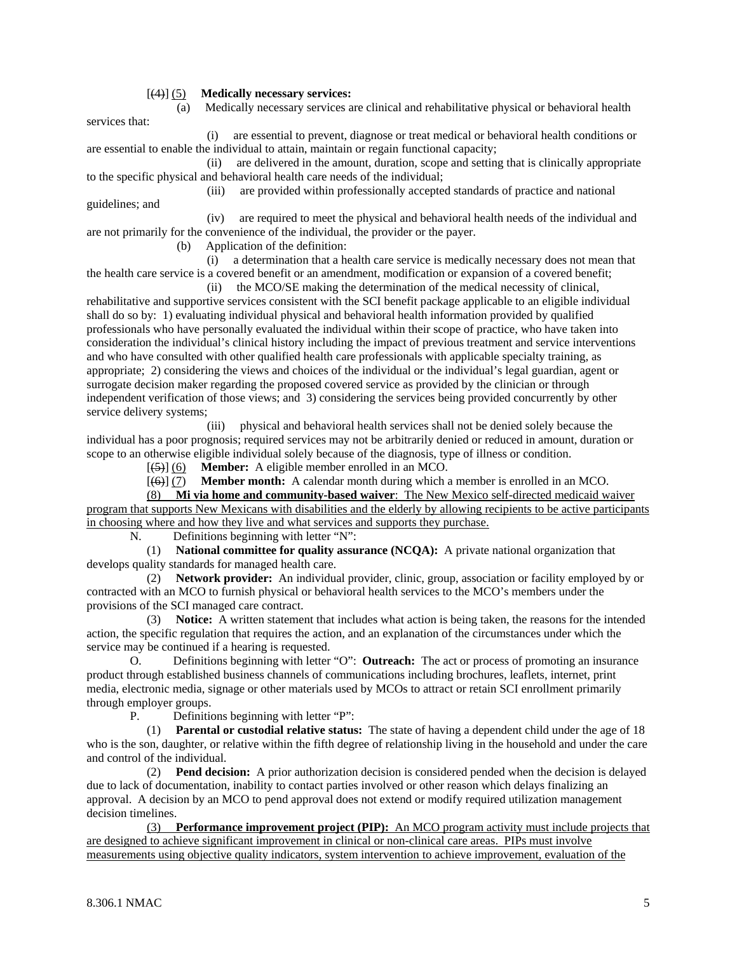#### [(4)] (5) **Medically necessary services:**

services that:

(a) Medically necessary services are clinical and rehabilitative physical or behavioral health

 (i) are essential to prevent, diagnose or treat medical or behavioral health conditions or are essential to enable the individual to attain, maintain or regain functional capacity;

 (ii) are delivered in the amount, duration, scope and setting that is clinically appropriate to the specific physical and behavioral health care needs of the individual;

 (iii) are provided within professionally accepted standards of practice and national guidelines; and

 (iv) are required to meet the physical and behavioral health needs of the individual and are not primarily for the convenience of the individual, the provider or the payer.

(b) Application of the definition:

 (i) a determination that a health care service is medically necessary does not mean that the health care service is a covered benefit or an amendment, modification or expansion of a covered benefit;

 (ii) the MCO/SE making the determination of the medical necessity of clinical, rehabilitative and supportive services consistent with the SCI benefit package applicable to an eligible individual shall do so by: 1) evaluating individual physical and behavioral health information provided by qualified professionals who have personally evaluated the individual within their scope of practice, who have taken into consideration the individual's clinical history including the impact of previous treatment and service interventions and who have consulted with other qualified health care professionals with applicable specialty training, as appropriate; 2) considering the views and choices of the individual or the individual's legal guardian, agent or surrogate decision maker regarding the proposed covered service as provided by the clinician or through independent verification of those views; and 3) considering the services being provided concurrently by other service delivery systems;

 (iii) physical and behavioral health services shall not be denied solely because the individual has a poor prognosis; required services may not be arbitrarily denied or reduced in amount, duration or scope to an otherwise eligible individual solely because of the diagnosis, type of illness or condition.

[(5)] (6) **Member:** A eligible member enrolled in an MCO.

[(6)] (7) **Member month:** A calendar month during which a member is enrolled in an MCO.

 (8) **Mi via home and community-based waiver**: The New Mexico self-directed medicaid waiver program that supports New Mexicans with disabilities and the elderly by allowing recipients to be active participants in choosing where and how they live and what services and supports they purchase.

N. Definitions beginning with letter "N":

 (1) **National committee for quality assurance (NCQA):** A private national organization that develops quality standards for managed health care.

 (2) **Network provider:** An individual provider, clinic, group, association or facility employed by or contracted with an MCO to furnish physical or behavioral health services to the MCO's members under the provisions of the SCI managed care contract.

 (3) **Notice:** A written statement that includes what action is being taken, the reasons for the intended action, the specific regulation that requires the action, and an explanation of the circumstances under which the service may be continued if a hearing is requested.

 O. Definitions beginning with letter "O": **Outreach:** The act or process of promoting an insurance product through established business channels of communications including brochures, leaflets, internet, print media, electronic media, signage or other materials used by MCOs to attract or retain SCI enrollment primarily through employer groups.

P. Definitions beginning with letter "P":

 (1) **Parental or custodial relative status:** The state of having a dependent child under the age of 18 who is the son, daughter, or relative within the fifth degree of relationship living in the household and under the care and control of the individual.

 (2) **Pend decision:** A prior authorization decision is considered pended when the decision is delayed due to lack of documentation, inability to contact parties involved or other reason which delays finalizing an approval. A decision by an MCO to pend approval does not extend or modify required utilization management decision timelines.

 (3) **Performance improvement project (PIP):** An MCO program activity must include projects that are designed to achieve significant improvement in clinical or non-clinical care areas. PIPs must involve measurements using objective quality indicators, system intervention to achieve improvement, evaluation of the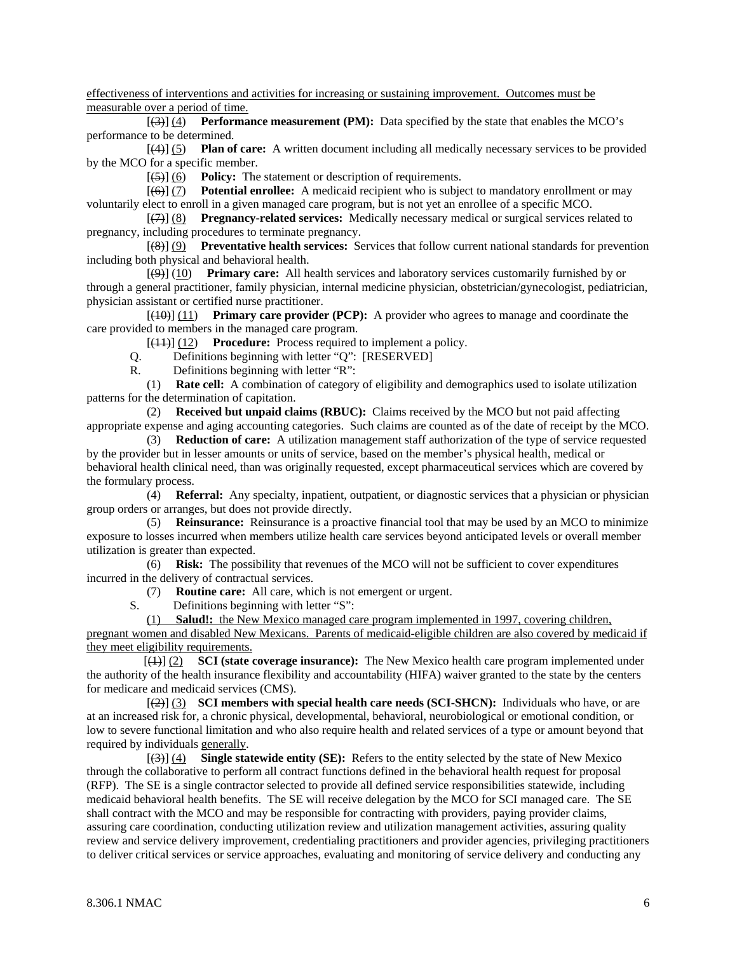effectiveness of interventions and activities for increasing or sustaining improvement. Outcomes must be measurable over a period of time.

 [(3)] (4) **Performance measurement (PM):** Data specified by the state that enables the MCO's performance to be determined.

 [(4)] (5) **Plan of care:** A written document including all medically necessary services to be provided by the MCO for a specific member.

[(5)] (6) **Policy:** The statement or description of requirements.

 [(6)] (7) **Potential enrollee:** A medicaid recipient who is subject to mandatory enrollment or may voluntarily elect to enroll in a given managed care program, but is not yet an enrollee of a specific MCO.

 [(7)] (8) **Pregnancy-related services:** Medically necessary medical or surgical services related to pregnancy, including procedures to terminate pregnancy.

 [(8)] (9) **Preventative health services:** Services that follow current national standards for prevention including both physical and behavioral health.

 [(9)] (10) **Primary care:** All health services and laboratory services customarily furnished by or through a general practitioner, family physician, internal medicine physician, obstetrician/gynecologist, pediatrician, physician assistant or certified nurse practitioner.

 [(10)] (11) **Primary care provider (PCP):** A provider who agrees to manage and coordinate the care provided to members in the managed care program.

[(11)] (12) **Procedure:** Process required to implement a policy.

Q. Definitions beginning with letter "Q": [RESERVED]

R. Definitions beginning with letter "R":

 (1) **Rate cell:** A combination of category of eligibility and demographics used to isolate utilization patterns for the determination of capitation.

 (2) **Received but unpaid claims (RBUC):** Claims received by the MCO but not paid affecting appropriate expense and aging accounting categories. Such claims are counted as of the date of receipt by the MCO.

 (3) **Reduction of care:** A utilization management staff authorization of the type of service requested by the provider but in lesser amounts or units of service, based on the member's physical health, medical or behavioral health clinical need, than was originally requested, except pharmaceutical services which are covered by the formulary process.

 (4) **Referral:** Any specialty, inpatient, outpatient, or diagnostic services that a physician or physician group orders or arranges, but does not provide directly.

 (5) **Reinsurance:** Reinsurance is a proactive financial tool that may be used by an MCO to minimize exposure to losses incurred when members utilize health care services beyond anticipated levels or overall member utilization is greater than expected.

 (6) **Risk:** The possibility that revenues of the MCO will not be sufficient to cover expenditures incurred in the delivery of contractual services.

(7) **Routine care:** All care, which is not emergent or urgent.

S. Definitions beginning with letter "S":

 (1) **Salud!:** the New Mexico managed care program implemented in 1997, covering children, pregnant women and disabled New Mexicans. Parents of medicaid-eligible children are also covered by medicaid if they meet eligibility requirements.

 [(1)] (2) **SCI (state coverage insurance):** The New Mexico health care program implemented under the authority of the health insurance flexibility and accountability (HIFA) waiver granted to the state by the centers for medicare and medicaid services (CMS).

 $[\frac{2}{2}]$  (3) **SCI members with special health care needs (SCI-SHCN):** Individuals who have, or are at an increased risk for, a chronic physical, developmental, behavioral, neurobiological or emotional condition, or low to severe functional limitation and who also require health and related services of a type or amount beyond that required by individuals generally.

 [(3)] (4) **Single statewide entity (SE):** Refers to the entity selected by the state of New Mexico through the collaborative to perform all contract functions defined in the behavioral health request for proposal (RFP). The SE is a single contractor selected to provide all defined service responsibilities statewide, including medicaid behavioral health benefits. The SE will receive delegation by the MCO for SCI managed care. The SE shall contract with the MCO and may be responsible for contracting with providers, paying provider claims, assuring care coordination, conducting utilization review and utilization management activities, assuring quality review and service delivery improvement, credentialing practitioners and provider agencies, privileging practitioners to deliver critical services or service approaches, evaluating and monitoring of service delivery and conducting any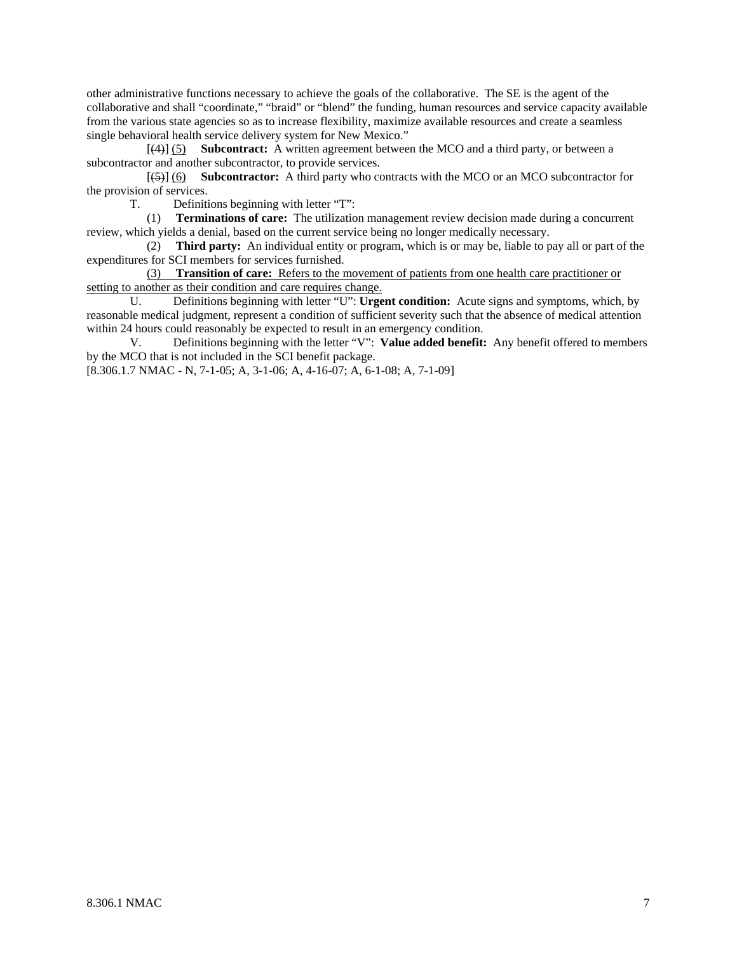other administrative functions necessary to achieve the goals of the collaborative. The SE is the agent of the collaborative and shall "coordinate," "braid" or "blend" the funding, human resources and service capacity available from the various state agencies so as to increase flexibility, maximize available resources and create a seamless single behavioral health service delivery system for New Mexico."

 [(4)] (5) **Subcontract:** A written agreement between the MCO and a third party, or between a subcontractor and another subcontractor, to provide services.

 [(5)] (6) **Subcontractor:** A third party who contracts with the MCO or an MCO subcontractor for the provision of services.

T. Definitions beginning with letter "T":

 (1) **Terminations of care:** The utilization management review decision made during a concurrent review, which yields a denial, based on the current service being no longer medically necessary.

 (2) **Third party:** An individual entity or program, which is or may be, liable to pay all or part of the expenditures for SCI members for services furnished.

 (3) **Transition of care:** Refers to the movement of patients from one health care practitioner or setting to another as their condition and care requires change.

 U. Definitions beginning with letter "U": **Urgent condition:** Acute signs and symptoms, which, by reasonable medical judgment, represent a condition of sufficient severity such that the absence of medical attention within 24 hours could reasonably be expected to result in an emergency condition.

 V. Definitions beginning with the letter "V": **Value added benefit:** Any benefit offered to members by the MCO that is not included in the SCI benefit package.

[8.306.1.7 NMAC - N, 7-1-05; A, 3-1-06; A, 4-16-07; A, 6-1-08; A, 7-1-09]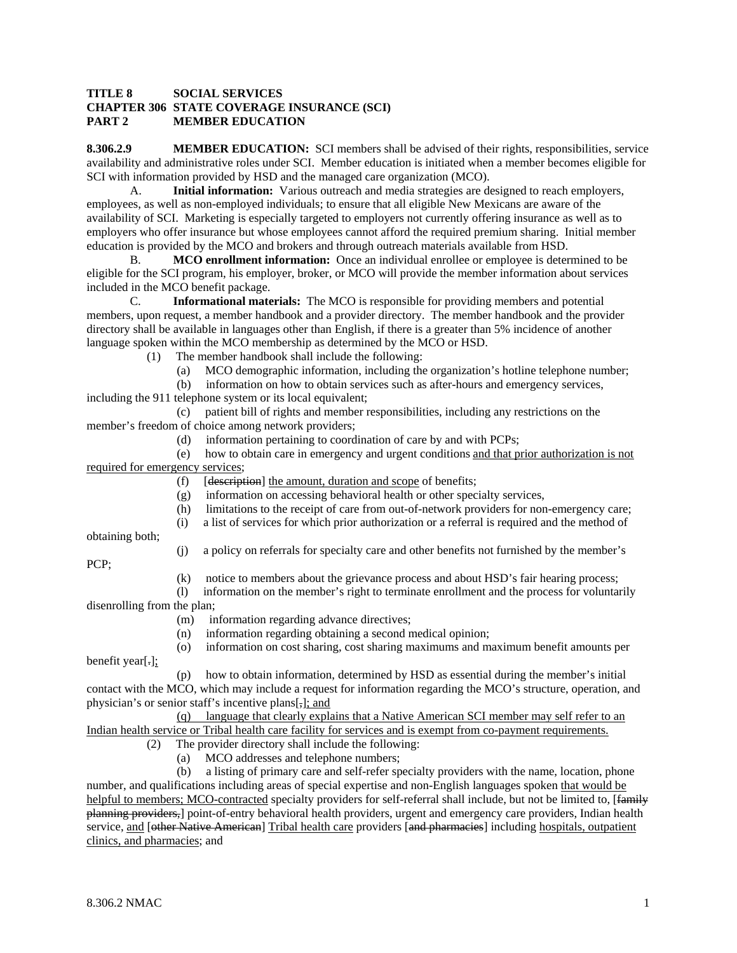#### **TITLE 8 SOCIAL SERVICES CHAPTER 306 STATE COVERAGE INSURANCE (SCI) PART 2 MEMBER EDUCATION**

**8.306.2.9 MEMBER EDUCATION:** SCI members shall be advised of their rights, responsibilities, service availability and administrative roles under SCI. Member education is initiated when a member becomes eligible for SCI with information provided by HSD and the managed care organization (MCO).

 A. **Initial information:** Various outreach and media strategies are designed to reach employers, employees, as well as non-employed individuals; to ensure that all eligible New Mexicans are aware of the availability of SCI. Marketing is especially targeted to employers not currently offering insurance as well as to employers who offer insurance but whose employees cannot afford the required premium sharing. Initial member education is provided by the MCO and brokers and through outreach materials available from HSD.

B. **MCO enrollment information:** Once an individual enrollee or employee is determined to be eligible for the SCI program, his employer, broker, or MCO will provide the member information about services included in the MCO benefit package.

 C. **Informational materials:** The MCO is responsible for providing members and potential members, upon request, a member handbook and a provider directory. The member handbook and the provider directory shall be available in languages other than English, if there is a greater than 5% incidence of another language spoken within the MCO membership as determined by the MCO or HSD.

(1) The member handbook shall include the following:

- (a) MCO demographic information, including the organization's hotline telephone number;
- (b) information on how to obtain services such as after-hours and emergency services,

including the 911 telephone system or its local equivalent;

 (c) patient bill of rights and member responsibilities, including any restrictions on the member's freedom of choice among network providers;

(d) information pertaining to coordination of care by and with PCPs;

 (e) how to obtain care in emergency and urgent conditions and that prior authorization is not required for emergency services;

- (f) [description] the amount, duration and scope of benefits;
- (g) information on accessing behavioral health or other specialty services,
- (h) limitations to the receipt of care from out-of-network providers for non-emergency care;
- (i) a list of services for which prior authorization or a referral is required and the method of

obtaining both;

(j) a policy on referrals for specialty care and other benefits not furnished by the member's

PCP;

- (k) notice to members about the grievance process and about HSD's fair hearing process;
- (l) information on the member's right to terminate enrollment and the process for voluntarily disenrolling from the plan;
	- (m) information regarding advance directives;
	- (n) information regarding obtaining a second medical opinion;
- (o) information on cost sharing, cost sharing maximums and maximum benefit amounts per benefit year[.];
- (p) how to obtain information, determined by HSD as essential during the member's initial contact with the MCO, which may include a request for information regarding the MCO's structure, operation, and

physician's or senior staff's incentive plans[,]; and (q) language that clearly explains that a Native American SCI member may self refer to an

Indian health service or Tribal health care facility for services and is exempt from co-payment requirements.

- (2) The provider directory shall include the following:
	- (a) MCO addresses and telephone numbers;

 (b) a listing of primary care and self-refer specialty providers with the name, location, phone number, and qualifications including areas of special expertise and non-English languages spoken that would be helpful to members; MCO-contracted specialty providers for self-referral shall include, but not be limited to, [family planning providers,] point-of-entry behavioral health providers, urgent and emergency care providers, Indian health service, and [other Native American] Tribal health care providers [and pharmacies] including hospitals, outpatient clinics, and pharmacies; and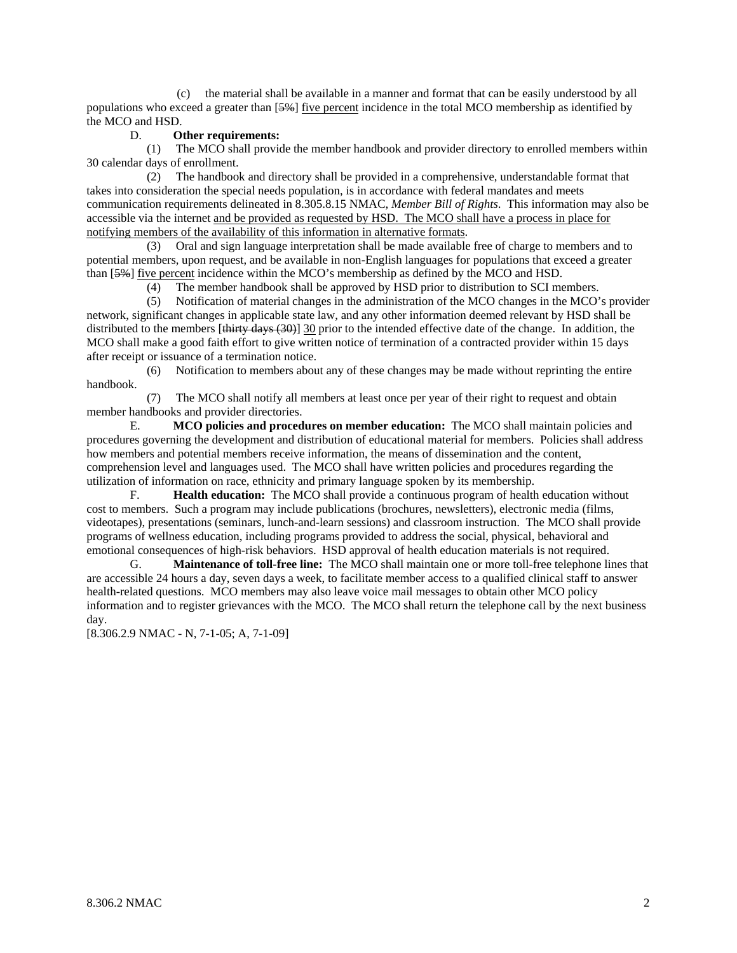(c) the material shall be available in a manner and format that can be easily understood by all populations who exceed a greater than [5%] five percent incidence in the total MCO membership as identified by the MCO and HSD.

#### D. **Other requirements:**

 (1) The MCO shall provide the member handbook and provider directory to enrolled members within 30 calendar days of enrollment.

 (2) The handbook and directory shall be provided in a comprehensive, understandable format that takes into consideration the special needs population, is in accordance with federal mandates and meets communication requirements delineated in 8.305.8.15 NMAC, *Member Bill of Rights*. This information may also be accessible via the internet and be provided as requested by HSD. The MCO shall have a process in place for notifying members of the availability of this information in alternative formats.

 (3) Oral and sign language interpretation shall be made available free of charge to members and to potential members, upon request, and be available in non-English languages for populations that exceed a greater than [5%] five percent incidence within the MCO's membership as defined by the MCO and HSD.

(4) The member handbook shall be approved by HSD prior to distribution to SCI members.

 (5) Notification of material changes in the administration of the MCO changes in the MCO's provider network, significant changes in applicable state law, and any other information deemed relevant by HSD shall be distributed to the members [thirty days (30)] 30 prior to the intended effective date of the change. In addition, the MCO shall make a good faith effort to give written notice of termination of a contracted provider within 15 days after receipt or issuance of a termination notice.

 (6) Notification to members about any of these changes may be made without reprinting the entire handbook.

 (7) The MCO shall notify all members at least once per year of their right to request and obtain member handbooks and provider directories.

 E. **MCO policies and procedures on member education:** The MCO shall maintain policies and procedures governing the development and distribution of educational material for members. Policies shall address how members and potential members receive information, the means of dissemination and the content, comprehension level and languages used. The MCO shall have written policies and procedures regarding the utilization of information on race, ethnicity and primary language spoken by its membership.

 F. **Health education:** The MCO shall provide a continuous program of health education without cost to members. Such a program may include publications (brochures, newsletters), electronic media (films, videotapes), presentations (seminars, lunch-and-learn sessions) and classroom instruction. The MCO shall provide programs of wellness education, including programs provided to address the social, physical, behavioral and emotional consequences of high-risk behaviors. HSD approval of health education materials is not required.

 G. **Maintenance of toll-free line:** The MCO shall maintain one or more toll-free telephone lines that are accessible 24 hours a day, seven days a week, to facilitate member access to a qualified clinical staff to answer health-related questions. MCO members may also leave voice mail messages to obtain other MCO policy information and to register grievances with the MCO. The MCO shall return the telephone call by the next business day.

[8.306.2.9 NMAC - N, 7-1-05; A, 7-1-09]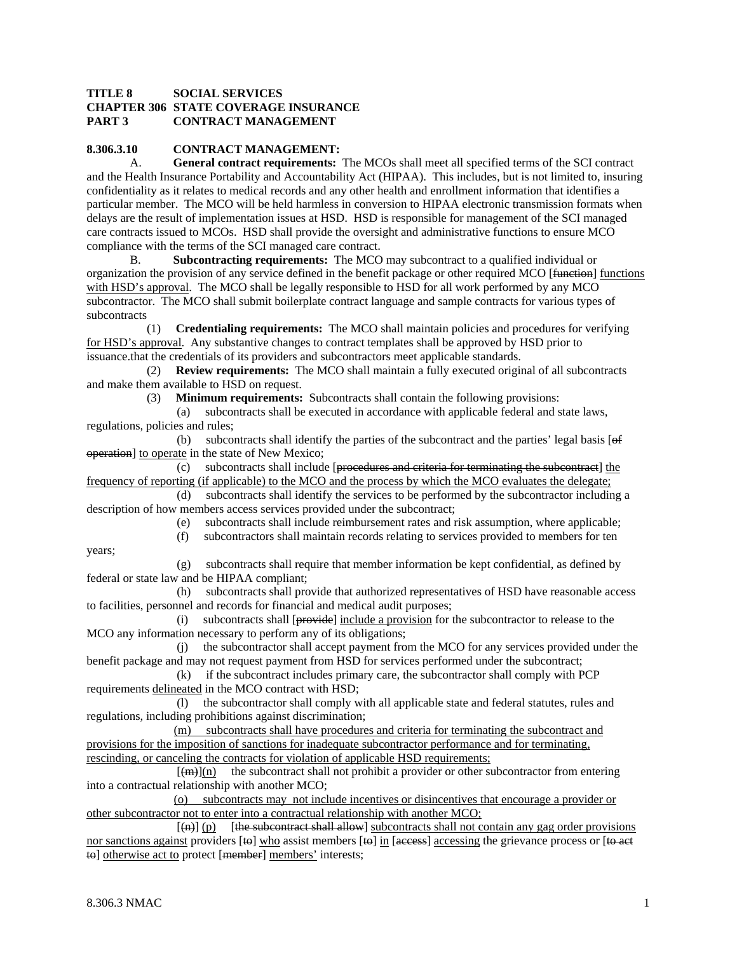### **TITLE 8 SOCIAL SERVICES CHAPTER 306 STATE COVERAGE INSURANCE PART 3 CONTRACT MANAGEMENT**

## **8.306.3.10 CONTRACT MANAGEMENT:**

 A. **General contract requirements:** The MCOs shall meet all specified terms of the SCI contract and the Health Insurance Portability and Accountability Act (HIPAA). This includes, but is not limited to, insuring confidentiality as it relates to medical records and any other health and enrollment information that identifies a particular member. The MCO will be held harmless in conversion to HIPAA electronic transmission formats when delays are the result of implementation issues at HSD. HSD is responsible for management of the SCI managed care contracts issued to MCOs. HSD shall provide the oversight and administrative functions to ensure MCO compliance with the terms of the SCI managed care contract.

 B. **Subcontracting requirements:** The MCO may subcontract to a qualified individual or organization the provision of any service defined in the benefit package or other required MCO [<del>function</del>] functions with HSD's approval. The MCO shall be legally responsible to HSD for all work performed by any MCO subcontractor. The MCO shall submit boilerplate contract language and sample contracts for various types of subcontracts

 (1) **Credentialing requirements:** The MCO shall maintain policies and procedures for verifying for HSD's approval. Any substantive changes to contract templates shall be approved by HSD prior to issuance.that the credentials of its providers and subcontractors meet applicable standards.

 (2) **Review requirements:** The MCO shall maintain a fully executed original of all subcontracts and make them available to HSD on request.

(3) **Minimum requirements:** Subcontracts shall contain the following provisions:

 (a) subcontracts shall be executed in accordance with applicable federal and state laws, regulations, policies and rules;

(b) subcontracts shall identify the parties of the subcontract and the parties' legal basis  $[ $\Theta$$ operation] to operate in the state of New Mexico;

 (c) subcontracts shall include [procedures and criteria for terminating the subcontract] the frequency of reporting (if applicable) to the MCO and the process by which the MCO evaluates the delegate;

 (d) subcontracts shall identify the services to be performed by the subcontractor including a description of how members access services provided under the subcontract;

 (e) subcontracts shall include reimbursement rates and risk assumption, where applicable; (f) subcontractors shall maintain records relating to services provided to members for ten

years;

 (g) subcontracts shall require that member information be kept confidential, as defined by federal or state law and be HIPAA compliant;

 (h) subcontracts shall provide that authorized representatives of HSD have reasonable access to facilities, personnel and records for financial and medical audit purposes;

 (i) subcontracts shall [provide] include a provision for the subcontractor to release to the MCO any information necessary to perform any of its obligations;

 (j) the subcontractor shall accept payment from the MCO for any services provided under the benefit package and may not request payment from HSD for services performed under the subcontract;

 (k) if the subcontract includes primary care, the subcontractor shall comply with PCP requirements delineated in the MCO contract with HSD;

 (l) the subcontractor shall comply with all applicable state and federal statutes, rules and regulations, including prohibitions against discrimination;

 (m) subcontracts shall have procedures and criteria for terminating the subcontract and provisions for the imposition of sanctions for inadequate subcontractor performance and for terminating, rescinding, or canceling the contracts for violation of applicable HSD requirements;

 $[\frac{m}{m}]$ (n) the subcontract shall not prohibit a provider or other subcontractor from entering into a contractual relationship with another MCO;

 (o) subcontracts may not include incentives or disincentives that encourage a provider or other subcontractor not to enter into a contractual relationship with another MCO;

 $[(n)] (p)$  [the subcontract shall allow] subcontracts shall not contain any gag order provisions nor sanctions against providers [to] who assist members [to] in [access] accessing the grievance process or [to act to otherwise act to protect [member] members' interests;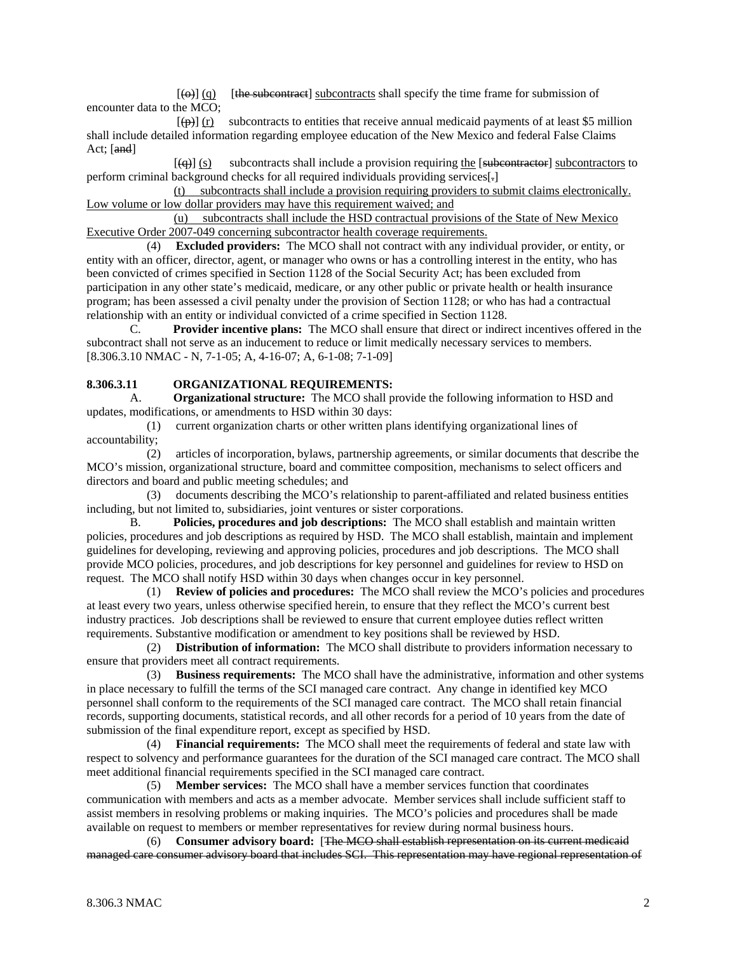$[\omega]$  (q) [the subcontract] subcontracts shall specify the time frame for submission of encounter data to the MCO;

 $[\frac{\theta}{\theta}]$  (r) subcontracts to entities that receive annual medicaid payments of at least \$5 million shall include detailed information regarding employee education of the New Mexico and federal False Claims Act; [and]

 $[\overline{q}]$  (s) subcontracts shall include a provision requiring the [subcontractors to subcontractors to perform criminal background checks for all required individuals providing services[.]

 (t) subcontracts shall include a provision requiring providers to submit claims electronically. Low volume or low dollar providers may have this requirement waived; and

 (u) subcontracts shall include the HSD contractual provisions of the State of New Mexico Executive Order 2007-049 concerning subcontractor health coverage requirements.

 (4) **Excluded providers:** The MCO shall not contract with any individual provider, or entity, or entity with an officer, director, agent, or manager who owns or has a controlling interest in the entity, who has been convicted of crimes specified in Section 1128 of the Social Security Act; has been excluded from participation in any other state's medicaid, medicare, or any other public or private health or health insurance program; has been assessed a civil penalty under the provision of Section 1128; or who has had a contractual relationship with an entity or individual convicted of a crime specified in Section 1128.

C. **Provider incentive plans:** The MCO shall ensure that direct or indirect incentives offered in the subcontract shall not serve as an inducement to reduce or limit medically necessary services to members. [8.306.3.10 NMAC - N, 7-1-05; A, 4-16-07; A, 6-1-08; 7-1-09]

### **8.306.3.11 ORGANIZATIONAL REQUIREMENTS:**

A. **Organizational structure:** The MCO shall provide the following information to HSD and updates, modifications, or amendments to HSD within 30 days:

 (1) current organization charts or other written plans identifying organizational lines of accountability;

 (2) articles of incorporation, bylaws, partnership agreements, or similar documents that describe the MCO's mission, organizational structure, board and committee composition, mechanisms to select officers and directors and board and public meeting schedules; and

 (3) documents describing the MCO's relationship to parent-affiliated and related business entities including, but not limited to, subsidiaries, joint ventures or sister corporations.

 B. **Policies, procedures and job descriptions:** The MCO shall establish and maintain written policies, procedures and job descriptions as required by HSD. The MCO shall establish, maintain and implement guidelines for developing, reviewing and approving policies, procedures and job descriptions. The MCO shall provide MCO policies, procedures, and job descriptions for key personnel and guidelines for review to HSD on request. The MCO shall notify HSD within 30 days when changes occur in key personnel.

 (1) **Review of policies and procedures:** The MCO shall review the MCO's policies and procedures at least every two years, unless otherwise specified herein, to ensure that they reflect the MCO's current best industry practices. Job descriptions shall be reviewed to ensure that current employee duties reflect written requirements. Substantive modification or amendment to key positions shall be reviewed by HSD.

 (2) **Distribution of information:** The MCO shall distribute to providers information necessary to ensure that providers meet all contract requirements.

 (3) **Business requirements:** The MCO shall have the administrative, information and other systems in place necessary to fulfill the terms of the SCI managed care contract. Any change in identified key MCO personnel shall conform to the requirements of the SCI managed care contract. The MCO shall retain financial records, supporting documents, statistical records, and all other records for a period of 10 years from the date of submission of the final expenditure report, except as specified by HSD.

 (4) **Financial requirements:** The MCO shall meet the requirements of federal and state law with respect to solvency and performance guarantees for the duration of the SCI managed care contract. The MCO shall meet additional financial requirements specified in the SCI managed care contract.

 (5) **Member services:** The MCO shall have a member services function that coordinates communication with members and acts as a member advocate. Member services shall include sufficient staff to assist members in resolving problems or making inquiries. The MCO's policies and procedures shall be made available on request to members or member representatives for review during normal business hours.

 (6) **Consumer advisory board:** [The MCO shall establish representation on its current medicaid managed care consumer advisory board that includes SCI. This representation may have regional representation of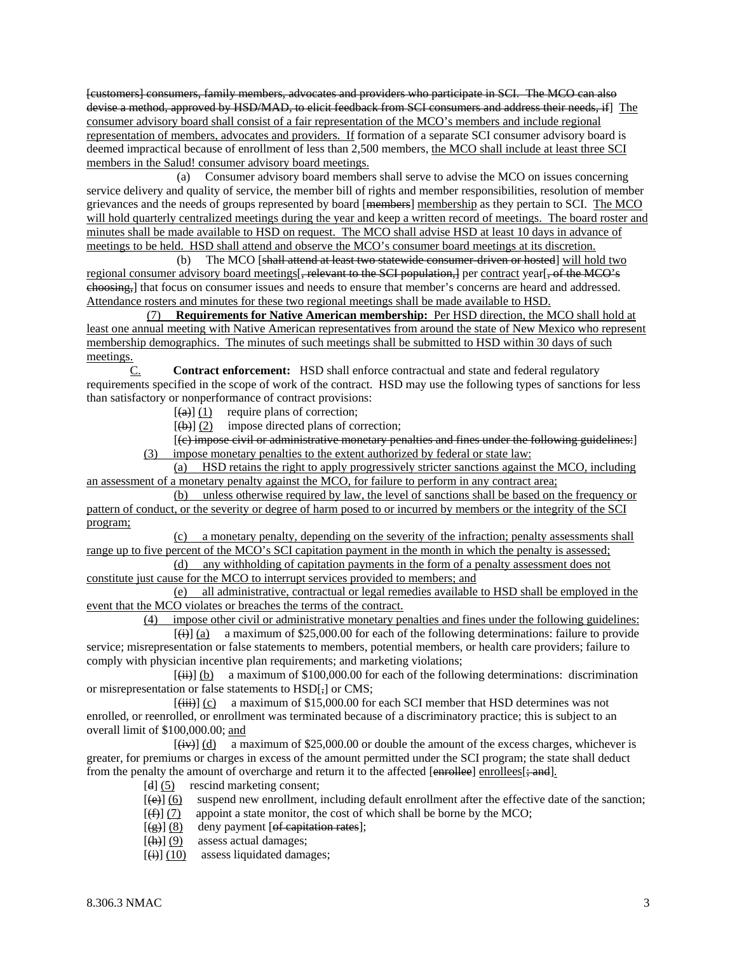[customers] consumers, family members, advocates and providers who participate in SCI. The MCO can also devise a method, approved by HSD/MAD, to elicit feedback from SCI consumers and address their needs, if] The consumer advisory board shall consist of a fair representation of the MCO's members and include regional representation of members, advocates and providers. If formation of a separate SCI consumer advisory board is deemed impractical because of enrollment of less than 2,500 members, the MCO shall include at least three SCI members in the Salud! consumer advisory board meetings.

 (a) Consumer advisory board members shall serve to advise the MCO on issues concerning service delivery and quality of service, the member bill of rights and member responsibilities, resolution of member grievances and the needs of groups represented by board [members] membership as they pertain to SCI. The MCO will hold quarterly centralized meetings during the year and keep a written record of meetings. The board roster and minutes shall be made available to HSD on request. The MCO shall advise HSD at least 10 days in advance of meetings to be held. HSD shall attend and observe the MCO's consumer board meetings at its discretion.

(b) The MCO [shall attend at least two statewide consumer-driven or hosted] will hold two regional consumer advisory board meetings[, relevant to the SCI population,] per contract year[, of the MCO's choosing,] that focus on consumer issues and needs to ensure that member's concerns are heard and addressed. Attendance rosters and minutes for these two regional meetings shall be made available to HSD.

 (7) **Requirements for Native American membership:** Per HSD direction, the MCO shall hold at least one annual meeting with Native American representatives from around the state of New Mexico who represent membership demographics. The minutes of such meetings shall be submitted to HSD within 30 days of such meetings.

C. **Contract enforcement:** HSD shall enforce contractual and state and federal regulatory requirements specified in the scope of work of the contract. HSD may use the following types of sanctions for less than satisfactory or nonperformance of contract provisions:

 $\left[\frac{(\mathbf{a})}{(1)}\right]$  require plans of correction;

 $[\phi] (2)$  impose directed plans of correction;

 [(c) impose civil or administrative monetary penalties and fines under the following guidelines:] (3) impose monetary penalties to the extent authorized by federal or state law:

 (a) HSD retains the right to apply progressively stricter sanctions against the MCO, including an assessment of a monetary penalty against the MCO, for failure to perform in any contract area;

 (b) unless otherwise required by law, the level of sanctions shall be based on the frequency or pattern of conduct, or the severity or degree of harm posed to or incurred by members or the integrity of the SCI program;

 (c) a monetary penalty, depending on the severity of the infraction; penalty assessments shall range up to five percent of the MCO's SCI capitation payment in the month in which the penalty is assessed;

 (d) any withholding of capitation payments in the form of a penalty assessment does not constitute just cause for the MCO to interrupt services provided to members; and

 (e) all administrative, contractual or legal remedies available to HSD shall be employed in the event that the MCO violates or breaches the terms of the contract.

(4) impose other civil or administrative monetary penalties and fines under the following guidelines:

 $[\text{H}\left(\text{H}\right)]$  (a) a maximum of \$25,000.00 for each of the following determinations: failure to provide service; misrepresentation or false statements to members, potential members, or health care providers; failure to comply with physician incentive plan requirements; and marketing violations;

 $[\overline{(\mathbf{ii})}]$  (b) a maximum of \$100,000.00 for each of the following determinations: discrimination or misrepresentation or false statements to HSD[,] or CMS;

 $[\overline{\text{(iii)}}]$  (c) a maximum of \$15,000.00 for each SCI member that HSD determines was not enrolled, or reenrolled, or enrollment was terminated because of a discriminatory practice; this is subject to an overall limit of \$100,000.00; and

 $[\overline{(+)}]$  (d) a maximum of \$25,000.00 or double the amount of the excess charges, whichever is greater, for premiums or charges in excess of the amount permitted under the SCI program; the state shall deduct from the penalty the amount of overcharge and return it to the affected  $[enrolled]$  enrollees $[\frac{1}{2}$  and].

- [d] (5) rescind marketing consent;
- $[\Theta]$  (6) suspend new enrollment, including default enrollment after the effective date of the sanction;
- $[(f)]$  (7) appoint a state monitor, the cost of which shall be borne by the MCO;
- $[\frac{1}{(g)}](8)$  deny payment [of capitation rates];
- $[\text{th}] (9)$  assess actual damages;
- $[\text{ii}][(10)]$  assess liquidated damages;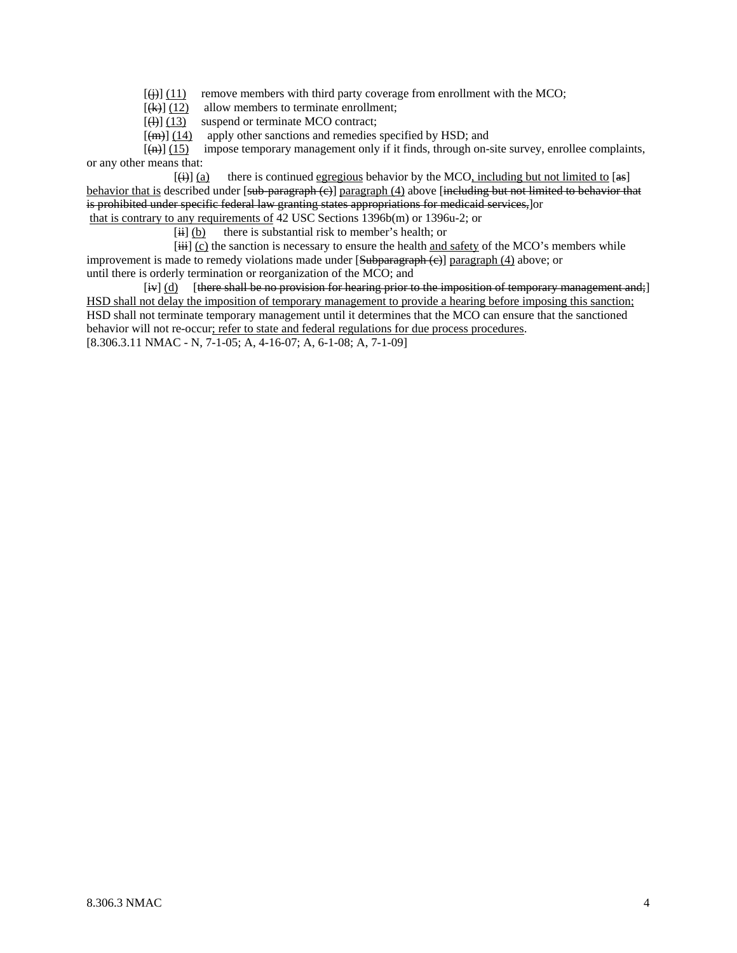$[\frac{11}{2}]$  (11) remove members with third party coverage from enrollment with the MCO;

 $[\text{(+)}]$  (12) allow members to terminate enrollment;<br>(4) (13) suspend or terminate MCO contract;

suspend or terminate MCO contract;

 $[(m)] (14)$  apply other sanctions and remedies specified by HSD; and

 $[\overline{+}, \overline{+}]$  (15) impose temporary management only if it finds, through on-site survey, enrollee complaints, or any other means that:

 $[\frac{1}{(4)}]$  (a) there is continued egregious behavior by the MCO, including but not limited to [as] behavior that is described under  $[\frac{\text{sub-parameter}}{(\text{sub-parameter})}]$  paragraph (4) above  $[\frac{\text{ineluding} \text{sub-metric}}{(\text{sub-temperature})}]$ is prohibited under specific federal law granting states appropriations for medicaid services,]or that is contrary to any requirements of 42 USC Sections 1396b(m) or 1396u-2; or

 $[iii]$  (b) there is substantial risk to member's health; or

 $[iii]$  (c) the sanction is necessary to ensure the health and safety of the MCO's members while improvement is made to remedy violations made under  $[\frac{\text{Subparagraph (c)}}{\text{paragraph (4)}}$  above; or until there is orderly termination or reorganization of the MCO; and

[iv] (d) [there shall be no provision for hearing prior to the imposition of temporary management and;] HSD shall not delay the imposition of temporary management to provide a hearing before imposing this sanction; HSD shall not terminate temporary management until it determines that the MCO can ensure that the sanctioned behavior will not re-occur; refer to state and federal regulations for due process procedures. [8.306.3.11 NMAC - N, 7-1-05; A, 4-16-07; A, 6-1-08; A, 7-1-09]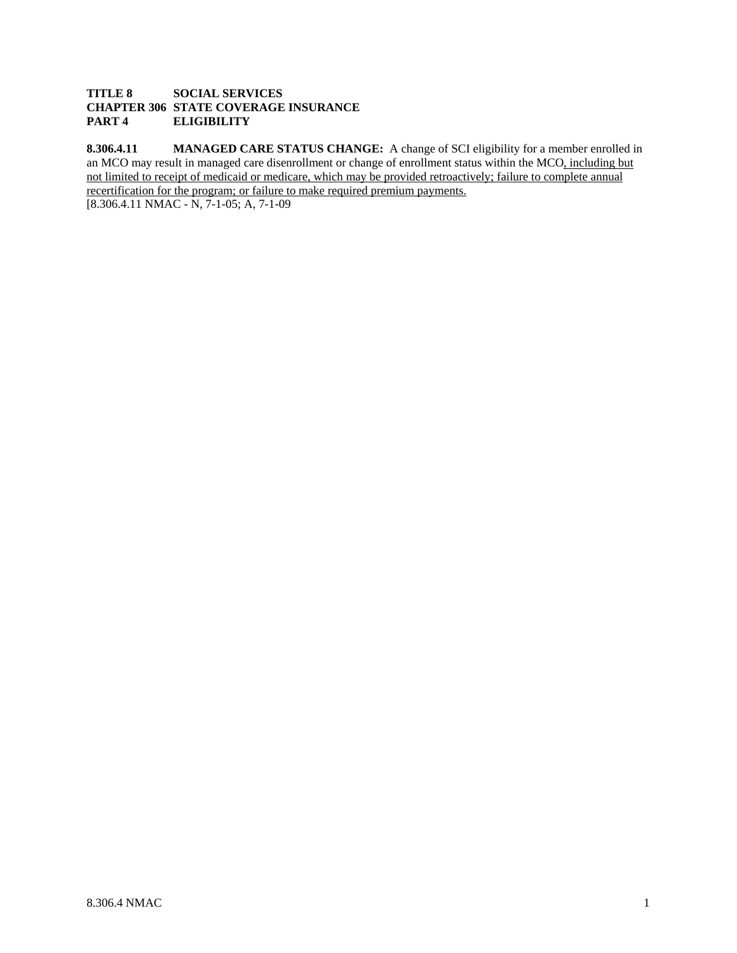## **TITLE 8 SOCIAL SERVICES CHAPTER 306 STATE COVERAGE INSURANCE PART 4 ELIGIBILITY**

**8.306.4.11 MANAGED CARE STATUS CHANGE:** A change of SCI eligibility for a member enrolled in an MCO may result in managed care disenrollment or change of enrollment status within the MCO, including but not limited to receipt of medicaid or medicare, which may be provided retroactively; failure to complete annual recertification for the program; or failure to make required premium payments.

[8.306.4.11 NMAC - N, 7-1-05; A, 7-1-09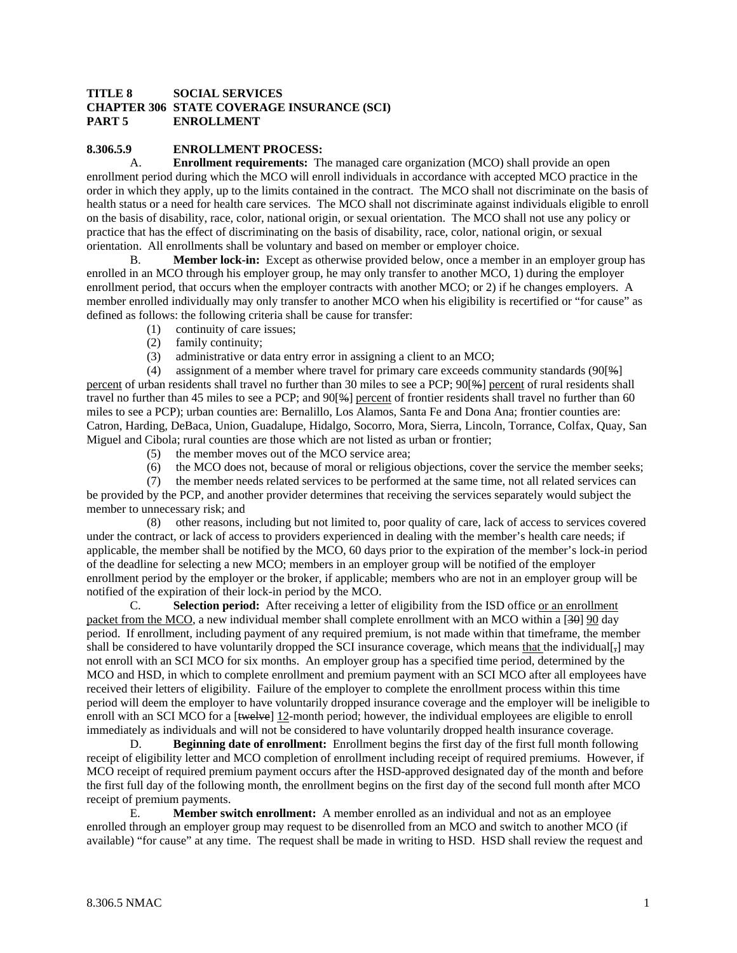### **TITLE 8 SOCIAL SERVICES CHAPTER 306 STATE COVERAGE INSURANCE (SCI) PART 5 ENROLLMENT**

### **8.306.5.9 ENROLLMENT PROCESS:**

 A. **Enrollment requirements:** The managed care organization (MCO) shall provide an open enrollment period during which the MCO will enroll individuals in accordance with accepted MCO practice in the order in which they apply, up to the limits contained in the contract. The MCO shall not discriminate on the basis of health status or a need for health care services. The MCO shall not discriminate against individuals eligible to enroll on the basis of disability, race, color, national origin, or sexual orientation. The MCO shall not use any policy or practice that has the effect of discriminating on the basis of disability, race, color, national origin, or sexual orientation. All enrollments shall be voluntary and based on member or employer choice.

 B. **Member lock-in:** Except as otherwise provided below, once a member in an employer group has enrolled in an MCO through his employer group, he may only transfer to another MCO, 1) during the employer enrollment period, that occurs when the employer contracts with another MCO; or 2) if he changes employers. A member enrolled individually may only transfer to another MCO when his eligibility is recertified or "for cause" as defined as follows: the following criteria shall be cause for transfer:

- (1) continuity of care issues;
- (2) family continuity;
- (3) administrative or data entry error in assigning a client to an MCO;

 (4) assignment of a member where travel for primary care exceeds community standards (90[%] percent of urban residents shall travel no further than 30 miles to see a PCP; 90[%] percent of rural residents shall travel no further than 45 miles to see a PCP; and 90[%] percent of frontier residents shall travel no further than 60 miles to see a PCP); urban counties are: Bernalillo, Los Alamos, Santa Fe and Dona Ana; frontier counties are: Catron, Harding, DeBaca, Union, Guadalupe, Hidalgo, Socorro, Mora, Sierra, Lincoln, Torrance, Colfax, Quay, San Miguel and Cibola; rural counties are those which are not listed as urban or frontier;

- (5) the member moves out of the MCO service area;
- (6) the MCO does not, because of moral or religious objections, cover the service the member seeks;

 (7) the member needs related services to be performed at the same time, not all related services can be provided by the PCP, and another provider determines that receiving the services separately would subject the member to unnecessary risk; and

 (8) other reasons, including but not limited to, poor quality of care, lack of access to services covered under the contract, or lack of access to providers experienced in dealing with the member's health care needs; if applicable, the member shall be notified by the MCO, 60 days prior to the expiration of the member's lock-in period of the deadline for selecting a new MCO; members in an employer group will be notified of the employer enrollment period by the employer or the broker, if applicable; members who are not in an employer group will be notified of the expiration of their lock-in period by the MCO.

 C. **Selection period:** After receiving a letter of eligibility from the ISD office or an enrollment packet from the MCO, a new individual member shall complete enrollment with an MCO within a [30] 90 day period. If enrollment, including payment of any required premium, is not made within that timeframe, the member shall be considered to have voluntarily dropped the SCI insurance coverage, which means that the individual[ $_{7}$ ] may not enroll with an SCI MCO for six months. An employer group has a specified time period, determined by the MCO and HSD, in which to complete enrollment and premium payment with an SCI MCO after all employees have received their letters of eligibility. Failure of the employer to complete the enrollment process within this time period will deem the employer to have voluntarily dropped insurance coverage and the employer will be ineligible to enroll with an SCI MCO for a [<del>twelve</del>] 12-month period; however, the individual employees are eligible to enroll immediately as individuals and will not be considered to have voluntarily dropped health insurance coverage.

 D. **Beginning date of enrollment:** Enrollment begins the first day of the first full month following receipt of eligibility letter and MCO completion of enrollment including receipt of required premiums. However, if MCO receipt of required premium payment occurs after the HSD-approved designated day of the month and before the first full day of the following month, the enrollment begins on the first day of the second full month after MCO receipt of premium payments.

 E. **Member switch enrollment:** A member enrolled as an individual and not as an employee enrolled through an employer group may request to be disenrolled from an MCO and switch to another MCO (if available) "for cause" at any time. The request shall be made in writing to HSD. HSD shall review the request and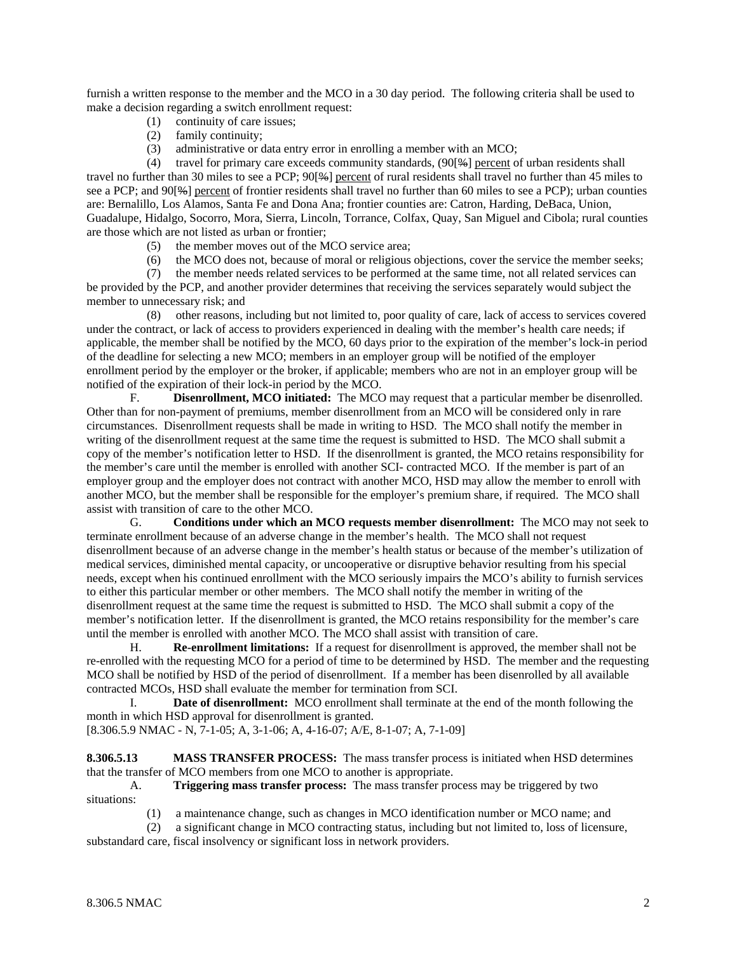furnish a written response to the member and the MCO in a 30 day period. The following criteria shall be used to make a decision regarding a switch enrollment request:

- (1) continuity of care issues;
- (2) family continuity;
- (3) administrative or data entry error in enrolling a member with an MCO;

 (4) travel for primary care exceeds community standards, (90[%] percent of urban residents shall travel no further than 30 miles to see a PCP; 90[%] percent of rural residents shall travel no further than 45 miles to see a PCP; and 90[%] percent of frontier residents shall travel no further than 60 miles to see a PCP); urban counties are: Bernalillo, Los Alamos, Santa Fe and Dona Ana; frontier counties are: Catron, Harding, DeBaca, Union, Guadalupe, Hidalgo, Socorro, Mora, Sierra, Lincoln, Torrance, Colfax, Quay, San Miguel and Cibola; rural counties are those which are not listed as urban or frontier;

- (5) the member moves out of the MCO service area;
- (6) the MCO does not, because of moral or religious objections, cover the service the member seeks;
- (7) the member needs related services to be performed at the same time, not all related services can

be provided by the PCP, and another provider determines that receiving the services separately would subject the member to unnecessary risk; and

 (8) other reasons, including but not limited to, poor quality of care, lack of access to services covered under the contract, or lack of access to providers experienced in dealing with the member's health care needs; if applicable, the member shall be notified by the MCO, 60 days prior to the expiration of the member's lock-in period of the deadline for selecting a new MCO; members in an employer group will be notified of the employer enrollment period by the employer or the broker, if applicable; members who are not in an employer group will be notified of the expiration of their lock-in period by the MCO.

 F. **Disenrollment, MCO initiated:** The MCO may request that a particular member be disenrolled. Other than for non-payment of premiums, member disenrollment from an MCO will be considered only in rare circumstances. Disenrollment requests shall be made in writing to HSD. The MCO shall notify the member in writing of the disenrollment request at the same time the request is submitted to HSD. The MCO shall submit a copy of the member's notification letter to HSD. If the disenrollment is granted, the MCO retains responsibility for the member's care until the member is enrolled with another SCI- contracted MCO. If the member is part of an employer group and the employer does not contract with another MCO, HSD may allow the member to enroll with another MCO, but the member shall be responsible for the employer's premium share, if required. The MCO shall assist with transition of care to the other MCO.

 G. **Conditions under which an MCO requests member disenrollment:** The MCO may not seek to terminate enrollment because of an adverse change in the member's health. The MCO shall not request disenrollment because of an adverse change in the member's health status or because of the member's utilization of medical services, diminished mental capacity, or uncooperative or disruptive behavior resulting from his special needs, except when his continued enrollment with the MCO seriously impairs the MCO's ability to furnish services to either this particular member or other members. The MCO shall notify the member in writing of the disenrollment request at the same time the request is submitted to HSD. The MCO shall submit a copy of the member's notification letter. If the disenrollment is granted, the MCO retains responsibility for the member's care until the member is enrolled with another MCO. The MCO shall assist with transition of care.

 H. **Re-enrollment limitations:** If a request for disenrollment is approved, the member shall not be re-enrolled with the requesting MCO for a period of time to be determined by HSD. The member and the requesting MCO shall be notified by HSD of the period of disenrollment. If a member has been disenrolled by all available contracted MCOs, HSD shall evaluate the member for termination from SCI.

 I. **Date of disenrollment:** MCO enrollment shall terminate at the end of the month following the month in which HSD approval for disenrollment is granted.

[8.306.5.9 NMAC - N, 7-1-05; A, 3-1-06; A, 4-16-07; A/E, 8-1-07; A, 7-1-09]

**8.306.5.13 MASS TRANSFER PROCESS:** The mass transfer process is initiated when HSD determines that the transfer of MCO members from one MCO to another is appropriate.

 A. **Triggering mass transfer process:** The mass transfer process may be triggered by two situations:

(1) a maintenance change, such as changes in MCO identification number or MCO name; and

 (2) a significant change in MCO contracting status, including but not limited to, loss of licensure, substandard care, fiscal insolvency or significant loss in network providers.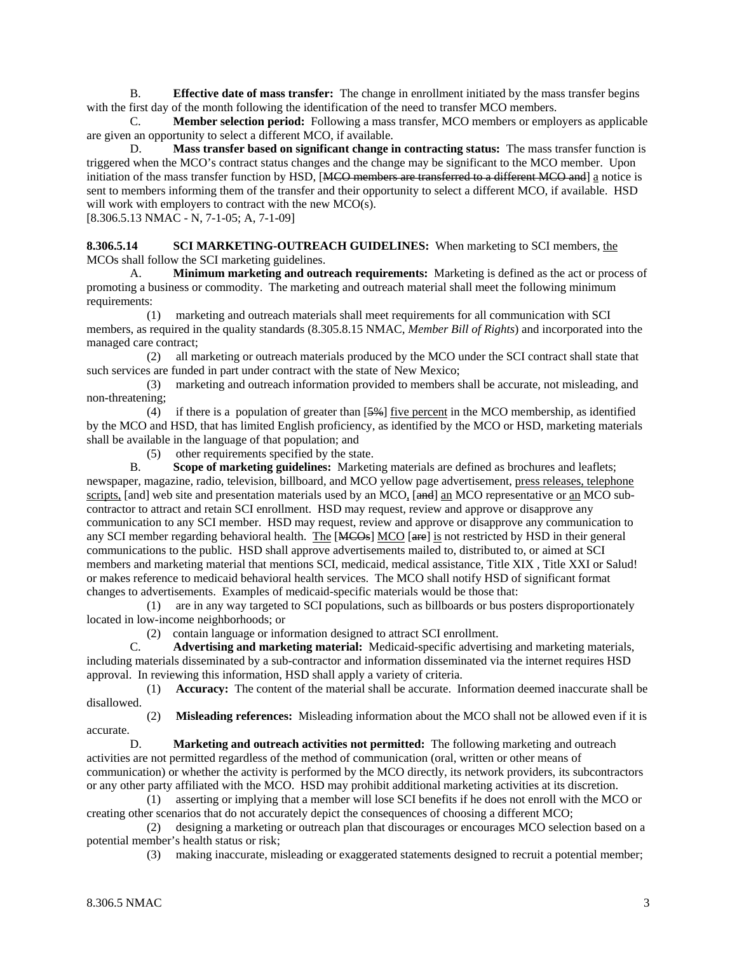B. **Effective date of mass transfer:** The change in enrollment initiated by the mass transfer begins with the first day of the month following the identification of the need to transfer MCO members.

 C. **Member selection period:** Following a mass transfer, MCO members or employers as applicable are given an opportunity to select a different MCO, if available.

 D. **Mass transfer based on significant change in contracting status:** The mass transfer function is triggered when the MCO's contract status changes and the change may be significant to the MCO member. Upon initiation of the mass transfer function by HSD, [MCO members are transferred to a different MCO and] a notice is sent to members informing them of the transfer and their opportunity to select a different MCO, if available. HSD will work with employers to contract with the new MCO(s).

[8.306.5.13 NMAC - N, 7-1-05; A, 7-1-09]

**8.306.5.14 SCI MARKETING-OUTREACH GUIDELINES:** When marketing to SCI members, the MCOs shall follow the SCI marketing guidelines.

 A. **Minimum marketing and outreach requirements:** Marketing is defined as the act or process of promoting a business or commodity. The marketing and outreach material shall meet the following minimum requirements:

 (1) marketing and outreach materials shall meet requirements for all communication with SCI members, as required in the quality standards (8.305.8.15 NMAC, *Member Bill of Rights*) and incorporated into the managed care contract;

 (2) all marketing or outreach materials produced by the MCO under the SCI contract shall state that such services are funded in part under contract with the state of New Mexico;

 (3) marketing and outreach information provided to members shall be accurate, not misleading, and non-threatening;

(4) if there is a population of greater than  $[5\%]$  five percent in the MCO membership, as identified by the MCO and HSD, that has limited English proficiency, as identified by the MCO or HSD, marketing materials shall be available in the language of that population; and

(5) other requirements specified by the state.

 B. **Scope of marketing guidelines:** Marketing materials are defined as brochures and leaflets; newspaper, magazine, radio, television, billboard, and MCO yellow page advertisement, press releases, telephone scripts, [and] web site and presentation materials used by an MCO, [and] an MCO representative or an MCO subcontractor to attract and retain SCI enrollment. HSD may request, review and approve or disapprove any communication to any SCI member. HSD may request, review and approve or disapprove any communication to any SCI member regarding behavioral health. The [MCOs] MCO [are] is not restricted by HSD in their general communications to the public. HSD shall approve advertisements mailed to, distributed to, or aimed at SCI members and marketing material that mentions SCI, medicaid, medical assistance, Title XIX , Title XXI or Salud! or makes reference to medicaid behavioral health services. The MCO shall notify HSD of significant format changes to advertisements. Examples of medicaid-specific materials would be those that:

 (1) are in any way targeted to SCI populations, such as billboards or bus posters disproportionately located in low-income neighborhoods; or

(2) contain language or information designed to attract SCI enrollment.

 C. **Advertising and marketing material:** Medicaid-specific advertising and marketing materials, including materials disseminated by a sub-contractor and information disseminated via the internet requires HSD approval. In reviewing this information, HSD shall apply a variety of criteria.

 (1) **Accuracy:** The content of the material shall be accurate. Information deemed inaccurate shall be disallowed.

accurate.

(2) **Misleading references:** Misleading information about the MCO shall not be allowed even if it is

D. **Marketing and outreach activities not permitted:** The following marketing and outreach activities are not permitted regardless of the method of communication (oral, written or other means of communication) or whether the activity is performed by the MCO directly, its network providers, its subcontractors or any other party affiliated with the MCO. HSD may prohibit additional marketing activities at its discretion.

 (1) asserting or implying that a member will lose SCI benefits if he does not enroll with the MCO or creating other scenarios that do not accurately depict the consequences of choosing a different MCO;

 (2) designing a marketing or outreach plan that discourages or encourages MCO selection based on a potential member's health status or risk;

(3) making inaccurate, misleading or exaggerated statements designed to recruit a potential member;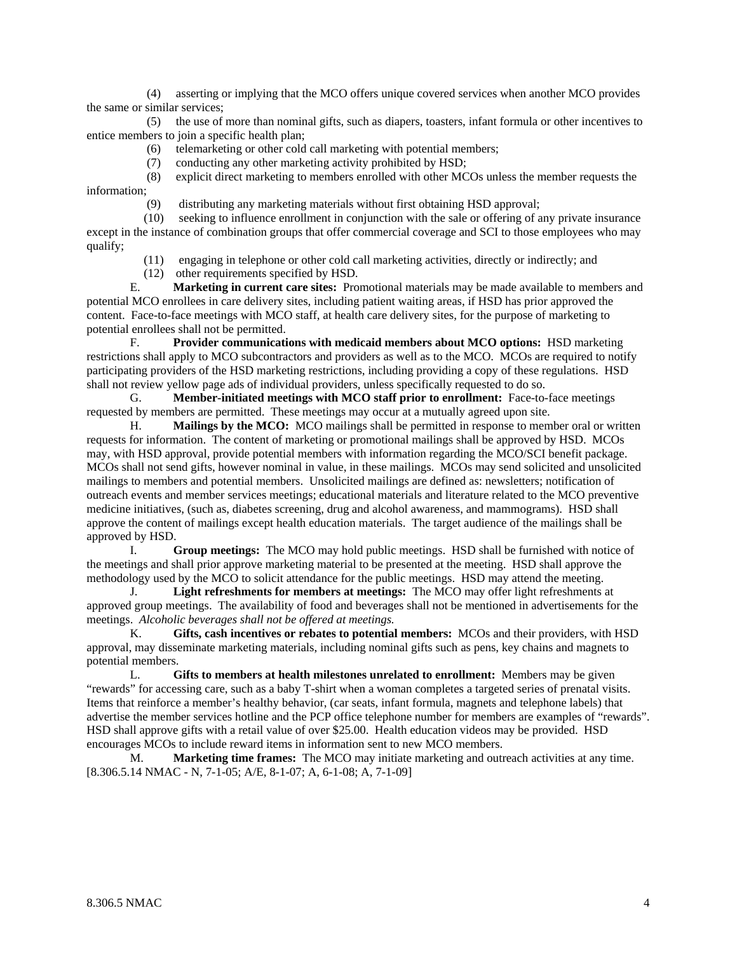(4) asserting or implying that the MCO offers unique covered services when another MCO provides the same or similar services;

 (5) the use of more than nominal gifts, such as diapers, toasters, infant formula or other incentives to entice members to join a specific health plan;

- (6) telemarketing or other cold call marketing with potential members;
- (7) conducting any other marketing activity prohibited by HSD;

 (8) explicit direct marketing to members enrolled with other MCOs unless the member requests the information;

(9) distributing any marketing materials without first obtaining HSD approval;

 (10) seeking to influence enrollment in conjunction with the sale or offering of any private insurance except in the instance of combination groups that offer commercial coverage and SCI to those employees who may qualify;

- (11) engaging in telephone or other cold call marketing activities, directly or indirectly; and
- (12) other requirements specified by HSD.

 E. **Marketing in current care sites:** Promotional materials may be made available to members and potential MCO enrollees in care delivery sites, including patient waiting areas, if HSD has prior approved the content. Face-to-face meetings with MCO staff, at health care delivery sites, for the purpose of marketing to potential enrollees shall not be permitted.

 F. **Provider communications with medicaid members about MCO options:** HSD marketing restrictions shall apply to MCO subcontractors and providers as well as to the MCO. MCOs are required to notify participating providers of the HSD marketing restrictions, including providing a copy of these regulations. HSD shall not review yellow page ads of individual providers, unless specifically requested to do so.

 G. **Member-initiated meetings with MCO staff prior to enrollment:** Face-to-face meetings requested by members are permitted. These meetings may occur at a mutually agreed upon site.

 H. **Mailings by the MCO:** MCO mailings shall be permitted in response to member oral or written requests for information. The content of marketing or promotional mailings shall be approved by HSD. MCOs may, with HSD approval, provide potential members with information regarding the MCO/SCI benefit package. MCOs shall not send gifts, however nominal in value, in these mailings. MCOs may send solicited and unsolicited mailings to members and potential members. Unsolicited mailings are defined as: newsletters; notification of outreach events and member services meetings; educational materials and literature related to the MCO preventive medicine initiatives, (such as, diabetes screening, drug and alcohol awareness, and mammograms). HSD shall approve the content of mailings except health education materials. The target audience of the mailings shall be approved by HSD.

 I. **Group meetings:** The MCO may hold public meetings. HSD shall be furnished with notice of the meetings and shall prior approve marketing material to be presented at the meeting. HSD shall approve the methodology used by the MCO to solicit attendance for the public meetings. HSD may attend the meeting.

 J. **Light refreshments for members at meetings:** The MCO may offer light refreshments at approved group meetings. The availability of food and beverages shall not be mentioned in advertisements for the meetings. *Alcoholic beverages shall not be offered at meetings.*

 K. **Gifts, cash incentives or rebates to potential members:** MCOs and their providers, with HSD approval, may disseminate marketing materials, including nominal gifts such as pens, key chains and magnets to potential members.

 L. **Gifts to members at health milestones unrelated to enrollment:** Members may be given "rewards" for accessing care, such as a baby T-shirt when a woman completes a targeted series of prenatal visits. Items that reinforce a member's healthy behavior, (car seats, infant formula, magnets and telephone labels) that advertise the member services hotline and the PCP office telephone number for members are examples of "rewards". HSD shall approve gifts with a retail value of over \$25.00. Health education videos may be provided. HSD encourages MCOs to include reward items in information sent to new MCO members.

 M. **Marketing time frames:** The MCO may initiate marketing and outreach activities at any time. [8.306.5.14 NMAC - N, 7-1-05; A/E, 8-1-07; A, 6-1-08; A, 7-1-09]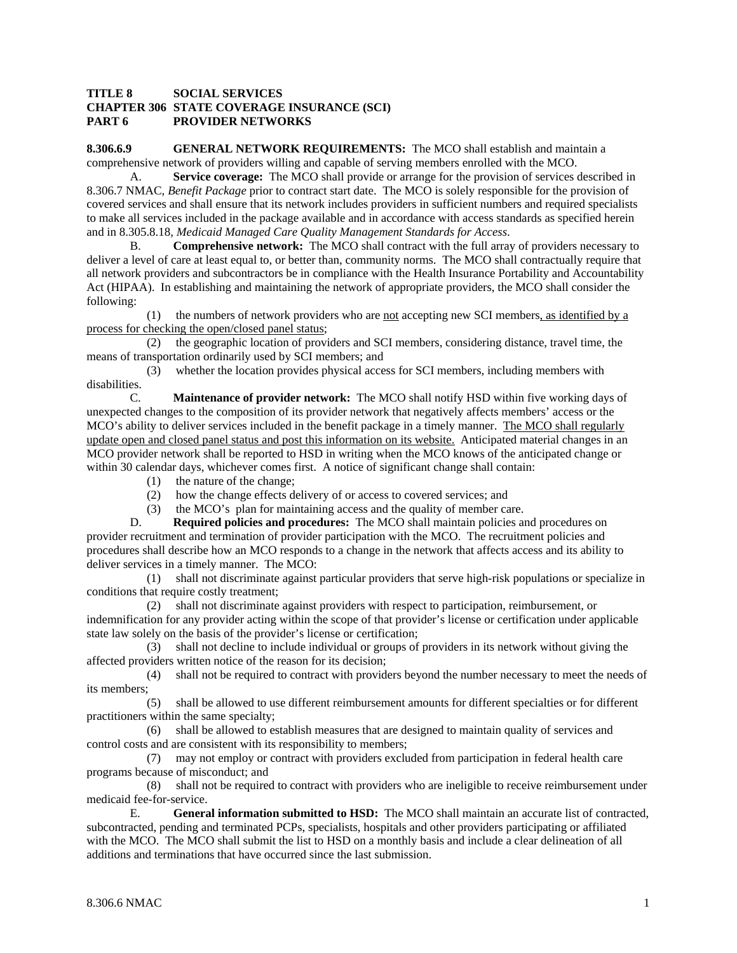#### **TITLE 8 SOCIAL SERVICES CHAPTER 306 STATE COVERAGE INSURANCE (SCI) PART 6 PROVIDER NETWORKS**

**8.306.6.9 GENERAL NETWORK REQUIREMENTS:** The MCO shall establish and maintain a comprehensive network of providers willing and capable of serving members enrolled with the MCO.

 A. **Service coverage:** The MCO shall provide or arrange for the provision of services described in 8.306.7 NMAC, *Benefit Package* prior to contract start date. The MCO is solely responsible for the provision of covered services and shall ensure that its network includes providers in sufficient numbers and required specialists to make all services included in the package available and in accordance with access standards as specified herein and in 8.305.8.18*, Medicaid Managed Care Quality Management Standards for Access*.

 B. **Comprehensive network:** The MCO shall contract with the full array of providers necessary to deliver a level of care at least equal to, or better than, community norms. The MCO shall contractually require that all network providers and subcontractors be in compliance with the Health Insurance Portability and Accountability Act (HIPAA). In establishing and maintaining the network of appropriate providers, the MCO shall consider the following:

(1) the numbers of network providers who are not accepting new SCI members, as identified by a process for checking the open/closed panel status;

 (2) the geographic location of providers and SCI members, considering distance, travel time, the means of transportation ordinarily used by SCI members; and

 (3) whether the location provides physical access for SCI members, including members with disabilities.

 C. **Maintenance of provider network:** The MCO shall notify HSD within five working days of unexpected changes to the composition of its provider network that negatively affects members' access or the MCO's ability to deliver services included in the benefit package in a timely manner. The MCO shall regularly update open and closed panel status and post this information on its website. Anticipated material changes in an MCO provider network shall be reported to HSD in writing when the MCO knows of the anticipated change or within 30 calendar days, whichever comes first. A notice of significant change shall contain:

- (1) the nature of the change;
- (2) how the change effects delivery of or access to covered services; and
- (3) the MCO's plan for maintaining access and the quality of member care.

 D. **Required policies and procedures:** The MCO shall maintain policies and procedures on provider recruitment and termination of provider participation with the MCO. The recruitment policies and procedures shall describe how an MCO responds to a change in the network that affects access and its ability to deliver services in a timely manner. The MCO:

 (1) shall not discriminate against particular providers that serve high-risk populations or specialize in conditions that require costly treatment:

 (2) shall not discriminate against providers with respect to participation, reimbursement, or indemnification for any provider acting within the scope of that provider's license or certification under applicable state law solely on the basis of the provider's license or certification;

 (3) shall not decline to include individual or groups of providers in its network without giving the affected providers written notice of the reason for its decision;

 (4) shall not be required to contract with providers beyond the number necessary to meet the needs of its members;

 (5) shall be allowed to use different reimbursement amounts for different specialties or for different practitioners within the same specialty;

 (6) shall be allowed to establish measures that are designed to maintain quality of services and control costs and are consistent with its responsibility to members;

 (7) may not employ or contract with providers excluded from participation in federal health care programs because of misconduct; and

 (8) shall not be required to contract with providers who are ineligible to receive reimbursement under medicaid fee-for-service.

 E. **General information submitted to HSD:** The MCO shall maintain an accurate list of contracted, subcontracted, pending and terminated PCPs, specialists, hospitals and other providers participating or affiliated with the MCO. The MCO shall submit the list to HSD on a monthly basis and include a clear delineation of all additions and terminations that have occurred since the last submission.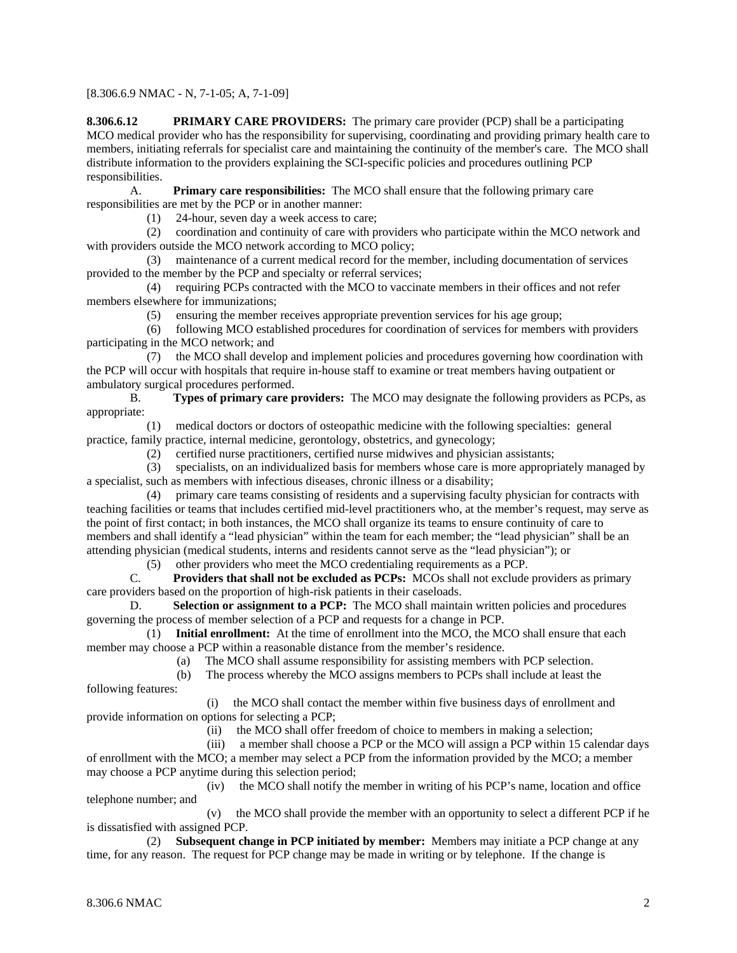[8.306.6.9 NMAC - N, 7-1-05; A, 7-1-09]

**8.306.6.12 PRIMARY CARE PROVIDERS:** The primary care provider (PCP) shall be a participating MCO medical provider who has the responsibility for supervising, coordinating and providing primary health care to members, initiating referrals for specialist care and maintaining the continuity of the member's care. The MCO shall distribute information to the providers explaining the SCI-specific policies and procedures outlining PCP responsibilities.

 A. **Primary care responsibilities:** The MCO shall ensure that the following primary care responsibilities are met by the PCP or in another manner:

(1) 24-hour, seven day a week access to care;

 (2) coordination and continuity of care with providers who participate within the MCO network and with providers outside the MCO network according to MCO policy;

 (3) maintenance of a current medical record for the member, including documentation of services provided to the member by the PCP and specialty or referral services;

 (4) requiring PCPs contracted with the MCO to vaccinate members in their offices and not refer members elsewhere for immunizations;

(5) ensuring the member receives appropriate prevention services for his age group;

 (6) following MCO established procedures for coordination of services for members with providers participating in the MCO network; and

 (7) the MCO shall develop and implement policies and procedures governing how coordination with the PCP will occur with hospitals that require in-house staff to examine or treat members having outpatient or ambulatory surgical procedures performed.

 B. **Types of primary care providers:** The MCO may designate the following providers as PCPs, as appropriate:

 (1) medical doctors or doctors of osteopathic medicine with the following specialties: general practice, family practice, internal medicine, gerontology, obstetrics, and gynecology;

(2) certified nurse practitioners, certified nurse midwives and physician assistants;

 (3) specialists, on an individualized basis for members whose care is more appropriately managed by a specialist, such as members with infectious diseases, chronic illness or a disability;

 (4) primary care teams consisting of residents and a supervising faculty physician for contracts with teaching facilities or teams that includes certified mid-level practitioners who, at the member's request, may serve as the point of first contact; in both instances, the MCO shall organize its teams to ensure continuity of care to members and shall identify a "lead physician" within the team for each member; the "lead physician" shall be an attending physician (medical students, interns and residents cannot serve as the "lead physician"); or

(5) other providers who meet the MCO credentialing requirements as a PCP.<br>  $\overline{C}$ . Providers that shall not be excluded as PCPs: MCOs shall not exclude

**Providers that shall not be excluded as PCPs:** MCOs shall not exclude providers as primary care providers based on the proportion of high-risk patients in their caseloads.

Selection or assignment to a PCP: The MCO shall maintain written policies and procedures governing the process of member selection of a PCP and requests for a change in PCP.

 (1) **Initial enrollment:** At the time of enrollment into the MCO, the MCO shall ensure that each member may choose a PCP within a reasonable distance from the member's residence.

(a) The MCO shall assume responsibility for assisting members with PCP selection.

(b) The process whereby the MCO assigns members to PCPs shall include at least the

following features:

 (i) the MCO shall contact the member within five business days of enrollment and provide information on options for selecting a PCP;

(ii) the MCO shall offer freedom of choice to members in making a selection;

 (iii) a member shall choose a PCP or the MCO will assign a PCP within 15 calendar days of enrollment with the MCO; a member may select a PCP from the information provided by the MCO; a member may choose a PCP anytime during this selection period;

 (iv) the MCO shall notify the member in writing of his PCP's name, location and office telephone number; and

 (v) the MCO shall provide the member with an opportunity to select a different PCP if he is dissatisfied with assigned PCP.

 (2) **Subsequent change in PCP initiated by member:** Members may initiate a PCP change at any time, for any reason. The request for PCP change may be made in writing or by telephone. If the change is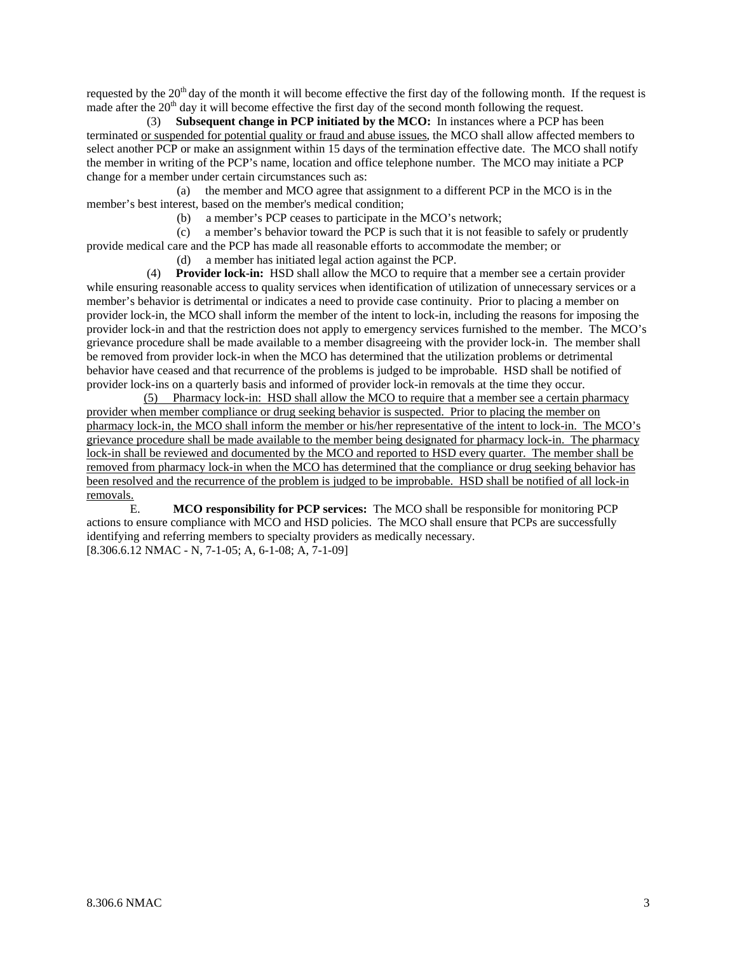requested by the  $20<sup>th</sup>$  day of the month it will become effective the first day of the following month. If the request is made after the  $20<sup>th</sup>$  day it will become effective the first day of the second month following the request.

 (3) **Subsequent change in PCP initiated by the MCO:** In instances where a PCP has been terminated or suspended for potential quality or fraud and abuse issues, the MCO shall allow affected members to select another PCP or make an assignment within 15 days of the termination effective date. The MCO shall notify the member in writing of the PCP's name, location and office telephone number. The MCO may initiate a PCP change for a member under certain circumstances such as:

 (a) the member and MCO agree that assignment to a different PCP in the MCO is in the member's best interest, based on the member's medical condition;

(b) a member's PCP ceases to participate in the MCO's network;

 (c) a member's behavior toward the PCP is such that it is not feasible to safely or prudently provide medical care and the PCP has made all reasonable efforts to accommodate the member; or

(d) a member has initiated legal action against the PCP.

 (4) **Provider lock-in:** HSD shall allow the MCO to require that a member see a certain provider while ensuring reasonable access to quality services when identification of utilization of unnecessary services or a member's behavior is detrimental or indicates a need to provide case continuity. Prior to placing a member on provider lock-in, the MCO shall inform the member of the intent to lock-in, including the reasons for imposing the provider lock-in and that the restriction does not apply to emergency services furnished to the member. The MCO's grievance procedure shall be made available to a member disagreeing with the provider lock-in. The member shall be removed from provider lock-in when the MCO has determined that the utilization problems or detrimental behavior have ceased and that recurrence of the problems is judged to be improbable. HSD shall be notified of provider lock-ins on a quarterly basis and informed of provider lock-in removals at the time they occur.

 (5) Pharmacy lock-in: HSD shall allow the MCO to require that a member see a certain pharmacy provider when member compliance or drug seeking behavior is suspected. Prior to placing the member on pharmacy lock-in, the MCO shall inform the member or his/her representative of the intent to lock-in. The MCO's grievance procedure shall be made available to the member being designated for pharmacy lock-in. The pharmacy lock-in shall be reviewed and documented by the MCO and reported to HSD every quarter. The member shall be removed from pharmacy lock-in when the MCO has determined that the compliance or drug seeking behavior has been resolved and the recurrence of the problem is judged to be improbable. HSD shall be notified of all lock-in removals.

 E. **MCO responsibility for PCP services:** The MCO shall be responsible for monitoring PCP actions to ensure compliance with MCO and HSD policies. The MCO shall ensure that PCPs are successfully identifying and referring members to specialty providers as medically necessary. [8.306.6.12 NMAC - N, 7-1-05; A, 6-1-08; A, 7-1-09]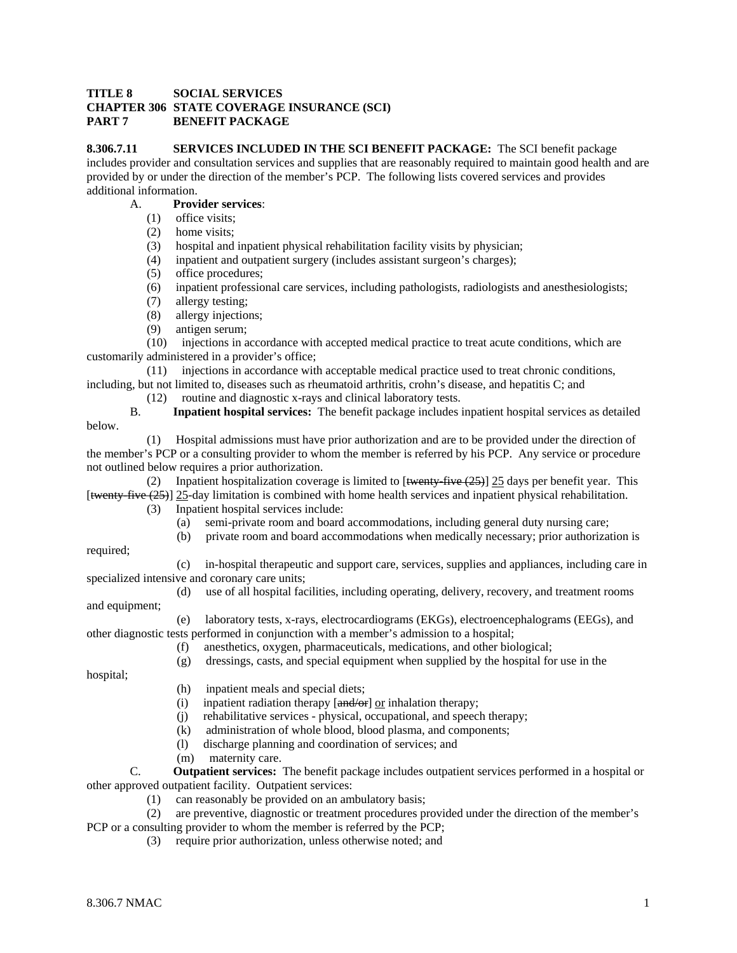## **TITLE 8 SOCIAL SERVICES CHAPTER 306 STATE COVERAGE INSURANCE (SCI) PART 7 BENEFIT PACKAGE**

**8.306.7.11 SERVICES INCLUDED IN THE SCI BENEFIT PACKAGE:** The SCI benefit package

includes provider and consultation services and supplies that are reasonably required to maintain good health and are provided by or under the direction of the member's PCP. The following lists covered services and provides additional information.

## A. **Provider services**:

- (1) office visits;
- (2) home visits;
- (3) hospital and inpatient physical rehabilitation facility visits by physician;
- (4) inpatient and outpatient surgery (includes assistant surgeon's charges);
- (5) office procedures;
- (6) inpatient professional care services, including pathologists, radiologists and anesthesiologists;
- (7) allergy testing;
- (8) allergy injections;
- (9) antigen serum;

 (10) injections in accordance with accepted medical practice to treat acute conditions, which are customarily administered in a provider's office;

 (11) injections in accordance with acceptable medical practice used to treat chronic conditions, including, but not limited to, diseases such as rheumatoid arthritis, crohn's disease, and hepatitis C; and

(12) routine and diagnostic x-rays and clinical laboratory tests.<br>B. **Invatient hospital services:** The benefit package includes in

 B. **Inpatient hospital services:** The benefit package includes inpatient hospital services as detailed below.

 (1) Hospital admissions must have prior authorization and are to be provided under the direction of the member's PCP or a consulting provider to whom the member is referred by his PCP. Any service or procedure not outlined below requires a prior authorization.

(2) Inpatient hospitalization coverage is limited to  $[\frac{t^2 + 4t}{2}]$  25 days per benefit year. This [twenty-five (25)] 25-day limitation is combined with home health services and inpatient physical rehabilitation.

(3) Inpatient hospital services include:

(a) semi-private room and board accommodations, including general duty nursing care;

(b) private room and board accommodations when medically necessary; prior authorization is

required;

 (c) in-hospital therapeutic and support care, services, supplies and appliances, including care in specialized intensive and coronary care units;

 (d) use of all hospital facilities, including operating, delivery, recovery, and treatment rooms and equipment;

 (e) laboratory tests, x-rays, electrocardiograms (EKGs), electroencephalograms (EEGs), and other diagnostic tests performed in conjunction with a member's admission to a hospital;

- (f) anesthetics, oxygen, pharmaceuticals, medications, and other biological;
	- (g) dressings, casts, and special equipment when supplied by the hospital for use in the

hospital;

- (h) inpatient meals and special diets;
- (i) inpatient radiation therapy  $\left[\frac{and}{or}\right]$  or inhalation therapy;
- (j) rehabilitative services physical, occupational, and speech therapy;
- (k) administration of whole blood, blood plasma, and components;
- (l) discharge planning and coordination of services; and
- (m) maternity care.

 C. **Outpatient services:** The benefit package includes outpatient services performed in a hospital or other approved outpatient facility. Outpatient services:

(1) can reasonably be provided on an ambulatory basis;

 (2) are preventive, diagnostic or treatment procedures provided under the direction of the member's PCP or a consulting provider to whom the member is referred by the PCP;

(3) require prior authorization, unless otherwise noted; and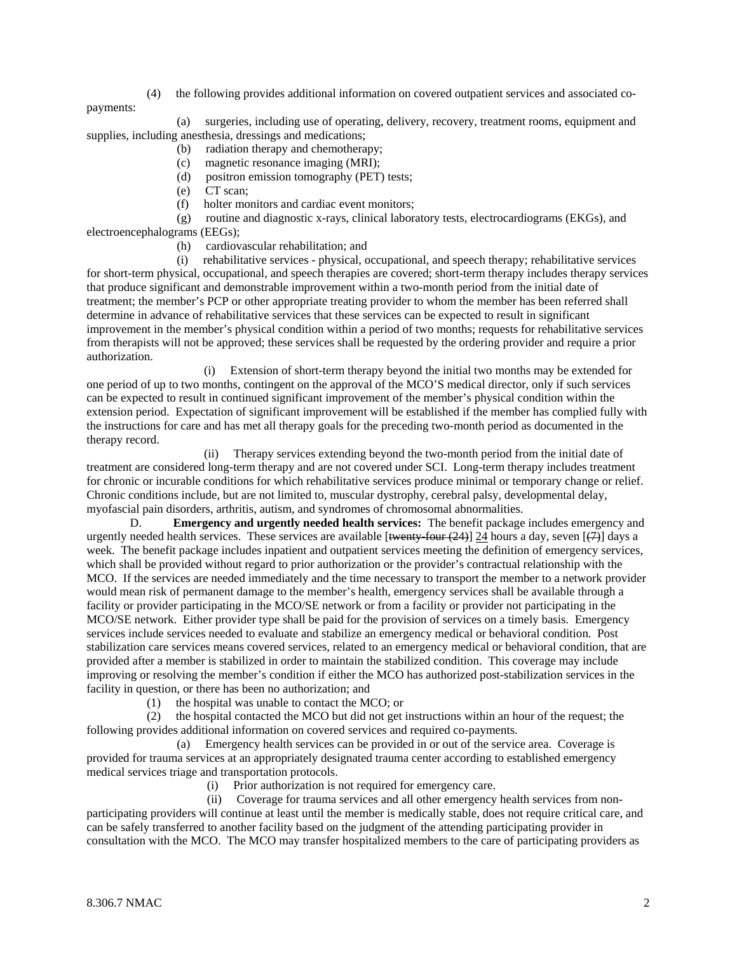(4) the following provides additional information on covered outpatient services and associated co-

payments:

 (a) surgeries, including use of operating, delivery, recovery, treatment rooms, equipment and supplies, including anesthesia, dressings and medications;

- (b) radiation therapy and chemotherapy;
- (c) magnetic resonance imaging (MRI);
- (d) positron emission tomography (PET) tests;
- (e) CT scan;
- (f) holter monitors and cardiac event monitors;

 (g) routine and diagnostic x-rays, clinical laboratory tests, electrocardiograms (EKGs), and electroencephalograms (EEGs);

(h) cardiovascular rehabilitation; and

 (i) rehabilitative services - physical, occupational, and speech therapy; rehabilitative services for short-term physical, occupational, and speech therapies are covered; short-term therapy includes therapy services that produce significant and demonstrable improvement within a two-month period from the initial date of treatment; the member's PCP or other appropriate treating provider to whom the member has been referred shall determine in advance of rehabilitative services that these services can be expected to result in significant improvement in the member's physical condition within a period of two months; requests for rehabilitative services from therapists will not be approved; these services shall be requested by the ordering provider and require a prior authorization.

 (i) Extension of short-term therapy beyond the initial two months may be extended for one period of up to two months, contingent on the approval of the MCO'S medical director, only if such services can be expected to result in continued significant improvement of the member's physical condition within the extension period. Expectation of significant improvement will be established if the member has complied fully with the instructions for care and has met all therapy goals for the preceding two-month period as documented in the therapy record.

 (ii) Therapy services extending beyond the two-month period from the initial date of treatment are considered long-term therapy and are not covered under SCI. Long-term therapy includes treatment for chronic or incurable conditions for which rehabilitative services produce minimal or temporary change or relief. Chronic conditions include, but are not limited to, muscular dystrophy, cerebral palsy, developmental delay, myofascial pain disorders, arthritis, autism, and syndromes of chromosomal abnormalities.

 D. **Emergency and urgently needed health services:** The benefit package includes emergency and urgently needed health services. These services are available [twenty-four (24)] 24 hours a day, seven  $(\overline{7})$  days a week. The benefit package includes inpatient and outpatient services meeting the definition of emergency services, which shall be provided without regard to prior authorization or the provider's contractual relationship with the MCO. If the services are needed immediately and the time necessary to transport the member to a network provider would mean risk of permanent damage to the member's health, emergency services shall be available through a facility or provider participating in the MCO/SE network or from a facility or provider not participating in the MCO/SE network. Either provider type shall be paid for the provision of services on a timely basis. Emergency services include services needed to evaluate and stabilize an emergency medical or behavioral condition. Post stabilization care services means covered services, related to an emergency medical or behavioral condition, that are provided after a member is stabilized in order to maintain the stabilized condition. This coverage may include improving or resolving the member's condition if either the MCO has authorized post-stabilization services in the facility in question, or there has been no authorization; and

(1) the hospital was unable to contact the MCO; or

 (2) the hospital contacted the MCO but did not get instructions within an hour of the request; the following provides additional information on covered services and required co-payments.

 (a) Emergency health services can be provided in or out of the service area. Coverage is provided for trauma services at an appropriately designated trauma center according to established emergency medical services triage and transportation protocols.

(i) Prior authorization is not required for emergency care.

 (ii) Coverage for trauma services and all other emergency health services from nonparticipating providers will continue at least until the member is medically stable, does not require critical care, and can be safely transferred to another facility based on the judgment of the attending participating provider in consultation with the MCO. The MCO may transfer hospitalized members to the care of participating providers as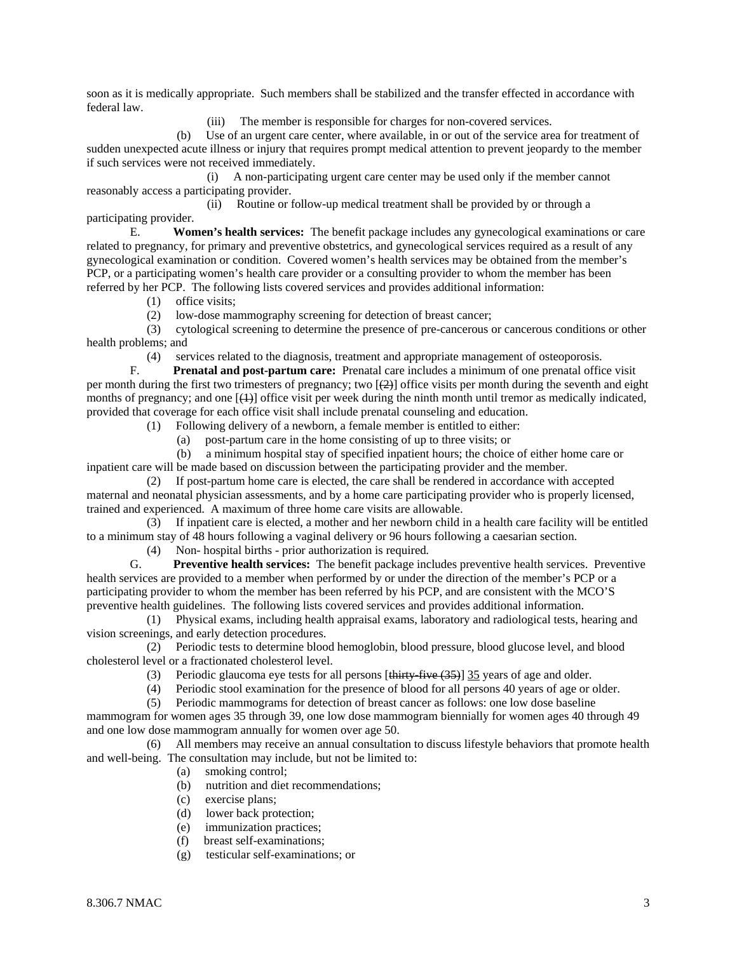soon as it is medically appropriate. Such members shall be stabilized and the transfer effected in accordance with federal law.

(iii) The member is responsible for charges for non-covered services.

 (b) Use of an urgent care center, where available, in or out of the service area for treatment of sudden unexpected acute illness or injury that requires prompt medical attention to prevent jeopardy to the member if such services were not received immediately.

 (i) A non-participating urgent care center may be used only if the member cannot reasonably access a participating provider.

 (ii) Routine or follow-up medical treatment shall be provided by or through a participating provider.

 E. **Women's health services:** The benefit package includes any gynecological examinations or care related to pregnancy, for primary and preventive obstetrics, and gynecological services required as a result of any gynecological examination or condition. Covered women's health services may be obtained from the member's PCP, or a participating women's health care provider or a consulting provider to whom the member has been referred by her PCP. The following lists covered services and provides additional information:

(1) office visits;

(2) low-dose mammography screening for detection of breast cancer;

 (3) cytological screening to determine the presence of pre-cancerous or cancerous conditions or other health problems; and

(4) services related to the diagnosis, treatment and appropriate management of osteoporosis.<br>F. **Prenatal and post-partum care:** Prenatal care includes a minimum of one prenatal official

Prenatal and post-partum care: Prenatal care includes a minimum of one prenatal office visit per month during the first two trimesters of pregnancy; two  $\left[\frac{2}{2}\right]$  office visits per month during the seventh and eight months of pregnancy; and one  $[\{+ \}$  office visit per week during the ninth month until tremor as medically indicated, provided that coverage for each office visit shall include prenatal counseling and education.

(1) Following delivery of a newborn, a female member is entitled to either:

(a) post-partum care in the home consisting of up to three visits; or

 (b) a minimum hospital stay of specified inpatient hours; the choice of either home care or inpatient care will be made based on discussion between the participating provider and the member.

 (2) If post-partum home care is elected, the care shall be rendered in accordance with accepted maternal and neonatal physician assessments, and by a home care participating provider who is properly licensed, trained and experienced. A maximum of three home care visits are allowable.

 (3) If inpatient care is elected, a mother and her newborn child in a health care facility will be entitled to a minimum stay of 48 hours following a vaginal delivery or 96 hours following a caesarian section.

(4) Non- hospital births - prior authorization is required*.*

Preventive health services: The benefit package includes preventive health services. Preventive health services are provided to a member when performed by or under the direction of the member's PCP or a participating provider to whom the member has been referred by his PCP, and are consistent with the MCO'S preventive health guidelines. The following lists covered services and provides additional information.

 (1) Physical exams, including health appraisal exams, laboratory and radiological tests, hearing and vision screenings, and early detection procedures.

 (2) Periodic tests to determine blood hemoglobin, blood pressure, blood glucose level, and blood cholesterol level or a fractionated cholesterol level.

(3) Periodic glaucoma eye tests for all persons [thirty-five (35)] 35 years of age and older.

(4) Periodic stool examination for the presence of blood for all persons 40 years of age or older.

(5) Periodic mammograms for detection of breast cancer as follows: one low dose baseline

mammogram for women ages 35 through 39, one low dose mammogram biennially for women ages 40 through 49 and one low dose mammogram annually for women over age 50.

 (6) All members may receive an annual consultation to discuss lifestyle behaviors that promote health and well-being. The consultation may include, but not be limited to:

- (a) smoking control;
- (b) nutrition and diet recommendations;
- (c) exercise plans;
- (d) lower back protection;
- (e) immunization practices;
- (f) breast self-examinations;
- (g) testicular self-examinations; or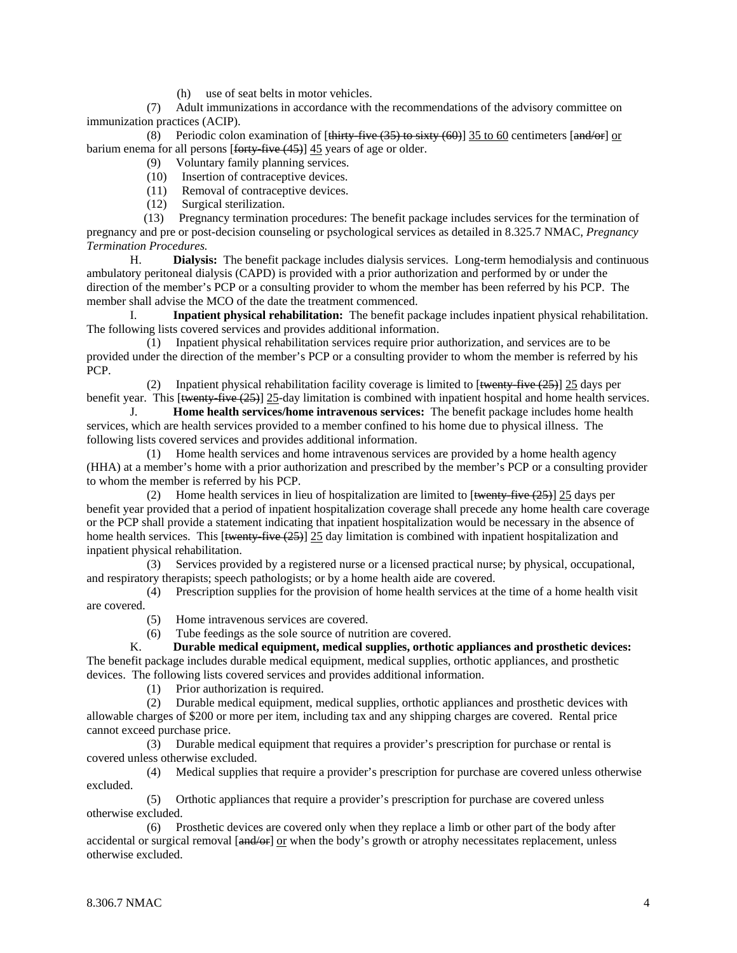(h) use of seat belts in motor vehicles.

 (7) Adult immunizations in accordance with the recommendations of the advisory committee on immunization practices (ACIP).

(8) Periodic colon examination of  $[\frac{\text{thirty-five}(35) \text{ to sixty}(60)]}{35}$  to 60 centimeters  $[\frac{\text{and/or}}{\text{and/or}}]$  or barium enema for all persons [forty-five (45)] 45 years of age or older.

- (9) Voluntary family planning services.
- (10) Insertion of contraceptive devices.
- (11) Removal of contraceptive devices.<br>(12) Surgical sterilization.
- Surgical sterilization.

 (13) Pregnancy termination procedures: The benefit package includes services for the termination of pregnancy and pre or post-decision counseling or psychological services as detailed in 8.325.7 NMAC, *Pregnancy Termination Procedures.* 

 H. **Dialysis:** The benefit package includes dialysis services. Long-term hemodialysis and continuous ambulatory peritoneal dialysis (CAPD) is provided with a prior authorization and performed by or under the direction of the member's PCP or a consulting provider to whom the member has been referred by his PCP. The member shall advise the MCO of the date the treatment commenced.

 I. **Inpatient physical rehabilitation:** The benefit package includes inpatient physical rehabilitation. The following lists covered services and provides additional information.

 (1) Inpatient physical rehabilitation services require prior authorization, and services are to be provided under the direction of the member's PCP or a consulting provider to whom the member is referred by his PCP.

(2) Inpatient physical rehabilitation facility coverage is limited to  $\left[\frac{\text{twenty} - \text{five} + 25}{\text{tivy} - \text{fiv} + \text{fivy}}\right]$  25 days per benefit year. This [<del>twenty-five (25)</del>] 25-day limitation is combined with inpatient hospital and home health services.

 J. **Home health services/home intravenous services:** The benefit package includes home health services, which are health services provided to a member confined to his home due to physical illness. The following lists covered services and provides additional information.

 (1) Home health services and home intravenous services are provided by a home health agency (HHA) at a member's home with a prior authorization and prescribed by the member's PCP or a consulting provider to whom the member is referred by his PCP.

(2) Home health services in lieu of hospitalization are limited to  $\left[\frac{\text{twenty-five} (25)}{25} \right]$  25 days per benefit year provided that a period of inpatient hospitalization coverage shall precede any home health care coverage or the PCP shall provide a statement indicating that inpatient hospitalization would be necessary in the absence of home health services. This [twenty-five  $(25)$ ] 25 day limitation is combined with inpatient hospitalization and inpatient physical rehabilitation.

 (3) Services provided by a registered nurse or a licensed practical nurse; by physical, occupational, and respiratory therapists; speech pathologists; or by a home health aide are covered.

 (4) Prescription supplies for the provision of home health services at the time of a home health visit are covered.

- (5) Home intravenous services are covered.
- (6) Tube feedings as the sole source of nutrition are covered.

 K. **Durable medical equipment, medical supplies, orthotic appliances and prosthetic devices:** The benefit package includes durable medical equipment, medical supplies, orthotic appliances, and prosthetic devices. The following lists covered services and provides additional information.

(1) Prior authorization is required.

 (2) Durable medical equipment, medical supplies, orthotic appliances and prosthetic devices with allowable charges of \$200 or more per item, including tax and any shipping charges are covered. Rental price cannot exceed purchase price.

 (3) Durable medical equipment that requires a provider's prescription for purchase or rental is covered unless otherwise excluded.

 (4) Medical supplies that require a provider's prescription for purchase are covered unless otherwise excluded.

 (5) Orthotic appliances that require a provider's prescription for purchase are covered unless otherwise excluded.

 (6) Prosthetic devices are covered only when they replace a limb or other part of the body after accidental or surgical removal [and/or] or when the body's growth or atrophy necessitates replacement, unless otherwise excluded.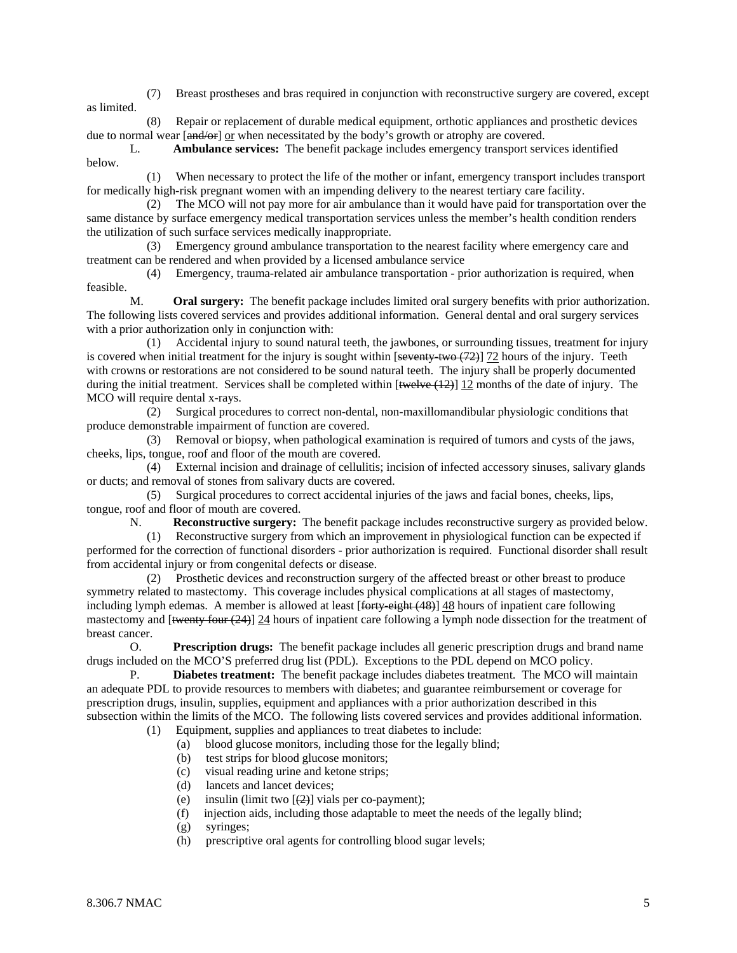(7) Breast prostheses and bras required in conjunction with reconstructive surgery are covered, except as limited.

 (8) Repair or replacement of durable medical equipment, orthotic appliances and prosthetic devices due to normal wear [ $\theta$ <sub>or</sub>] or when necessitated by the body's growth or atrophy are covered.

 L. **Ambulance services:** The benefit package includes emergency transport services identified below.

 (1) When necessary to protect the life of the mother or infant, emergency transport includes transport for medically high-risk pregnant women with an impending delivery to the nearest tertiary care facility.

 (2) The MCO will not pay more for air ambulance than it would have paid for transportation over the same distance by surface emergency medical transportation services unless the member's health condition renders the utilization of such surface services medically inappropriate.

 (3) Emergency ground ambulance transportation to the nearest facility where emergency care and treatment can be rendered and when provided by a licensed ambulance service

 (4) Emergency, trauma-related air ambulance transportation - prior authorization is required, when feasible.

 M. **Oral surgery:** The benefit package includes limited oral surgery benefits with prior authorization. The following lists covered services and provides additional information. General dental and oral surgery services with a prior authorization only in conjunction with:

 (1) Accidental injury to sound natural teeth, the jawbones, or surrounding tissues, treatment for injury is covered when initial treatment for the injury is sought within  $[$ seventy-two  $(72)]$  72 hours of the injury. Teeth with crowns or restorations are not considered to be sound natural teeth. The injury shall be properly documented during the initial treatment. Services shall be completed within  $[\text{twelve (12)}]$  12 months of the date of injury. The MCO will require dental x-rays.

 (2) Surgical procedures to correct non-dental, non-maxillomandibular physiologic conditions that produce demonstrable impairment of function are covered.

 (3) Removal or biopsy, when pathological examination is required of tumors and cysts of the jaws, cheeks, lips, tongue, roof and floor of the mouth are covered.

 (4) External incision and drainage of cellulitis; incision of infected accessory sinuses, salivary glands or ducts; and removal of stones from salivary ducts are covered.

 (5) Surgical procedures to correct accidental injuries of the jaws and facial bones, cheeks, lips, tongue, roof and floor of mouth are covered.

N. **Reconstructive surgery:** The benefit package includes reconstructive surgery as provided below.

 (1) Reconstructive surgery from which an improvement in physiological function can be expected if performed for the correction of functional disorders - prior authorization is required. Functional disorder shall result from accidental injury or from congenital defects or disease.

 (2) Prosthetic devices and reconstruction surgery of the affected breast or other breast to produce symmetry related to mastectomy. This coverage includes physical complications at all stages of mastectomy, including lymph edemas. A member is allowed at least [forty-eight (48)] 48 hours of inpatient care following mastectomy and [twenty four (24)] 24 hours of inpatient care following a lymph node dissection for the treatment of breast cancer.

 O. **Prescription drugs:** The benefit package includes all generic prescription drugs and brand name drugs included on the MCO'S preferred drug list (PDL). Exceptions to the PDL depend on MCO policy.

P. **Diabetes treatment:** The benefit package includes diabetes treatment. The MCO will maintain an adequate PDL to provide resources to members with diabetes; and guarantee reimbursement or coverage for prescription drugs, insulin, supplies, equipment and appliances with a prior authorization described in this subsection within the limits of the MCO. The following lists covered services and provides additional information.

- (1) Equipment, supplies and appliances to treat diabetes to include:
	- (a) blood glucose monitors, including those for the legally blind;
	- (b) test strips for blood glucose monitors;
	- (c) visual reading urine and ketone strips;
	- (d) lancets and lancet devices;
	- (e) insulin (limit two  $[ (2) ]$  vials per co-payment);
	- (f) injection aids, including those adaptable to meet the needs of the legally blind;
	- (g) syringes;
	- (h) prescriptive oral agents for controlling blood sugar levels;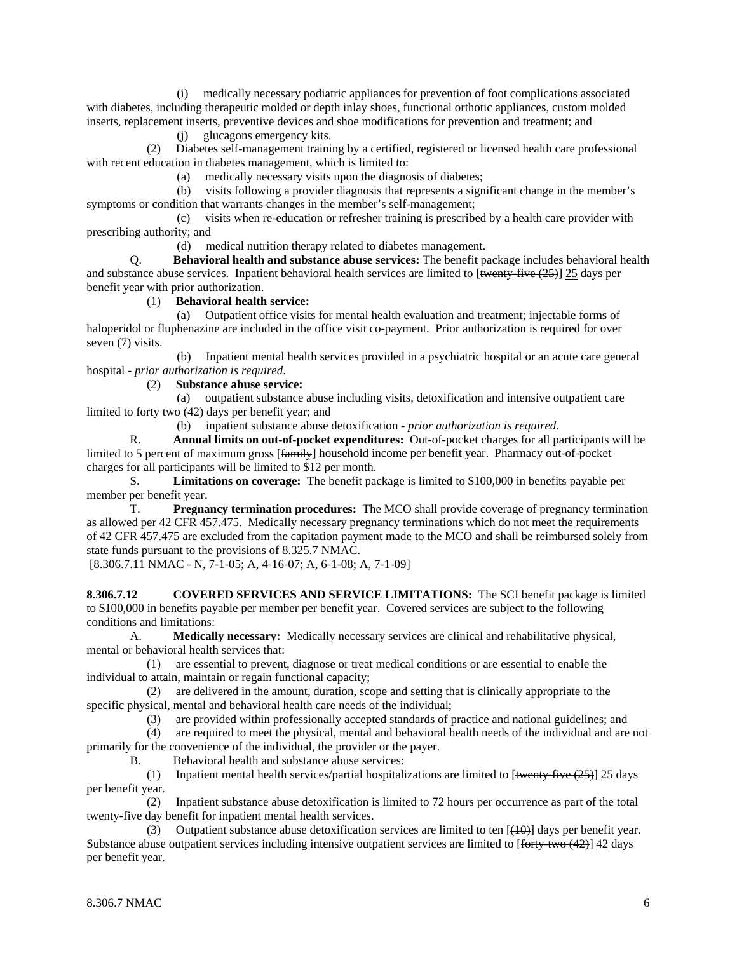(i) medically necessary podiatric appliances for prevention of foot complications associated with diabetes, including therapeutic molded or depth inlay shoes, functional orthotic appliances, custom molded inserts, replacement inserts, preventive devices and shoe modifications for prevention and treatment; and

(j) glucagons emergency kits.

 (2) Diabetes self-management training by a certified, registered or licensed health care professional with recent education in diabetes management, which is limited to:

(a) medically necessary visits upon the diagnosis of diabetes;

 (b) visits following a provider diagnosis that represents a significant change in the member's symptoms or condition that warrants changes in the member's self-management;

 (c) visits when re-education or refresher training is prescribed by a health care provider with prescribing authority; and

(d) medical nutrition therapy related to diabetes management.

 Q. **Behavioral health and substance abuse services:** The benefit package includes behavioral health and substance abuse services. Inpatient behavioral health services are limited to  $\left[\frac{\text{twenty-five}(25)}{\text{tive}(25)}\right]$  25 days per benefit year with prior authorization.

### (1) **Behavioral health service:**

 (a) Outpatient office visits for mental health evaluation and treatment; injectable forms of haloperidol or fluphenazine are included in the office visit co-payment. Prior authorization is required for over seven (7) visits.

 (b) Inpatient mental health services provided in a psychiatric hospital or an acute care general hospital - *prior authorization is required*.

### (2) **Substance abuse service:**

 (a) outpatient substance abuse including visits, detoxification and intensive outpatient care limited to forty two (42) days per benefit year; and

(b) inpatient substance abuse detoxification - *prior authorization is required.*

 R. **Annual limits on out-of-pocket expenditures:** Out-of-pocket charges for all participants will be limited to 5 percent of maximum gross [ $\frac{f_{\text{amil}}}{g}$ ] household income per benefit year. Pharmacy out-of-pocket charges for all participants will be limited to \$12 per month.

 S. **Limitations on coverage:** The benefit package is limited to \$100,000 in benefits payable per member per benefit year.

 T. **Pregnancy termination procedures:** The MCO shall provide coverage of pregnancy termination as allowed per 42 CFR 457.475. Medically necessary pregnancy terminations which do not meet the requirements of 42 CFR 457.475 are excluded from the capitation payment made to the MCO and shall be reimbursed solely from state funds pursuant to the provisions of 8.325.7 NMAC.

[8.306.7.11 NMAC - N, 7-1-05; A, 4-16-07; A, 6-1-08; A, 7-1-09]

**8.306.7.12 COVERED SERVICES AND SERVICE LIMITATIONS:** The SCI benefit package is limited to \$100,000 in benefits payable per member per benefit year. Covered services are subject to the following conditions and limitations:

 A. **Medically necessary:** Medically necessary services are clinical and rehabilitative physical, mental or behavioral health services that:

 (1) are essential to prevent, diagnose or treat medical conditions or are essential to enable the individual to attain, maintain or regain functional capacity;

 (2) are delivered in the amount, duration, scope and setting that is clinically appropriate to the specific physical, mental and behavioral health care needs of the individual;

(3) are provided within professionally accepted standards of practice and national guidelines; and

 (4) are required to meet the physical, mental and behavioral health needs of the individual and are not primarily for the convenience of the individual, the provider or the payer.

B. Behavioral health and substance abuse services:

(1) Inpatient mental health services/partial hospitalizations are limited to  $[\frac{t_{\text{text}}(25)}{t_{\text{text}}}]$  25 days per benefit year.

 (2) Inpatient substance abuse detoxification is limited to 72 hours per occurrence as part of the total twenty-five day benefit for inpatient mental health services.

(3) Outpatient substance abuse detoxification services are limited to ten  $[440]$  days per benefit year. Substance abuse outpatient services including intensive outpatient services are limited to [forty-two (42)] 42 days per benefit year.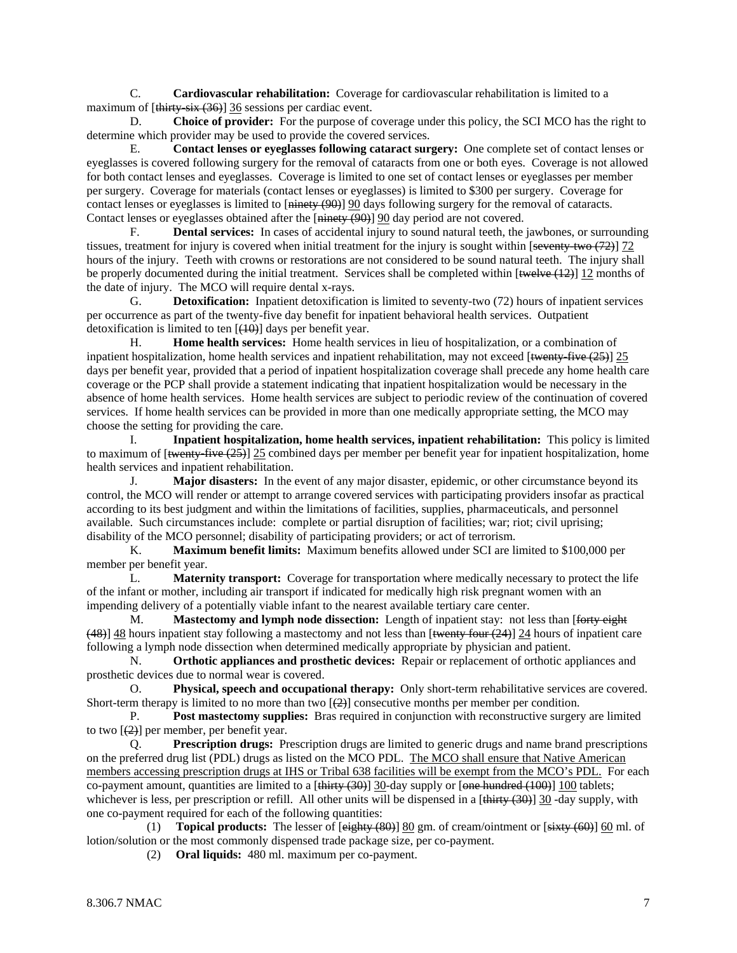C. **Cardiovascular rehabilitation:** Coverage for cardiovascular rehabilitation is limited to a maximum of [thirty-six (36)] 36 sessions per cardiac event.

 D. **Choice of provider:** For the purpose of coverage under this policy, the SCI MCO has the right to determine which provider may be used to provide the covered services.

 E. **Contact lenses or eyeglasses following cataract surgery:** One complete set of contact lenses or eyeglasses is covered following surgery for the removal of cataracts from one or both eyes. Coverage is not allowed for both contact lenses and eyeglasses. Coverage is limited to one set of contact lenses or eyeglasses per member per surgery. Coverage for materials (contact lenses or eyeglasses) is limited to \$300 per surgery. Coverage for contact lenses or eyeglasses is limited to [ninety (90)] 90 days following surgery for the removal of cataracts. Contact lenses or eyeglasses obtained after the [ninety (90)] 90 day period are not covered.

 F. **Dental services:** In cases of accidental injury to sound natural teeth, the jawbones, or surrounding tissues, treatment for injury is covered when initial treatment for the injury is sought within  $\left[\frac{\text{sevent}}{\text{sevent}}\right]$  72 hours of the injury. Teeth with crowns or restorations are not considered to be sound natural teeth. The injury shall be properly documented during the initial treatment. Services shall be completed within [<del>twelve (12)</del>] 12 months of the date of injury. The MCO will require dental x-rays.

G. **Detoxification:** Inpatient detoxification is limited to seventy-two (72) hours of inpatient services per occurrence as part of the twenty-five day benefit for inpatient behavioral health services. Outpatient detoxification is limited to ten  $[(10)]$  days per benefit year.

 H. **Home health services:** Home health services in lieu of hospitalization, or a combination of inpatient hospitalization, home health services and inpatient rehabilitation, may not exceed [twenty-five (25)] 25 days per benefit year, provided that a period of inpatient hospitalization coverage shall precede any home health care coverage or the PCP shall provide a statement indicating that inpatient hospitalization would be necessary in the absence of home health services. Home health services are subject to periodic review of the continuation of covered services. If home health services can be provided in more than one medically appropriate setting, the MCO may choose the setting for providing the care.

 I. **Inpatient hospitalization, home health services, inpatient rehabilitation:** This policy is limited to maximum of  $\left[\frac{t_{\text{text}}+t_{\text{text}}+t_{\text{text}}+t_{\text{text}}+t_{\text{text}}-t_{\text{text}}-t_{\text{text}}-t_{\text{text}}-t_{\text{text}}-t_{\text{text}}-t_{\text{text}}-t_{\text{text}}-t_{\text{text}}-t_{\text{text}}-t_{\text{text}}-t_{\text{text}}-t_{\text{text}}-t_{\text{text}}-t_{\text{text}}-t_{\text{text}}-t_{\text{text}}-t_{\text{text}}-t_{\text{text}}-t_{\text{text}}-t_{\text{text}}-t$ health services and inpatient rehabilitation.

 J. **Major disasters:** In the event of any major disaster, epidemic, or other circumstance beyond its control, the MCO will render or attempt to arrange covered services with participating providers insofar as practical according to its best judgment and within the limitations of facilities, supplies, pharmaceuticals, and personnel available. Such circumstances include: complete or partial disruption of facilities; war; riot; civil uprising; disability of the MCO personnel; disability of participating providers; or act of terrorism.

 K. **Maximum benefit limits:** Maximum benefits allowed under SCI are limited to \$100,000 per member per benefit year.

 L. **Maternity transport:** Coverage for transportation where medically necessary to protect the life of the infant or mother, including air transport if indicated for medically high risk pregnant women with an impending delivery of a potentially viable infant to the nearest available tertiary care center.

 M. **Mastectomy and lymph node dissection:** Length of inpatient stay: not less than [forty eight (48)] 48 hours inpatient stay following a mastectomy and not less than [twenty four (24)] 24 hours of inpatient care following a lymph node dissection when determined medically appropriate by physician and patient.

 N. **Orthotic appliances and prosthetic devices:** Repair or replacement of orthotic appliances and prosthetic devices due to normal wear is covered.

 O. **Physical, speech and occupational therapy:** Only short-term rehabilitative services are covered. Short-term therapy is limited to no more than two  $[\frac{2}{2}]$  consecutive months per member per condition.

 P. **Post mastectomy supplies:** Bras required in conjunction with reconstructive surgery are limited to two  $[\frac{2}{2}]$  per member, per benefit year.

 Q. **Prescription drugs:** Prescription drugs are limited to generic drugs and name brand prescriptions on the preferred drug list (PDL) drugs as listed on the MCO PDL. The MCO shall ensure that Native American members accessing prescription drugs at IHS or Tribal 638 facilities will be exempt from the MCO's PDL. For each co-payment amount, quantities are limited to a  $[\frac{\text{thirty}}{30}]$  30-day supply or  $[\text{one-hundred}+(100)]$  100 tablets; whichever is less, per prescription or refill. All other units will be dispensed in a  $[\text{thirty} (30)]$  30 -day supply, with one co-payment required for each of the following quantities:

 (1) **Topical products:** The lesser of [eighty (80)] 80 gm. of cream/ointment or [sixty (60)] 60 ml. of lotion/solution or the most commonly dispensed trade package size, per co-payment.

(2) **Oral liquids:** 480 ml. maximum per co-payment.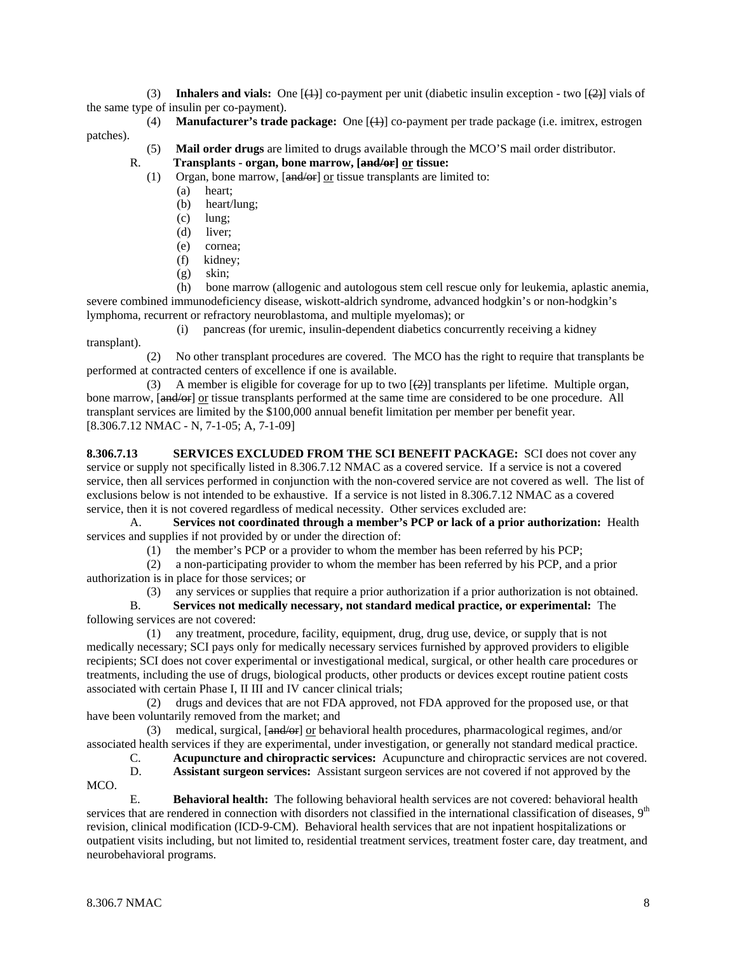(3) **Inhalers and vials:** One  $[\frac{(1)}{2}]$  co-payment per unit (diabetic insulin exception - two  $[\frac{(2)}{2}]$  vials of the same type of insulin per co-payment).

- (4) **Manufacturer's trade package:** One [(1)] co-payment per trade package (i.e. imitrex, estrogen patches).
	- (5) **Mail order drugs** are limited to drugs available through the MCO'S mail order distributor.

R. **Transplants - organ, bone marrow, [and/or] or tissue:**

(1) Organ, bone marrow, [and/or] or tissue transplants are limited to:

- (a) heart;
	- (b) heart/lung;
	- (c) lung;
	- (d) liver;
	- (e) cornea;
	- (f) kidney;
	- (g) skin;

 (h) bone marrow (allogenic and autologous stem cell rescue only for leukemia, aplastic anemia, severe combined immunodeficiency disease, wiskott-aldrich syndrome, advanced hodgkin's or non-hodgkin's lymphoma, recurrent or refractory neuroblastoma, and multiple myelomas); or

 (i) pancreas (for uremic, insulin-dependent diabetics concurrently receiving a kidney transplant).

 (2) No other transplant procedures are covered. The MCO has the right to require that transplants be performed at contracted centers of excellence if one is available.

(3) A member is eligible for coverage for up to two  $\left[\frac{2}{2}\right]$  transplants per lifetime. Multiple organ, bone marrow, [and/or] or tissue transplants performed at the same time are considered to be one procedure. All transplant services are limited by the \$100,000 annual benefit limitation per member per benefit year. [8.306.7.12 NMAC - N, 7-1-05; A, 7-1-09]

**8.306.7.13 SERVICES EXCLUDED FROM THE SCI BENEFIT PACKAGE:** SCI does not cover any service or supply not specifically listed in 8.306.7.12 NMAC as a covered service. If a service is not a covered service, then all services performed in conjunction with the non-covered service are not covered as well. The list of exclusions below is not intended to be exhaustive. If a service is not listed in 8.306.7.12 NMAC as a covered service, then it is not covered regardless of medical necessity. Other services excluded are:

 A. **Services not coordinated through a member's PCP or lack of a prior authorization:** Health services and supplies if not provided by or under the direction of:

(1) the member's PCP or a provider to whom the member has been referred by his PCP;

 (2) a non-participating provider to whom the member has been referred by his PCP, and a prior authorization is in place for those services; or

(3) any services or supplies that require a prior authorization if a prior authorization is not obtained.

 B. **Services not medically necessary, not standard medical practice, or experimental:** The following services are not covered:

 (1) any treatment, procedure, facility, equipment, drug, drug use, device, or supply that is not medically necessary; SCI pays only for medically necessary services furnished by approved providers to eligible recipients; SCI does not cover experimental or investigational medical, surgical, or other health care procedures or treatments, including the use of drugs, biological products, other products or devices except routine patient costs associated with certain Phase I, II III and IV cancer clinical trials;

 (2) drugs and devices that are not FDA approved, not FDA approved for the proposed use, or that have been voluntarily removed from the market; and

 (3) medical, surgical, [and/or] or behavioral health procedures, pharmacological regimes, and/or associated health services if they are experimental, under investigation, or generally not standard medical practice.

C. **Acupuncture and chiropractic services:** Acupuncture and chiropractic services are not covered.

 D. **Assistant surgeon services:** Assistant surgeon services are not covered if not approved by the MCO.

 E. **Behavioral health:** The following behavioral health services are not covered: behavioral health services that are rendered in connection with disorders not classified in the international classification of diseases,  $9<sup>th</sup>$ revision, clinical modification (ICD-9-CM). Behavioral health services that are not inpatient hospitalizations or outpatient visits including, but not limited to, residential treatment services, treatment foster care, day treatment, and neurobehavioral programs.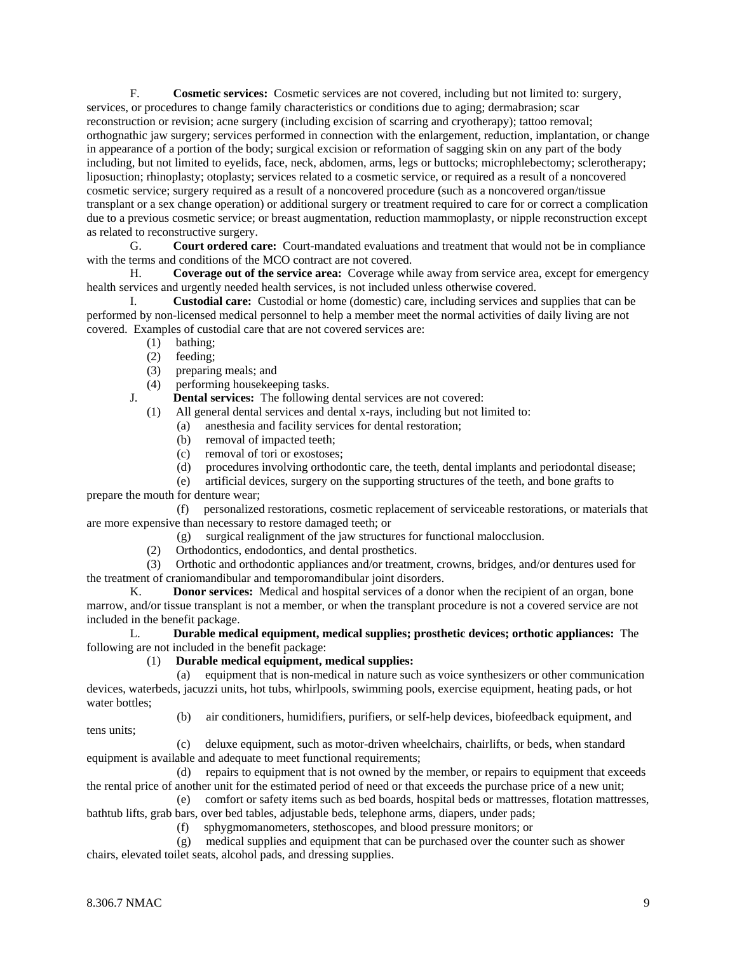F. **Cosmetic services:** Cosmetic services are not covered, including but not limited to: surgery, services, or procedures to change family characteristics or conditions due to aging; dermabrasion; scar reconstruction or revision; acne surgery (including excision of scarring and cryotherapy); tattoo removal; orthognathic jaw surgery; services performed in connection with the enlargement, reduction, implantation, or change in appearance of a portion of the body; surgical excision or reformation of sagging skin on any part of the body including, but not limited to eyelids, face, neck, abdomen, arms, legs or buttocks; microphlebectomy; sclerotherapy; liposuction; rhinoplasty; otoplasty; services related to a cosmetic service, or required as a result of a noncovered cosmetic service; surgery required as a result of a noncovered procedure (such as a noncovered organ/tissue transplant or a sex change operation) or additional surgery or treatment required to care for or correct a complication due to a previous cosmetic service; or breast augmentation, reduction mammoplasty, or nipple reconstruction except as related to reconstructive surgery.

 G. **Court ordered care:** Court-mandated evaluations and treatment that would not be in compliance with the terms and conditions of the MCO contract are not covered.

 H. **Coverage out of the service area:** Coverage while away from service area, except for emergency health services and urgently needed health services, is not included unless otherwise covered.

 I. **Custodial care:** Custodial or home (domestic) care, including services and supplies that can be performed by non-licensed medical personnel to help a member meet the normal activities of daily living are not covered. Examples of custodial care that are not covered services are:

- (1) bathing;
- (2) feeding;
- (3) preparing meals; and
- (4) performing housekeeping tasks.

J. **Dental services:** The following dental services are not covered:

(1) All general dental services and dental x-rays, including but not limited to:

- (a) anesthesia and facility services for dental restoration;
- (b) removal of impacted teeth;
- (c) removal of tori or exostoses;
- (d) procedures involving orthodontic care, the teeth, dental implants and periodontal disease;
- (e) artificial devices, surgery on the supporting structures of the teeth, and bone grafts to

prepare the mouth for denture wear;

 (f) personalized restorations, cosmetic replacement of serviceable restorations, or materials that are more expensive than necessary to restore damaged teeth; or

- (g) surgical realignment of the jaw structures for functional malocclusion.
- (2) Orthodontics, endodontics, and dental prosthetics.

 (3) Orthotic and orthodontic appliances and/or treatment, crowns, bridges, and/or dentures used for the treatment of craniomandibular and temporomandibular joint disorders.

 K. **Donor services:** Medical and hospital services of a donor when the recipient of an organ, bone marrow, and/or tissue transplant is not a member, or when the transplant procedure is not a covered service are not included in the benefit package.

 L. **Durable medical equipment, medical supplies; prosthetic devices; orthotic appliances:** The following are not included in the benefit package:

### (1) **Durable medical equipment, medical supplies:**

 (a) equipment that is non-medical in nature such as voice synthesizers or other communication devices, waterbeds, jacuzzi units, hot tubs, whirlpools, swimming pools, exercise equipment, heating pads, or hot water bottles;

tens units;

(b) air conditioners, humidifiers, purifiers, or self-help devices, biofeedback equipment, and

 (c) deluxe equipment, such as motor-driven wheelchairs, chairlifts, or beds, when standard equipment is available and adequate to meet functional requirements;

 (d) repairs to equipment that is not owned by the member, or repairs to equipment that exceeds the rental price of another unit for the estimated period of need or that exceeds the purchase price of a new unit;

 (e) comfort or safety items such as bed boards, hospital beds or mattresses, flotation mattresses, bathtub lifts, grab bars, over bed tables, adjustable beds, telephone arms, diapers, under pads;

(f) sphygmomanometers, stethoscopes, and blood pressure monitors; or

 (g) medical supplies and equipment that can be purchased over the counter such as shower chairs, elevated toilet seats, alcohol pads, and dressing supplies.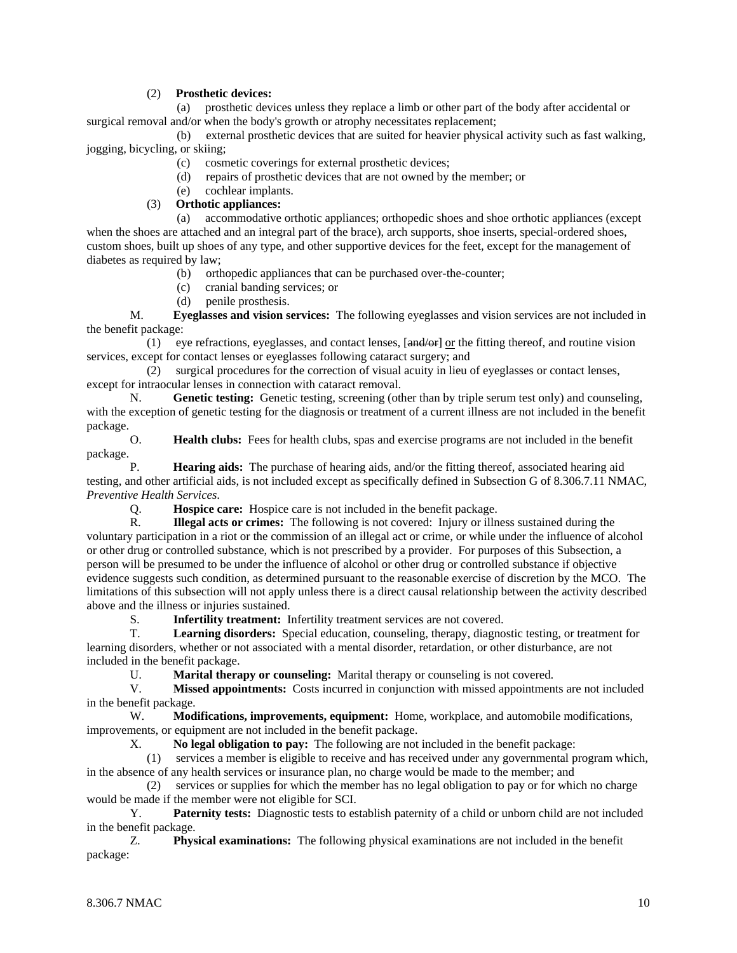## (2) **Prosthetic devices:**

 (a) prosthetic devices unless they replace a limb or other part of the body after accidental or surgical removal and/or when the body's growth or atrophy necessitates replacement;

 (b) external prosthetic devices that are suited for heavier physical activity such as fast walking, jogging, bicycling, or skiing;

- (c) cosmetic coverings for external prosthetic devices;
- (d) repairs of prosthetic devices that are not owned by the member; or
- (e) cochlear implants.

#### (3) **Orthotic appliances:**

 (a) accommodative orthotic appliances; orthopedic shoes and shoe orthotic appliances (except when the shoes are attached and an integral part of the brace), arch supports, shoe inserts, special-ordered shoes, custom shoes, built up shoes of any type, and other supportive devices for the feet, except for the management of diabetes as required by law;

- (b) orthopedic appliances that can be purchased over-the-counter;
- (c) cranial banding services; or
- (d) penile prosthesis.

 M. **Eyeglasses and vision services:** The following eyeglasses and vision services are not included in the benefit package:

(1) eye refractions, eyeglasses, and contact lenses,  $[\text{and/or}]$  or the fitting thereof, and routine vision services, except for contact lenses or eyeglasses following cataract surgery; and

 (2) surgical procedures for the correction of visual acuity in lieu of eyeglasses or contact lenses, except for intraocular lenses in connection with cataract removal.

 N. **Genetic testing:** Genetic testing, screening (other than by triple serum test only) and counseling, with the exception of genetic testing for the diagnosis or treatment of a current illness are not included in the benefit package.

 O. **Health clubs:** Fees for health clubs, spas and exercise programs are not included in the benefit package.

 P. **Hearing aids:** The purchase of hearing aids, and/or the fitting thereof, associated hearing aid testing, and other artificial aids, is not included except as specifically defined in Subsection G of 8.306.7.11 NMAC, *Preventive Health Services*.

Q. **Hospice care:** Hospice care is not included in the benefit package.

 R. **Illegal acts or crimes:** The following is not covered: Injury or illness sustained during the voluntary participation in a riot or the commission of an illegal act or crime, or while under the influence of alcohol or other drug or controlled substance, which is not prescribed by a provider. For purposes of this Subsection, a person will be presumed to be under the influence of alcohol or other drug or controlled substance if objective evidence suggests such condition, as determined pursuant to the reasonable exercise of discretion by the MCO. The limitations of this subsection will not apply unless there is a direct causal relationship between the activity described above and the illness or injuries sustained.

S. **Infertility treatment:** Infertility treatment services are not covered.

 T. **Learning disorders:** Special education, counseling, therapy, diagnostic testing, or treatment for learning disorders, whether or not associated with a mental disorder, retardation, or other disturbance, are not included in the benefit package.

U. **Marital therapy or counseling:** Marital therapy or counseling is not covered.

 V. **Missed appointments:** Costs incurred in conjunction with missed appointments are not included in the benefit package.

 W. **Modifications, improvements, equipment:** Home, workplace, and automobile modifications, improvements, or equipment are not included in the benefit package.

X. **No legal obligation to pay:** The following are not included in the benefit package:

 (1) services a member is eligible to receive and has received under any governmental program which, in the absence of any health services or insurance plan, no charge would be made to the member; and

 (2) services or supplies for which the member has no legal obligation to pay or for which no charge would be made if the member were not eligible for SCI.

 Y. **Paternity tests:** Diagnostic tests to establish paternity of a child or unborn child are not included in the benefit package.

 Z. **Physical examinations:** The following physical examinations are not included in the benefit package: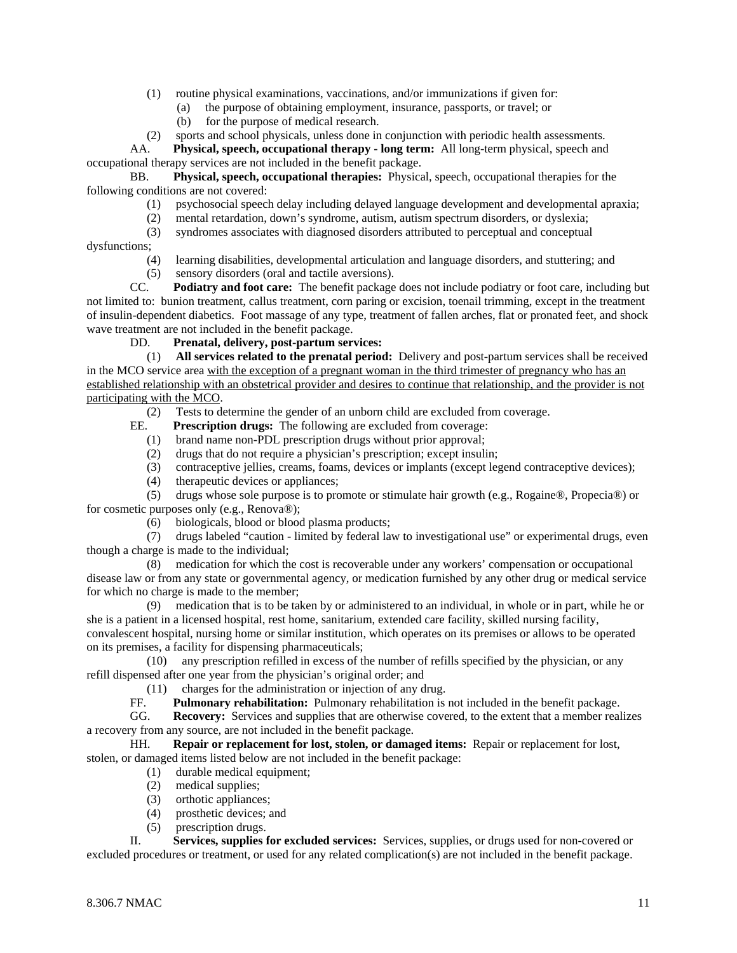- (1) routine physical examinations, vaccinations, and/or immunizations if given for:
	- (a) the purpose of obtaining employment, insurance, passports, or travel; or
	- (b) for the purpose of medical research.
- (2) sports and school physicals, unless done in conjunction with periodic health assessments.

 AA. **Physical, speech, occupational therapy - long term:** All long-term physical, speech and occupational therapy services are not included in the benefit package.

 BB. **Physical, speech, occupational therapies:** Physical, speech, occupational therapies for the following conditions are not covered:

- (1) psychosocial speech delay including delayed language development and developmental apraxia;
- (2) mental retardation, down's syndrome, autism, autism spectrum disorders, or dyslexia;
- (3) syndromes associates with diagnosed disorders attributed to perceptual and conceptual

dysfunctions;

- (4) learning disabilities, developmental articulation and language disorders, and stuttering; and
- (5) sensory disorders (oral and tactile aversions).

 CC. **Podiatry and foot care:** The benefit package does not include podiatry or foot care, including but not limited to: bunion treatment, callus treatment, corn paring or excision, toenail trimming, except in the treatment of insulin-dependent diabetics. Foot massage of any type, treatment of fallen arches, flat or pronated feet, and shock wave treatment are not included in the benefit package.

DD. **Prenatal, delivery, post-partum services:**

 (1) **All services related to the prenatal period:** Delivery and post-partum services shall be received in the MCO service area with the exception of a pregnant woman in the third trimester of pregnancy who has an established relationship with an obstetrical provider and desires to continue that relationship, and the provider is not participating with the MCO.

(2) Tests to determine the gender of an unborn child are excluded from coverage.

- EE. **Prescription drugs:** The following are excluded from coverage:
	- (1) brand name non-PDL prescription drugs without prior approval;
	- (2) drugs that do not require a physician's prescription; except insulin;
	- (3) contraceptive jellies, creams, foams, devices or implants (except legend contraceptive devices);
	- (4) therapeutic devices or appliances;

 (5) drugs whose sole purpose is to promote or stimulate hair growth (e.g., Rogaine®, Propecia®) or for cosmetic purposes only (e.g., Renova®);

(6) biologicals, blood or blood plasma products;

 (7) drugs labeled "caution - limited by federal law to investigational use" or experimental drugs, even though a charge is made to the individual;

 (8) medication for which the cost is recoverable under any workers' compensation or occupational disease law or from any state or governmental agency, or medication furnished by any other drug or medical service for which no charge is made to the member;

 (9) medication that is to be taken by or administered to an individual, in whole or in part, while he or she is a patient in a licensed hospital, rest home, sanitarium, extended care facility, skilled nursing facility, convalescent hospital, nursing home or similar institution, which operates on its premises or allows to be operated on its premises, a facility for dispensing pharmaceuticals;

 (10) any prescription refilled in excess of the number of refills specified by the physician, or any refill dispensed after one year from the physician's original order; and

 $(11)$  charges for the administration or injection of any drug.<br>FE. Pulmonary rehabilitation: Pulmonary rehabilitation is

**Pulmonary rehabilitation:** Pulmonary rehabilitation is not included in the benefit package.

 GG. **Recovery:** Services and supplies that are otherwise covered, to the extent that a member realizes a recovery from any source, are not included in the benefit package.

 HH. **Repair or replacement for lost, stolen, or damaged items:** Repair or replacement for lost, stolen, or damaged items listed below are not included in the benefit package:

- (1) durable medical equipment;
- (2) medical supplies;
- (3) orthotic appliances;
- (4) prosthetic devices; and
- (5) prescription drugs.

 II. **Services, supplies for excluded services:** Services, supplies, or drugs used for non-covered or excluded procedures or treatment, or used for any related complication(s) are not included in the benefit package.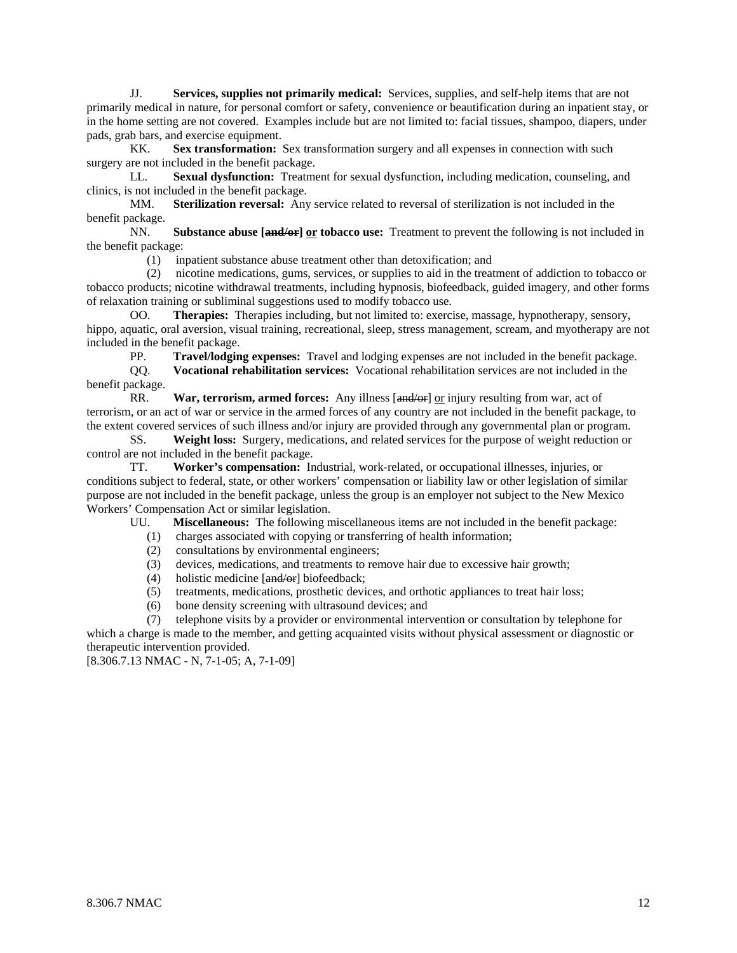JJ. **Services, supplies not primarily medical:** Services, supplies, and self-help items that are not primarily medical in nature, for personal comfort or safety, convenience or beautification during an inpatient stay, or in the home setting are not covered. Examples include but are not limited to: facial tissues, shampoo, diapers, under pads, grab bars, and exercise equipment.

 KK. **Sex transformation:** Sex transformation surgery and all expenses in connection with such surgery are not included in the benefit package.

 LL. **Sexual dysfunction:** Treatment for sexual dysfunction, including medication, counseling, and clinics, is not included in the benefit package.

 MM. **Sterilization reversal:** Any service related to reversal of sterilization is not included in the benefit package.

 NN. **Substance abuse [and/or] or tobacco use:** Treatment to prevent the following is not included in the benefit package:

(1) inpatient substance abuse treatment other than detoxification; and

 (2) nicotine medications, gums, services, or supplies to aid in the treatment of addiction to tobacco or tobacco products; nicotine withdrawal treatments, including hypnosis, biofeedback, guided imagery, and other forms of relaxation training or subliminal suggestions used to modify tobacco use.

 OO. **Therapies:** Therapies including, but not limited to: exercise, massage, hypnotherapy, sensory, hippo, aquatic, oral aversion, visual training, recreational, sleep, stress management, scream, and myotherapy are not included in the benefit package.

PP. **Travel/lodging expenses:** Travel and lodging expenses are not included in the benefit package.

 QQ. **Vocational rehabilitation services:** Vocational rehabilitation services are not included in the benefit package.

 RR. **War, terrorism, armed forces:** Any illness [and/or] or injury resulting from war, act of terrorism, or an act of war or service in the armed forces of any country are not included in the benefit package, to the extent covered services of such illness and/or injury are provided through any governmental plan or program.

 SS. **Weight loss:** Surgery, medications, and related services for the purpose of weight reduction or control are not included in the benefit package.

 TT. **Worker's compensation:** Industrial, work-related, or occupational illnesses, injuries, or conditions subject to federal, state, or other workers' compensation or liability law or other legislation of similar purpose are not included in the benefit package, unless the group is an employer not subject to the New Mexico Workers' Compensation Act or similar legislation.

UU. **Miscellaneous:** The following miscellaneous items are not included in the benefit package:

- (1) charges associated with copying or transferring of health information;
- (2) consultations by environmental engineers;
- (3) devices, medications, and treatments to remove hair due to excessive hair growth;
- (4) holistic medicine [and/or] biofeedback;
- (5) treatments, medications, prosthetic devices, and orthotic appliances to treat hair loss;
- (6) bone density screening with ultrasound devices; and

 (7) telephone visits by a provider or environmental intervention or consultation by telephone for which a charge is made to the member, and getting acquainted visits without physical assessment or diagnostic or therapeutic intervention provided.

[8.306.7.13 NMAC - N, 7-1-05; A, 7-1-09]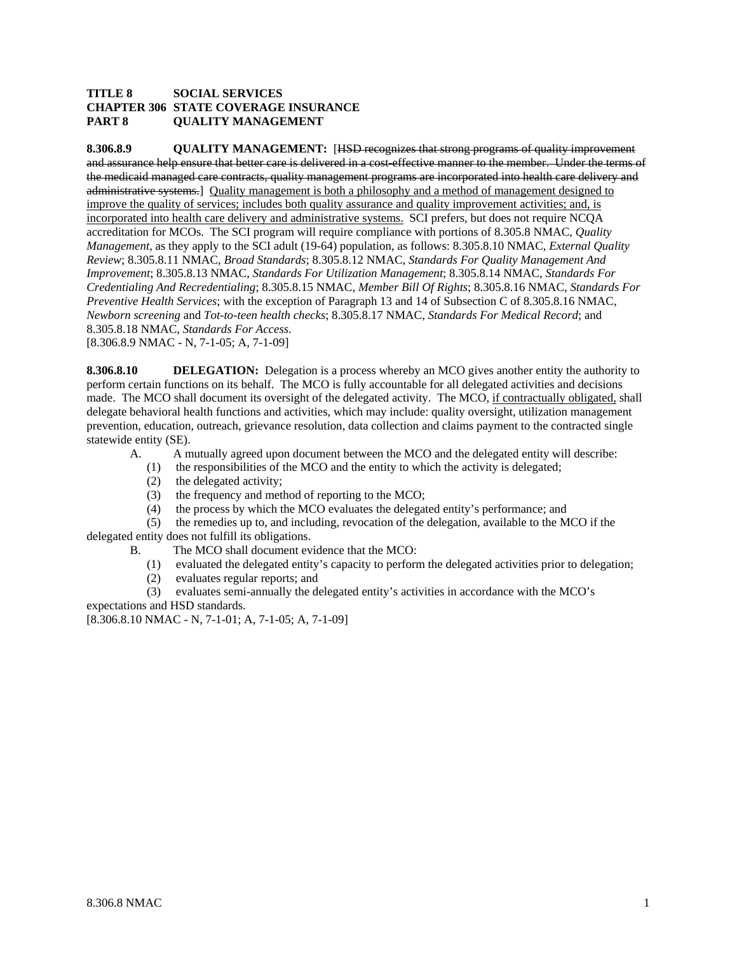### **TITLE 8 SOCIAL SERVICES CHAPTER 306 STATE COVERAGE INSURANCE PART 8 QUALITY MANAGEMENT**

**8.306.8.9 QUALITY MANAGEMENT:** [HSD recognizes that strong programs of quality improvement and assurance help ensure that better care is delivered in a cost-effective manner to the member. Under the terms of the medicaid managed care contracts, quality management programs are incorporated into health care delivery and administrative systems.] Quality management is both a philosophy and a method of management designed to improve the quality of services; includes both quality assurance and quality improvement activities; and, is incorporated into health care delivery and administrative systems. SCI prefers, but does not require NCQA accreditation for MCOs. The SCI program will require compliance with portions of 8.305.8 NMAC, *Quality Management,* as they apply to the SCI adult (19-64) population, as follows: 8.305.8.10 NMAC, *External Quality Review*; 8.305.8.11 NMAC, *Broad Standards*; 8.305.8.12 NMAC, *Standards For Quality Management And Improvement*; 8.305.8.13 NMAC, *Standards For Utilization Management*; 8.305.8.14 NMAC, *Standards For Credentialing And Recredentialing*; 8.305.8.15 NMAC, *Member Bill Of Rights*; 8.305.8.16 NMAC, *Standards For Preventive Health Services*; with the exception of Paragraph 13 and 14 of Subsection C of 8.305.8.16 NMAC, *Newborn screening* and *Tot-to-teen health checks*; 8.305.8.17 NMAC, *Standards For Medical Record*; and 8.305.8.18 NMAC, *Standards For Access*. [8.306.8.9 NMAC - N, 7-1-05; A, 7-1-09]

**8.306.8.10** DELEGATION: Delegation is a process whereby an MCO gives another entity the authority to perform certain functions on its behalf. The MCO is fully accountable for all delegated activities and decisions made. The MCO shall document its oversight of the delegated activity. The MCO, if contractually obligated, shall delegate behavioral health functions and activities, which may include: quality oversight, utilization management prevention, education, outreach, grievance resolution, data collection and claims payment to the contracted single statewide entity (SE).

- A. A mutually agreed upon document between the MCO and the delegated entity will describe:
	- (1) the responsibilities of the MCO and the entity to which the activity is delegated;
	- (2) the delegated activity;
	- (3) the frequency and method of reporting to the MCO;
	- (4) the process by which the MCO evaluates the delegated entity's performance; and

 (5) the remedies up to, and including, revocation of the delegation, available to the MCO if the delegated entity does not fulfill its obligations.

- B. The MCO shall document evidence that the MCO:
	- (1) evaluated the delegated entity's capacity to perform the delegated activities prior to delegation;
	- (2) evaluates regular reports; and

 (3) evaluates semi-annually the delegated entity's activities in accordance with the MCO's expectations and HSD standards.

[8.306.8.10 NMAC - N, 7-1-01; A, 7-1-05; A, 7-1-09]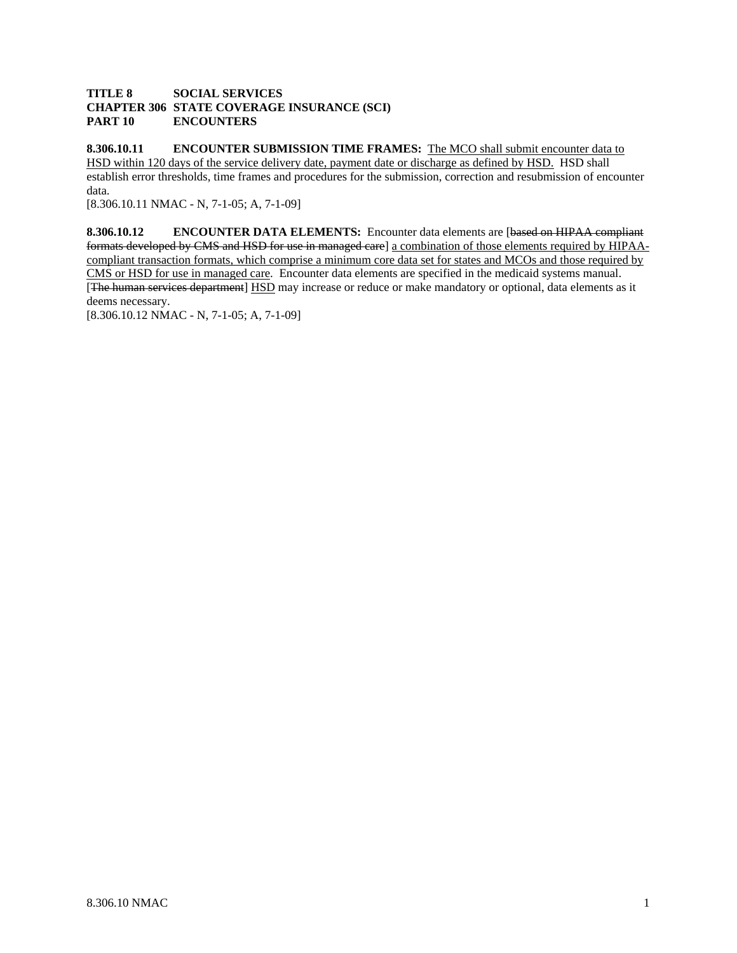### **TITLE 8 SOCIAL SERVICES CHAPTER 306 STATE COVERAGE INSURANCE (SCI) PART 10 ENCOUNTERS**

**8.306.10.11 ENCOUNTER SUBMISSION TIME FRAMES:** The MCO shall submit encounter data to HSD within 120 days of the service delivery date, payment date or discharge as defined by HSD. HSD shall establish error thresholds, time frames and procedures for the submission, correction and resubmission of encounter data.

[8.306.10.11 NMAC - N, 7-1-05; A, 7-1-09]

**8.306.10.12 ENCOUNTER DATA ELEMENTS:** Encounter data elements are [based on HIPAA compliant formats developed by CMS and HSD for use in managed care] a combination of those elements required by HIPAAcompliant transaction formats, which comprise a minimum core data set for states and MCOs and those required by CMS or HSD for use in managed care. Encounter data elements are specified in the medicaid systems manual. [The human services department] HSD may increase or reduce or make mandatory or optional, data elements as it deems necessary.

[8.306.10.12 NMAC - N, 7-1-05; A, 7-1-09]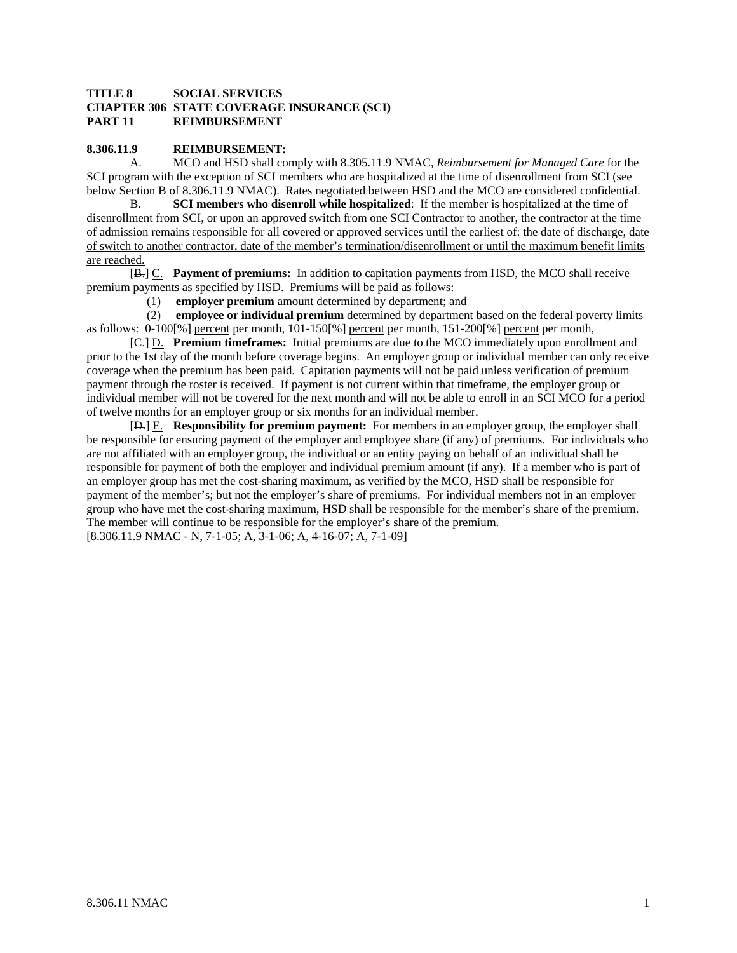### **TITLE 8 SOCIAL SERVICES CHAPTER 306 STATE COVERAGE INSURANCE (SCI) PART 11 REIMBURSEMENT**

#### **8.306.11.9 REIMBURSEMENT:**

 A. MCO and HSD shall comply with 8.305.11.9 NMAC, *Reimbursement for Managed Care* for the SCI program with the exception of SCI members who are hospitalized at the time of disenrollment from SCI (see below Section B of 8.306.11.9 NMAC). Rates negotiated between HSD and the MCO are considered confidential.

B. **SCI members who disenroll while hospitalized**: If the member is hospitalized at the time of disenrollment from SCI, or upon an approved switch from one SCI Contractor to another, the contractor at the time of admission remains responsible for all covered or approved services until the earliest of: the date of discharge, date of switch to another contractor, date of the member's termination/disenrollment or until the maximum benefit limits are reached.

 [B.] C. **Payment of premiums:** In addition to capitation payments from HSD, the MCO shall receive premium payments as specified by HSD. Premiums will be paid as follows:

(1) **employer premium** amount determined by department; and

 (2) **employee or individual premium** determined by department based on the federal poverty limits as follows: 0-100[%] percent per month, 101-150[%] percent per month, 151-200[%] percent per month,

 [C.] D. **Premium timeframes:** Initial premiums are due to the MCO immediately upon enrollment and prior to the 1st day of the month before coverage begins. An employer group or individual member can only receive coverage when the premium has been paid. Capitation payments will not be paid unless verification of premium payment through the roster is received. If payment is not current within that timeframe, the employer group or individual member will not be covered for the next month and will not be able to enroll in an SCI MCO for a period of twelve months for an employer group or six months for an individual member.

 [D.] E. **Responsibility for premium payment:** For members in an employer group, the employer shall be responsible for ensuring payment of the employer and employee share (if any) of premiums. For individuals who are not affiliated with an employer group, the individual or an entity paying on behalf of an individual shall be responsible for payment of both the employer and individual premium amount (if any). If a member who is part of an employer group has met the cost-sharing maximum, as verified by the MCO, HSD shall be responsible for payment of the member's; but not the employer's share of premiums. For individual members not in an employer group who have met the cost-sharing maximum, HSD shall be responsible for the member's share of the premium. The member will continue to be responsible for the employer's share of the premium. [8.306.11.9 NMAC - N, 7-1-05; A, 3-1-06; A, 4-16-07; A, 7-1-09]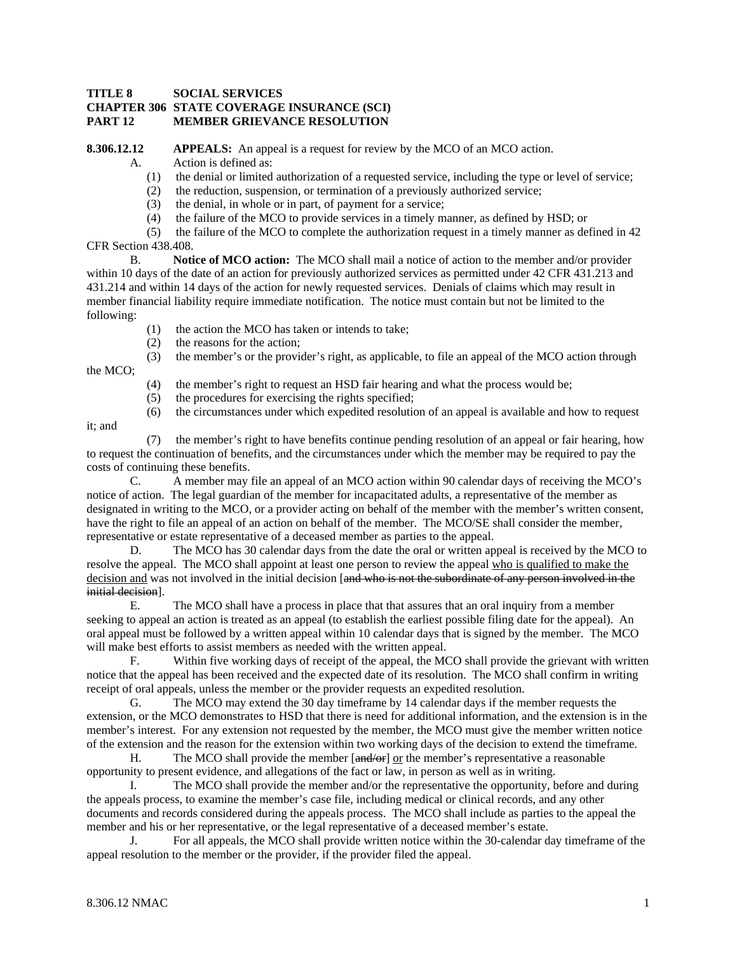#### **TITLE 8 SOCIAL SERVICES CHAPTER 306 STATE COVERAGE INSURANCE (SCI) PART 12 MEMBER GRIEVANCE RESOLUTION**

**8.306.12.12** APPEALS: An appeal is a request for review by the MCO of an MCO action.

- A. Action is defined as:
	- (1) the denial or limited authorization of a requested service, including the type or level of service;
	- (2) the reduction, suspension, or termination of a previously authorized service;
	- (3) the denial, in whole or in part, of payment for a service;
	- (4) the failure of the MCO to provide services in a timely manner, as defined by HSD; or

 (5) the failure of the MCO to complete the authorization request in a timely manner as defined in 42 CFR Section 438.408.

 B. **Notice of MCO action:** The MCO shall mail a notice of action to the member and/or provider within 10 days of the date of an action for previously authorized services as permitted under 42 CFR 431.213 and 431.214 and within 14 days of the action for newly requested services. Denials of claims which may result in member financial liability require immediate notification. The notice must contain but not be limited to the following:

- (1) the action the MCO has taken or intends to take;
- (2) the reasons for the action;

(3) the member's or the provider's right, as applicable, to file an appeal of the MCO action through

- (4) the member's right to request an HSD fair hearing and what the process would be;
- (5) the procedures for exercising the rights specified;
- (6) the circumstances under which expedited resolution of an appeal is available and how to request

it; and

the MCO;

 (7) the member's right to have benefits continue pending resolution of an appeal or fair hearing, how to request the continuation of benefits, and the circumstances under which the member may be required to pay the costs of continuing these benefits.

 C. A member may file an appeal of an MCO action within 90 calendar days of receiving the MCO's notice of action. The legal guardian of the member for incapacitated adults, a representative of the member as designated in writing to the MCO, or a provider acting on behalf of the member with the member's written consent, have the right to file an appeal of an action on behalf of the member. The MCO/SE shall consider the member, representative or estate representative of a deceased member as parties to the appeal.

 D. The MCO has 30 calendar days from the date the oral or written appeal is received by the MCO to resolve the appeal. The MCO shall appoint at least one person to review the appeal who is qualified to make the decision and was not involved in the initial decision [and who is not the subordinate of any person involved in the initial decision].

 E. The MCO shall have a process in place that that assures that an oral inquiry from a member seeking to appeal an action is treated as an appeal (to establish the earliest possible filing date for the appeal). An oral appeal must be followed by a written appeal within 10 calendar days that is signed by the member. The MCO will make best efforts to assist members as needed with the written appeal.

 F. Within five working days of receipt of the appeal, the MCO shall provide the grievant with written notice that the appeal has been received and the expected date of its resolution. The MCO shall confirm in writing receipt of oral appeals, unless the member or the provider requests an expedited resolution.

 G. The MCO may extend the 30 day timeframe by 14 calendar days if the member requests the extension, or the MCO demonstrates to HSD that there is need for additional information, and the extension is in the member's interest. For any extension not requested by the member, the MCO must give the member written notice of the extension and the reason for the extension within two working days of the decision to extend the timeframe.

H. The MCO shall provide the member  $[and/\sigma_F]$  or the member's representative a reasonable opportunity to present evidence, and allegations of the fact or law, in person as well as in writing.

 I. The MCO shall provide the member and/or the representative the opportunity, before and during the appeals process, to examine the member's case file, including medical or clinical records, and any other documents and records considered during the appeals process. The MCO shall include as parties to the appeal the member and his or her representative, or the legal representative of a deceased member's estate.

 J. For all appeals, the MCO shall provide written notice within the 30-calendar day timeframe of the appeal resolution to the member or the provider, if the provider filed the appeal.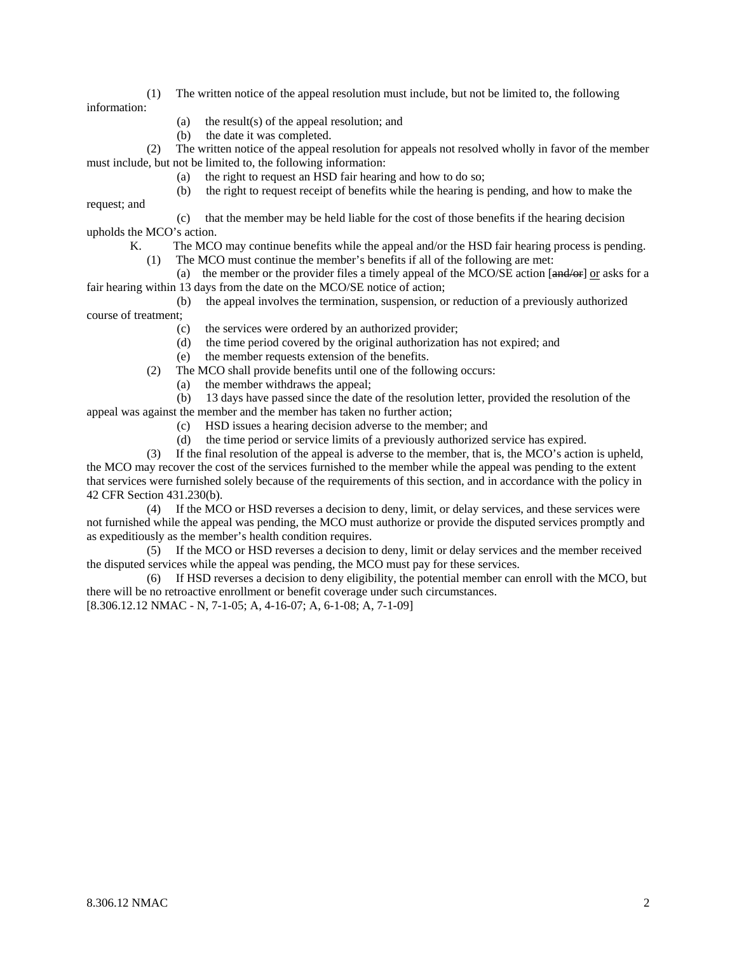- (1) The written notice of the appeal resolution must include, but not be limited to, the following information:
	- (a) the result(s) of the appeal resolution; and
	- (b) the date it was completed.

request; and

 (2) The written notice of the appeal resolution for appeals not resolved wholly in favor of the member must include, but not be limited to, the following information:

(a) the right to request an HSD fair hearing and how to do so;

(b) the right to request receipt of benefits while the hearing is pending, and how to make the

 (c) that the member may be held liable for the cost of those benefits if the hearing decision upholds the MCO's action.

- K. The MCO may continue benefits while the appeal and/or the HSD fair hearing process is pending.
	- (1) The MCO must continue the member's benefits if all of the following are met:

(a) the member or the provider files a timely appeal of the MCO/SE action  $\left[\frac{and}{or}\right]$  or asks for a fair hearing within 13 days from the date on the MCO/SE notice of action;

- (b) the appeal involves the termination, suspension, or reduction of a previously authorized course of treatment;
	- (c) the services were ordered by an authorized provider;
	- (d) the time period covered by the original authorization has not expired; and
	- (e) the member requests extension of the benefits.
	- (2) The MCO shall provide benefits until one of the following occurs:
		- (a) the member withdraws the appeal;

 (b) 13 days have passed since the date of the resolution letter, provided the resolution of the appeal was against the member and the member has taken no further action;

- (c) HSD issues a hearing decision adverse to the member; and
- (d) the time period or service limits of a previously authorized service has expired.

 (3) If the final resolution of the appeal is adverse to the member, that is, the MCO's action is upheld, the MCO may recover the cost of the services furnished to the member while the appeal was pending to the extent that services were furnished solely because of the requirements of this section, and in accordance with the policy in 42 CFR Section 431.230(b).

 (4) If the MCO or HSD reverses a decision to deny, limit, or delay services, and these services were not furnished while the appeal was pending, the MCO must authorize or provide the disputed services promptly and as expeditiously as the member's health condition requires.

 (5) If the MCO or HSD reverses a decision to deny, limit or delay services and the member received the disputed services while the appeal was pending, the MCO must pay for these services.

 (6) If HSD reverses a decision to deny eligibility, the potential member can enroll with the MCO, but there will be no retroactive enrollment or benefit coverage under such circumstances.

[8.306.12.12 NMAC - N, 7-1-05; A, 4-16-07; A, 6-1-08; A, 7-1-09]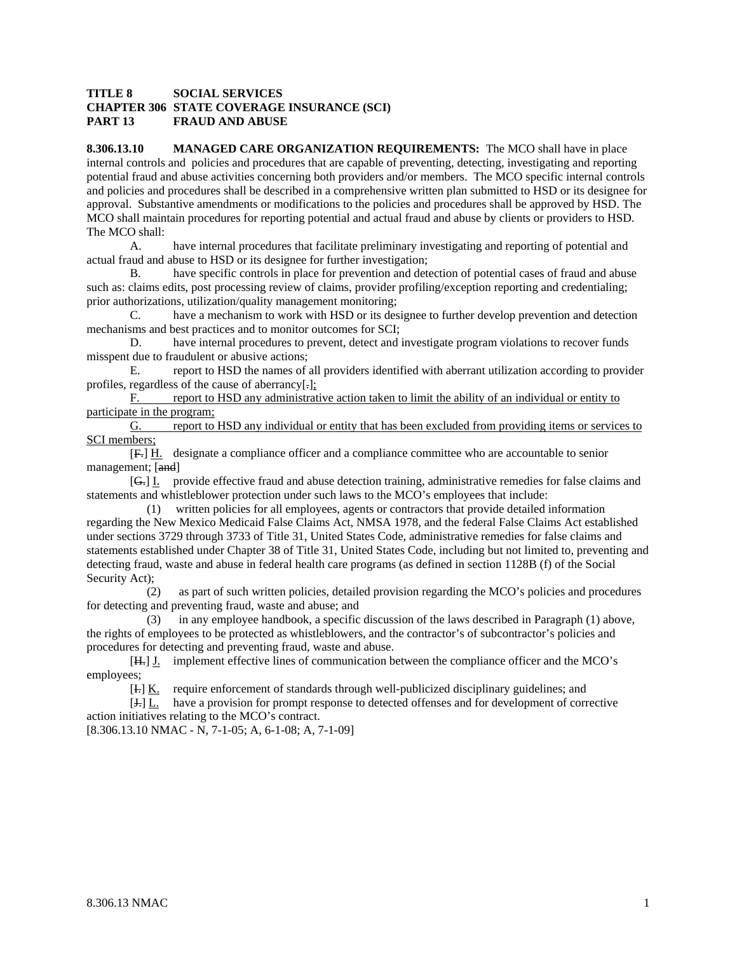#### **TITLE 8 SOCIAL SERVICES CHAPTER 306 STATE COVERAGE INSURANCE (SCI) PART 13 FRAUD AND ABUSE**

**8.306.13.10 MANAGED CARE ORGANIZATION REQUIREMENTS:** The MCO shall have in place internal controls and policies and procedures that are capable of preventing, detecting, investigating and reporting potential fraud and abuse activities concerning both providers and/or members. The MCO specific internal controls and policies and procedures shall be described in a comprehensive written plan submitted to HSD or its designee for approval. Substantive amendments or modifications to the policies and procedures shall be approved by HSD. The MCO shall maintain procedures for reporting potential and actual fraud and abuse by clients or providers to HSD. The MCO shall:

 A. have internal procedures that facilitate preliminary investigating and reporting of potential and actual fraud and abuse to HSD or its designee for further investigation;

 B. have specific controls in place for prevention and detection of potential cases of fraud and abuse such as: claims edits, post processing review of claims, provider profiling/exception reporting and credentialing; prior authorizations, utilization/quality management monitoring;

 C. have a mechanism to work with HSD or its designee to further develop prevention and detection mechanisms and best practices and to monitor outcomes for SCI;

 D. have internal procedures to prevent, detect and investigate program violations to recover funds misspent due to fraudulent or abusive actions;

 E. report to HSD the names of all providers identified with aberrant utilization according to provider profiles, regardless of the cause of aberrancy[.];

F. report to HSD any administrative action taken to limit the ability of an individual or entity to participate in the program;

G. report to HSD any individual or entity that has been excluded from providing items or services to SCI members;

 [F.] H. designate a compliance officer and a compliance committee who are accountable to senior management; [and]

 [G.] I. provide effective fraud and abuse detection training, administrative remedies for false claims and statements and whistleblower protection under such laws to the MCO's employees that include:

 (1) written policies for all employees, agents or contractors that provide detailed information regarding the New Mexico Medicaid False Claims Act, NMSA 1978, and the federal False Claims Act established under sections 3729 through 3733 of Title 31, United States Code, administrative remedies for false claims and statements established under Chapter 38 of Title 31, United States Code, including but not limited to, preventing and detecting fraud, waste and abuse in federal health care programs (as defined in section 1128B (f) of the Social Security Act):

 (2) as part of such written policies, detailed provision regarding the MCO's policies and procedures for detecting and preventing fraud, waste and abuse; and

 (3) in any employee handbook, a specific discussion of the laws described in Paragraph (1) above, the rights of employees to be protected as whistleblowers, and the contractor's of subcontractor's policies and procedures for detecting and preventing fraud, waste and abuse.

[H.] J. implement effective lines of communication between the compliance officer and the MCO's employees;

[I.] K. require enforcement of standards through well-publicized disciplinary guidelines; and

[J.] L. have a provision for prompt response to detected offenses and for development of corrective action initiatives relating to the MCO's contract.

[8.306.13.10 NMAC - N, 7-1-05; A, 6-1-08; A, 7-1-09]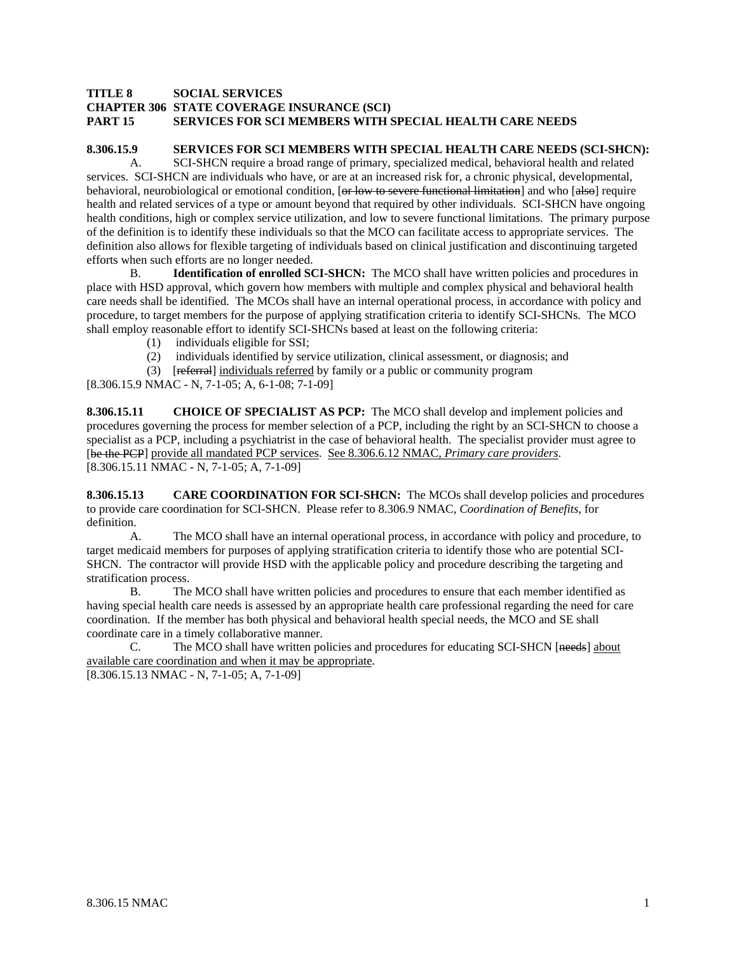#### **TITLE 8 SOCIAL SERVICES CHAPTER 306 STATE COVERAGE INSURANCE (SCI) PART 15 SERVICES FOR SCI MEMBERS WITH SPECIAL HEALTH CARE NEEDS**

#### **8.306.15.9 SERVICES FOR SCI MEMBERS WITH SPECIAL HEALTH CARE NEEDS (SCI-SHCN):**

 A. SCI-SHCN require a broad range of primary, specialized medical, behavioral health and related services. SCI-SHCN are individuals who have, or are at an increased risk for, a chronic physical, developmental, behavioral, neurobiological or emotional condition, [or low to severe functional limitation] and who [also] require health and related services of a type or amount beyond that required by other individuals. SCI-SHCN have ongoing health conditions, high or complex service utilization, and low to severe functional limitations. The primary purpose of the definition is to identify these individuals so that the MCO can facilitate access to appropriate services. The definition also allows for flexible targeting of individuals based on clinical justification and discontinuing targeted efforts when such efforts are no longer needed.

 B. **Identification of enrolled SCI-SHCN:** The MCO shall have written policies and procedures in place with HSD approval, which govern how members with multiple and complex physical and behavioral health care needs shall be identified. The MCOs shall have an internal operational process, in accordance with policy and procedure, to target members for the purpose of applying stratification criteria to identify SCI-SHCNs. The MCO shall employ reasonable effort to identify SCI-SHCNs based at least on the following criteria:

- (1) individuals eligible for SSI;
- (2) individuals identified by service utilization, clinical assessment, or diagnosis; and
- (3) [referral] individuals referred by family or a public or community program

[8.306.15.9 NMAC - N, 7-1-05; A, 6-1-08; 7-1-09]

**8.306.15.11 CHOICE OF SPECIALIST AS PCP:** The MCO shall develop and implement policies and procedures governing the process for member selection of a PCP, including the right by an SCI-SHCN to choose a specialist as a PCP, including a psychiatrist in the case of behavioral health. The specialist provider must agree to [be the PCP] provide all mandated PCP services. See 8.306.6.12 NMAC, *Primary care providers*. [8.306.15.11 NMAC - N, 7-1-05; A, 7-1-09]

**8.306.15.13 CARE COORDINATION FOR SCI-SHCN:** The MCOs shall develop policies and procedures to provide care coordination for SCI-SHCN. Please refer to 8.306.9 NMAC, *Coordination of Benefits*, for definition.

 A. The MCO shall have an internal operational process, in accordance with policy and procedure, to target medicaid members for purposes of applying stratification criteria to identify those who are potential SCI-SHCN. The contractor will provide HSD with the applicable policy and procedure describing the targeting and stratification process.

 B. The MCO shall have written policies and procedures to ensure that each member identified as having special health care needs is assessed by an appropriate health care professional regarding the need for care coordination. If the member has both physical and behavioral health special needs, the MCO and SE shall coordinate care in a timely collaborative manner.

 C. The MCO shall have written policies and procedures for educating SCI-SHCN [needs] about available care coordination and when it may be appropriate.

[8.306.15.13 NMAC - N, 7-1-05; A, 7-1-09]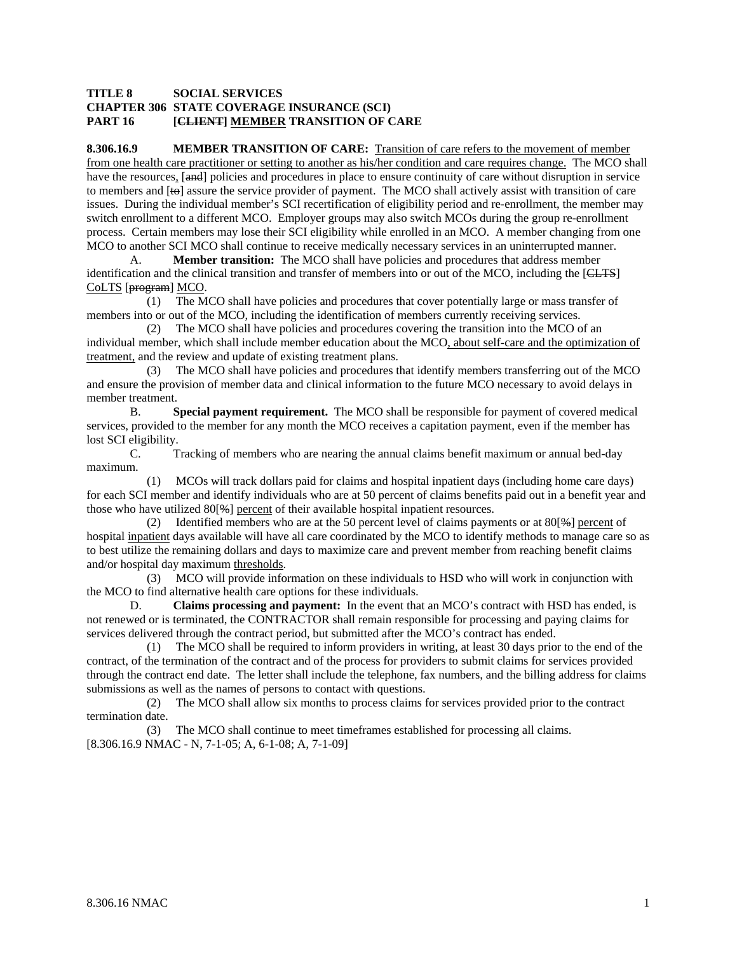#### **TITLE 8 SOCIAL SERVICES CHAPTER 306 STATE COVERAGE INSURANCE (SCI) PART 16 [CLIENT] MEMBER TRANSITION OF CARE**

**8.306.16.9 MEMBER TRANSITION OF CARE:** Transition of care refers to the movement of member from one health care practitioner or setting to another as his/her condition and care requires change. The MCO shall have the resources, [and] policies and procedures in place to ensure continuity of care without disruption in service to members and [to] assure the service provider of payment. The MCO shall actively assist with transition of care issues. During the individual member's SCI recertification of eligibility period and re-enrollment, the member may switch enrollment to a different MCO. Employer groups may also switch MCOs during the group re-enrollment process. Certain members may lose their SCI eligibility while enrolled in an MCO. A member changing from one MCO to another SCI MCO shall continue to receive medically necessary services in an uninterrupted manner.

 A. **Member transition:** The MCO shall have policies and procedures that address member identification and the clinical transition and transfer of members into or out of the MCO, including the [CLTS] CoLTS [program] MCO.

 (1) The MCO shall have policies and procedures that cover potentially large or mass transfer of members into or out of the MCO, including the identification of members currently receiving services.

 (2) The MCO shall have policies and procedures covering the transition into the MCO of an individual member, which shall include member education about the MCO, about self-care and the optimization of treatment, and the review and update of existing treatment plans.

 (3) The MCO shall have policies and procedures that identify members transferring out of the MCO and ensure the provision of member data and clinical information to the future MCO necessary to avoid delays in member treatment.

 B. **Special payment requirement.** The MCO shall be responsible for payment of covered medical services, provided to the member for any month the MCO receives a capitation payment, even if the member has lost SCI eligibility.

 C. Tracking of members who are nearing the annual claims benefit maximum or annual bed-day maximum.

 (1) MCOs will track dollars paid for claims and hospital inpatient days (including home care days) for each SCI member and identify individuals who are at 50 percent of claims benefits paid out in a benefit year and those who have utilized 80[%] percent of their available hospital inpatient resources.

 (2) Identified members who are at the 50 percent level of claims payments or at 80[%] percent of hospital inpatient days available will have all care coordinated by the MCO to identify methods to manage care so as to best utilize the remaining dollars and days to maximize care and prevent member from reaching benefit claims and/or hospital day maximum thresholds.

 (3) MCO will provide information on these individuals to HSD who will work in conjunction with the MCO to find alternative health care options for these individuals.

 D. **Claims processing and payment:** In the event that an MCO's contract with HSD has ended, is not renewed or is terminated, the CONTRACTOR shall remain responsible for processing and paying claims for services delivered through the contract period, but submitted after the MCO's contract has ended.

 (1) The MCO shall be required to inform providers in writing, at least 30 days prior to the end of the contract, of the termination of the contract and of the process for providers to submit claims for services provided through the contract end date. The letter shall include the telephone, fax numbers, and the billing address for claims submissions as well as the names of persons to contact with questions.

 (2) The MCO shall allow six months to process claims for services provided prior to the contract termination date.

 (3) The MCO shall continue to meet timeframes established for processing all claims. [8.306.16.9 NMAC - N, 7-1-05; A, 6-1-08; A, 7-1-09]